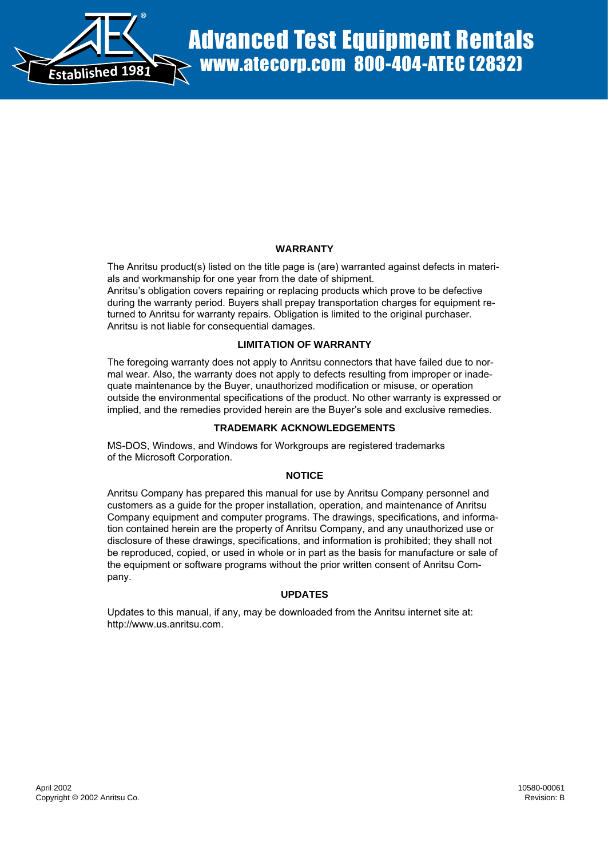

# **WARRANTY**

The Anritsu product(s) listed on the title page is (are) warranted against defects in materials and workmanship for one year from the date of shipment.

Anritsu's obligation covers repairing or replacing products which prove to be defective during the warranty period. Buyers shall prepay transportation charges for equipment returned to Anritsu for warranty repairs. Obligation is limited to the original purchaser. Anritsu is not liable for consequential damages.

# **LIMITATION OF WARRANTY**

The foregoing warranty does not apply to Anritsu connectors that have failed due to normal wear. Also, the warranty does not apply to defects resulting from improper or inadequate maintenance by the Buyer, unauthorized modification or misuse, or operation outside the environmental specifications of the product. No other warranty is expressed or implied, and the remedies provided herein are the Buyer's sole and exclusive remedies.

# **TRADEMARK ACKNOWLEDGEMENTS**

MS-DOS, Windows, and Windows for Workgroups are registered trademarks of the Microsoft Corporation.

# **NOTICE**

Anritsu Company has prepared this manual for use by Anritsu Company personnel and customers as a guide for the proper installation, operation, and maintenance of Anritsu Company equipment and computer programs. The drawings, specifications, and information contained herein are the property of Anritsu Company, and any unauthorized use or disclosure of these drawings, specifications, and information is prohibited; they shall not be reproduced, copied, or used in whole or in part as the basis for manufacture or sale of the equipment or software programs without the prior written consent of Anritsu Company. **Copyright Copyright Copyright Copyright Copyright Copyright Copyright Copyright Copyright Copyright Copyright Copyright Copyright Copyright Copyright Copyright Copyright Copyright Copyright Copyright Copyright Copyright** 

# **UPDATES**

Updates to this manual, if any, may be downloaded from the Anritsu internet site at: http://www.us.anritsu.com.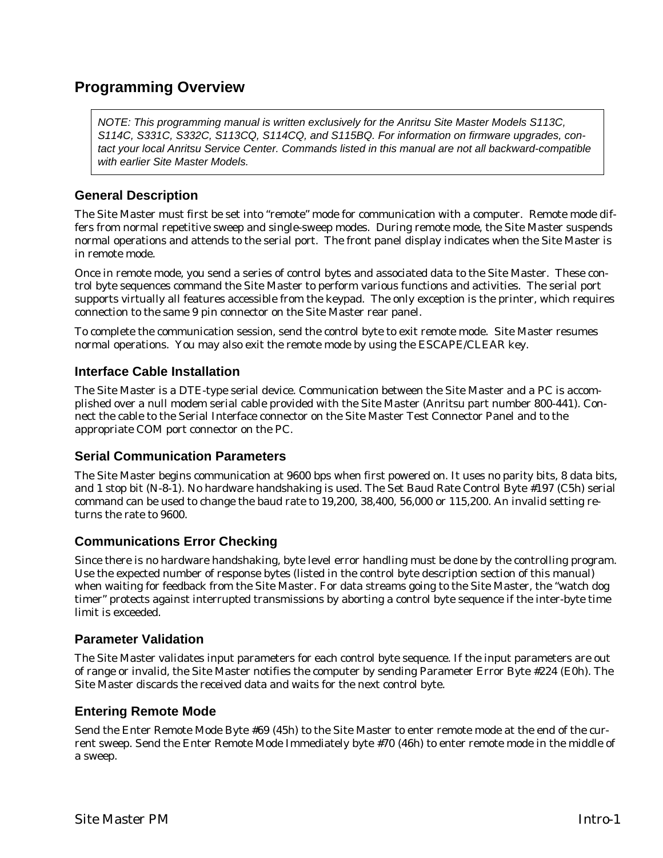# **Programming Overview**

NOTE: This programming manual is written exclusively for the Anritsu Site Master Models S113C, S114C, S331C, S332C, S113CQ, S114CQ, and S115BQ. For information on firmware upgrades, contact your local Anritsu Service Center. Commands listed in this manual are not all backward-compatible with earlier Site Master Models.

# **General Description**

The Site Master must first be set into "remote" mode for communication with a computer. Remote mode differs from normal repetitive sweep and single-sweep modes. During remote mode, the Site Master suspends normal operations and attends to the serial port. The front panel display indicates when the Site Master is in remote mode.

Once in remote mode, you send a series of control bytes and associated data to the Site Master. These control byte sequences command the Site Master to perform various functions and activities. The serial port supports virtually all features accessible from the keypad. The only exception is the printer, which requires connection to the same 9 pin connector on the Site Master rear panel.

To complete the communication session, send the control byte to exit remote mode. Site Master resumes normal operations. You may also exit the remote mode by using the ESCAPE/CLEAR key.

# **Interface Cable Installation**

The Site Master is a DTE-type serial device. Communication between the Site Master and a PC is accomplished over a null modem serial cable provided with the Site Master (Anritsu part number 800-441). Connect the cable to the Serial Interface connector on the Site Master Test Connector Panel and to the appropriate COM port connector on the PC.

# **Serial Communication Parameters**

The Site Master begins communication at 9600 bps when first powered on. It uses no parity bits, 8 data bits, and 1 stop bit (N-8-1). No hardware handshaking is used. The Set Baud Rate Control Byte #197 (C5h) serial command can be used to change the baud rate to 19,200, 38,400, 56,000 or 115,200. An invalid setting returns the rate to 9600.

# **Communications Error Checking**

Since there is no hardware handshaking, byte level error handling must be done by the controlling program. Use the expected number of response bytes (listed in the control byte description section of this manual) when waiting for feedback from the Site Master. For data streams going to the Site Master, the "watch dog timer" protects against interrupted transmissions by aborting a control byte sequence if the inter-byte time limit is exceeded.

# **Parameter Validation**

The Site Master validates input parameters for each control byte sequence. If the input parameters are out of range or invalid, the Site Master notifies the computer by sending Parameter Error Byte #224 (E0h). The Site Master discards the received data and waits for the next control byte.

# **Entering Remote Mode**

Send the Enter Remote Mode Byte #69 (45h) to the Site Master to enter remote mode at the end of the current sweep. Send the Enter Remote Mode Immediately byte #70 (46h) to enter remote mode in the middle of a sweep.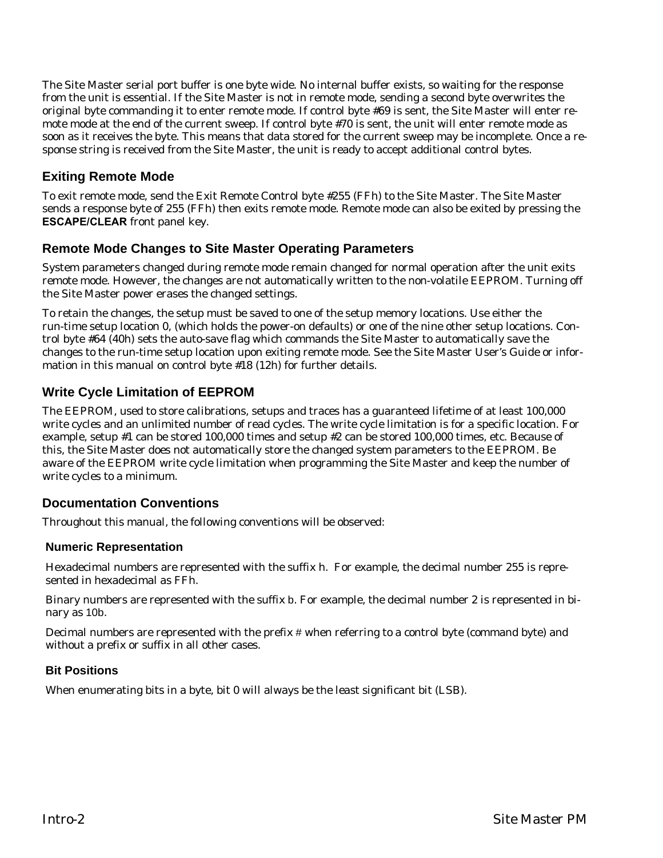The Site Master serial port buffer is one byte wide. No internal buffer exists, so waiting for the response from the unit is essential. If the Site Master is not in remote mode, sending a second byte overwrites the original byte commanding it to enter remote mode. If control byte #69 is sent, the Site Master will enter remote mode at the end of the current sweep. If control byte #70 is sent, the unit will enter remote mode as soon as it receives the byte. This means that data stored for the current sweep may be incomplete. Once a response string is received from the Site Master, the unit is ready to accept additional control bytes.

# **Exiting Remote Mode**

To exit remote mode, send the Exit Remote Control byte #255 (FFh) to the Site Master. The Site Master sends a response byte of 255 (FFh) then exits remote mode. Remote mode can also be exited by pressing the **ESCAPE/CLEAR** front panel key.

# **Remote Mode Changes to Site Master Operating Parameters**

System parameters changed during remote mode remain changed for normal operation after the unit exits remote mode. However, the changes are not automatically written to the non-volatile EEPROM. Turning off the Site Master power erases the changed settings.

To retain the changes, the setup must be saved to one of the setup memory locations. Use either the run-time setup location 0, (which holds the power-on defaults) or one of the nine other setup locations. Control byte #64 (40h) sets the auto-save flag which commands the Site Master to automatically save the changes to the run-time setup location upon exiting remote mode. See the Site Master User's Guide or information in this manual on control byte #18 (12h) for further details.

# **Write Cycle Limitation of EEPROM**

The EEPROM, used to store calibrations, setups and traces has a guaranteed lifetime of at least 100,000 write cycles and an unlimited number of read cycles. The write cycle limitation is for a specific location. For example, setup #1 can be stored 100,000 times and setup #2 can be stored 100,000 times, etc. Because of this, the Site Master does not automatically store the changed system parameters to the EEPROM. Be aware of the EEPROM write cycle limitation when programming the Site Master and keep the number of write cycles to a minimum.

# **Documentation Conventions**

Throughout this manual, the following conventions will be observed:

# **Numeric Representation**

Hexadecimal numbers are represented with the suffix h. For example, the decimal number 255 is represented in hexadecimal as FFh.

Binary numbers are represented with the suffix b. For example, the decimal number 2 is represented in binary as 10b.

Decimal numbers are represented with the prefix # when referring to a control byte (command byte) and without a prefix or suffix in all other cases.

# **Bit Positions**

When enumerating bits in a byte, bit 0 will always be the least significant bit (LSB).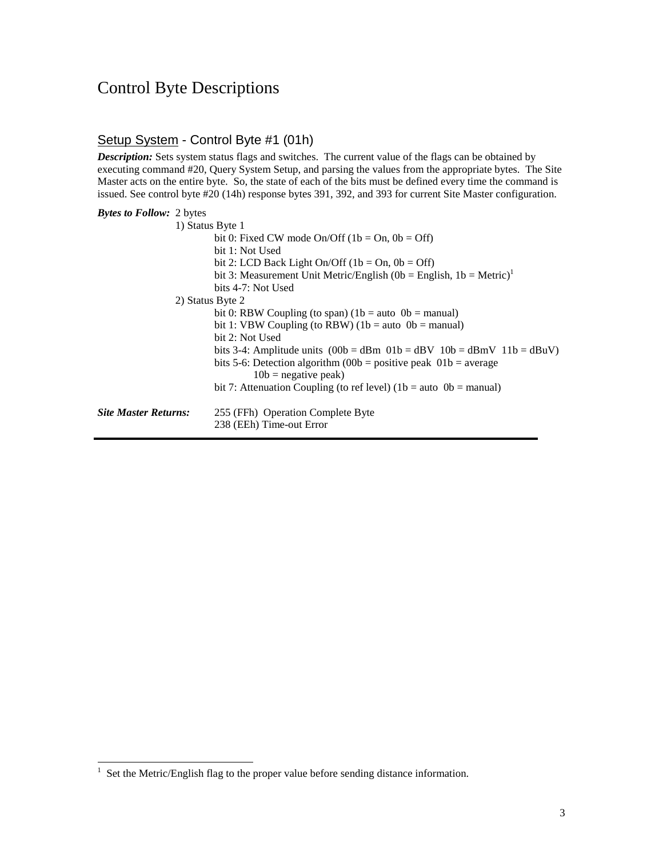# Control Byte Descriptions

# Setup System - Control Byte #1 (01h)

*Description:* Sets system status flags and switches. The current value of the flags can be obtained by executing command #20, Query System Setup, and parsing the values from the appropriate bytes. The Site Master acts on the entire byte. So, the state of each of the bits must be defined every time the command is issued. See control byte #20 (14h) response bytes 391, 392, and 393 for current Site Master configuration.

| bit 3: Measurement Unit Metric/English (0b = English, 1b = Metric) <sup>1</sup> |
|---------------------------------------------------------------------------------|
|                                                                                 |
|                                                                                 |
|                                                                                 |
|                                                                                 |
|                                                                                 |
| bits 3-4: Amplitude units $(00b = dBm 01b = dBv 10b = dBmV 11b = dBuV)$         |
|                                                                                 |
|                                                                                 |
|                                                                                 |
|                                                                                 |
|                                                                                 |
|                                                                                 |

<sup>1</sup> Set the Metric/English flag to the proper value before sending distance information.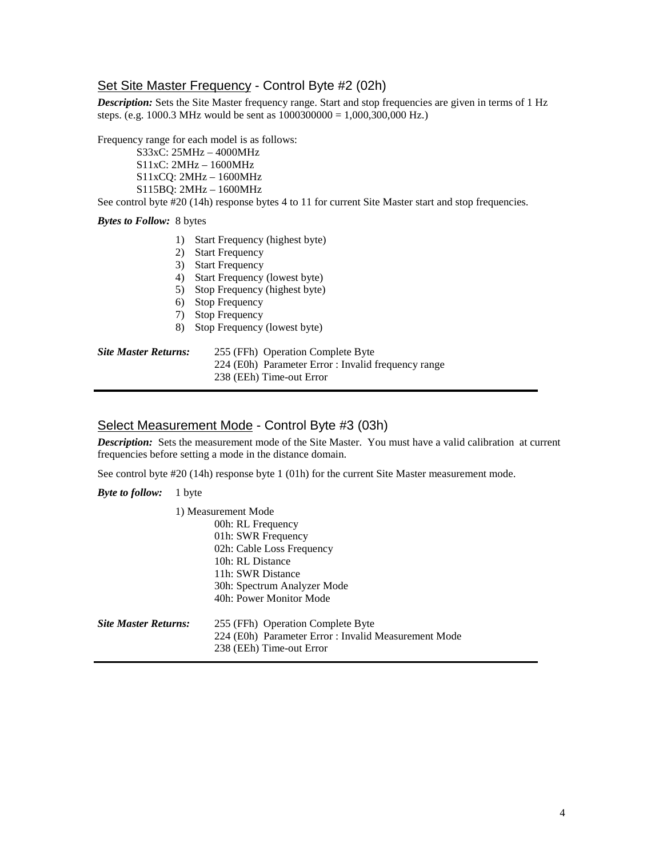# Set Site Master Frequency - Control Byte #2 (02h)

*Description:* Sets the Site Master frequency range. Start and stop frequencies are given in terms of 1 Hz steps. (e.g. 1000.3 MHz would be sent as  $1000300000 = 1,000,300,000$  Hz.)

Frequency range for each model is as follows:

 S33xC: 25MHz – 4000MHz S11xC: 2MHz – 1600MHz S11xCQ: 2MHz – 1600MHz S115BQ: 2MHz – 1600MHz

See control byte #20 (14h) response bytes 4 to 11 for current Site Master start and stop frequencies.

## *Bytes to Follow:* 8 bytes

- 1) Start Frequency (highest byte)
- 2) Start Frequency
- 3) Start Frequency
- 4) Start Frequency (lowest byte)
- 5) Stop Frequency (highest byte)
- 6) Stop Frequency
- 7) Stop Frequency
- 8) Stop Frequency (lowest byte)

## *Site Master Returns:* 255 (FFh) Operation Complete Byte 224 (E0h) Parameter Error : Invalid frequency range

238 (EEh) Time-out Error

## Select Measurement Mode - Control Byte #3 (03h)

*Description:* Sets the measurement mode of the Site Master. You must have a valid calibration at current frequencies before setting a mode in the distance domain.

See control byte #20 (14h) response byte 1 (01h) for the current Site Master measurement mode.

*Byte to follow:* 1 byte

|                             | 1) Measurement Mode                                                                                                   |
|-----------------------------|-----------------------------------------------------------------------------------------------------------------------|
|                             | 00h: RL Frequency                                                                                                     |
|                             | 01h: SWR Frequency                                                                                                    |
|                             | 02h: Cable Loss Frequency                                                                                             |
|                             | 10h: RL Distance                                                                                                      |
|                             | 11h: SWR Distance                                                                                                     |
|                             | 30h: Spectrum Analyzer Mode                                                                                           |
|                             | 40h: Power Monitor Mode                                                                                               |
| <b>Site Master Returns:</b> | 255 (FFh) Operation Complete Byte<br>224 (E0h) Parameter Error : Invalid Measurement Mode<br>238 (EEh) Time-out Error |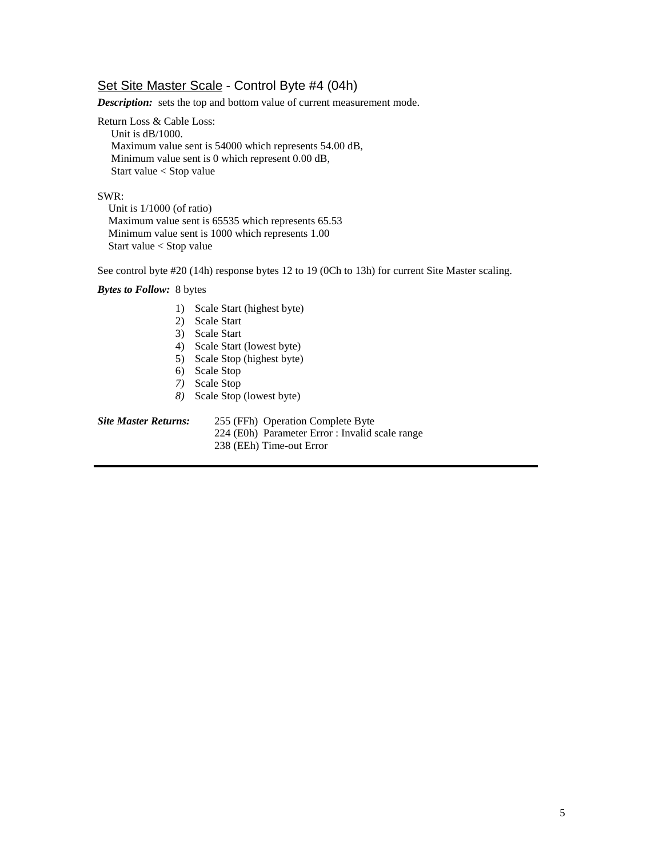# Set Site Master Scale - Control Byte #4 (04h)

*Description:* sets the top and bottom value of current measurement mode.

Return Loss & Cable Loss: Unit is dB/1000.

 Maximum value sent is 54000 which represents 54.00 dB, Minimum value sent is 0 which represent 0.00 dB, Start value < Stop value

## SWR:

 Unit is 1/1000 (of ratio) Maximum value sent is 65535 which represents 65.53 Minimum value sent is 1000 which represents 1.00 Start value < Stop value

See control byte #20 (14h) response bytes 12 to 19 (0Ch to 13h) for current Site Master scaling.

## *Bytes to Follow:* 8 bytes

- 1) Scale Start (highest byte)
- 2) Scale Start
- 3) Scale Start
- 4) Scale Start (lowest byte)
- 5) Scale Stop (highest byte)
- 6) Scale Stop
- *7)* Scale Stop
- *8)* Scale Stop (lowest byte)

*Site Master Returns:* 255 (FFh) Operation Complete Byte 224 (E0h) Parameter Error : Invalid scale range 238 (EEh) Time-out Error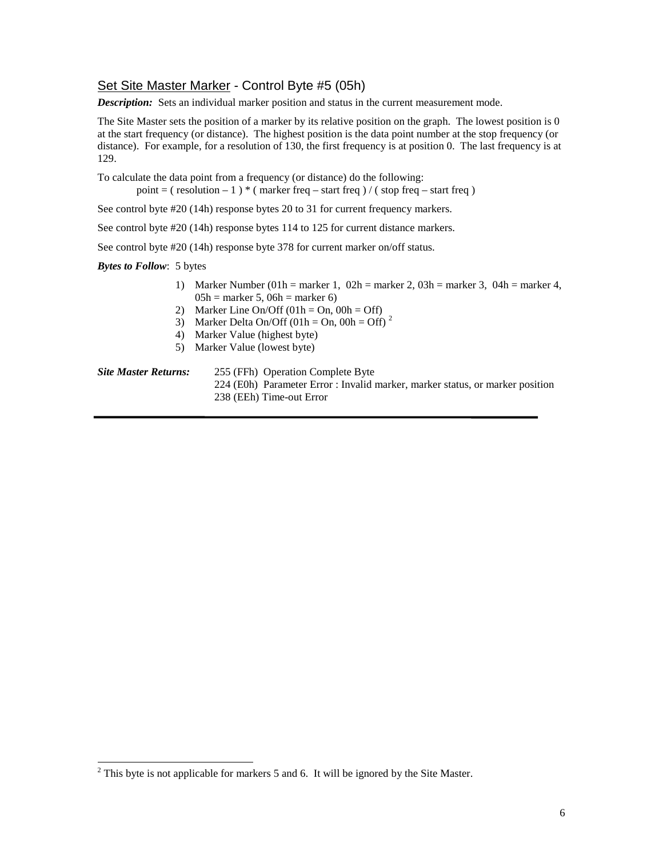# Set Site Master Marker - Control Byte #5 (05h)

*Description:* Sets an individual marker position and status in the current measurement mode.

The Site Master sets the position of a marker by its relative position on the graph. The lowest position is 0 at the start frequency (or distance). The highest position is the data point number at the stop frequency (or distance). For example, for a resolution of 130, the first frequency is at position 0. The last frequency is at 129.

To calculate the data point from a frequency (or distance) do the following:

point = ( $\text{resolution} - 1$ )  $\text{*}$  ( $\text{marker freq} - \text{start freq}$ ) / ( $\text{stop freq} - \text{start freq}$ )

See control byte #20 (14h) response bytes 20 to 31 for current frequency markers.

See control byte #20 (14h) response bytes 114 to 125 for current distance markers.

See control byte #20 (14h) response byte 378 for current marker on/off status.

*Bytes to Follow*: 5 bytes

 $\overline{a}$ 

- 1) Marker Number (01h = marker 1, 02h = marker 2, 03h = marker 3, 04h = marker 4,  $05h =$  marker 5, 06h = marker 6)
- 2) Marker Line On/Off  $(01h = On, 00h = Off)$
- 3) Marker Delta On/Off (01h = On, 00h = Off)<sup>2</sup>
- 4) Marker Value (highest byte)
- 5) Marker Value (lowest byte)

*Site Master Returns:* 255 (FFh) Operation Complete Byte 224 (E0h) Parameter Error : Invalid marker, marker status, or marker position 238 (EEh) Time-out Error

 $2^2$  This byte is not applicable for markers 5 and 6. It will be ignored by the Site Master.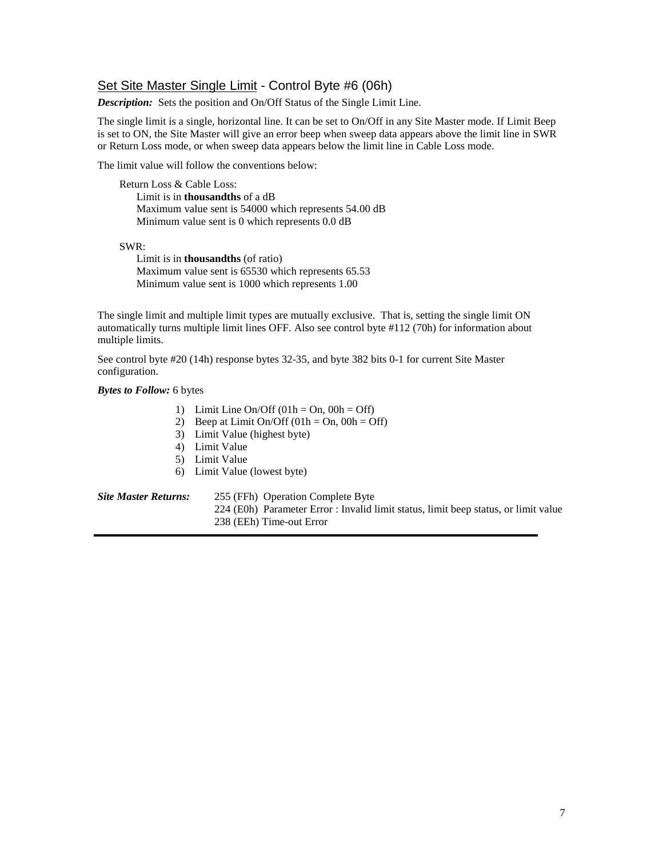# Set Site Master Single Limit - Control Byte #6 (06h)

*Description:* Sets the position and On/Off Status of the Single Limit Line.

The single limit is a single, horizontal line. It can be set to On/Off in any Site Master mode. If Limit Beep is set to ON, the Site Master will give an error beep when sweep data appears above the limit line in SWR or Return Loss mode, or when sweep data appears below the limit line in Cable Loss mode.

The limit value will follow the conventions below:

 Return Loss & Cable Loss: Limit is in **thousandths** of a dB Maximum value sent is 54000 which represents 54.00 dB Minimum value sent is 0 which represents 0.0 dB

SWR:

Limit is in **thousandths** (of ratio) Maximum value sent is 65530 which represents 65.53 Minimum value sent is 1000 which represents 1.00

The single limit and multiple limit types are mutually exclusive. That is, setting the single limit ON automatically turns multiple limit lines OFF. Also see control byte #112 (70h) for information about multiple limits.

See control byte #20 (14h) response bytes 32-35, and byte 382 bits 0-1 for current Site Master configuration.

## *Bytes to Follow:* 6 bytes

- 1) Limit Line On/Off  $(01h = On, 00h = Off)$
- 2) Beep at Limit On/Off  $(01h = On, 00h = Off)$
- 3) Limit Value (highest byte)
- 4) Limit Value
- 5) Limit Value
- 6) Limit Value (lowest byte)

| <b>Site Master Returns:</b>                                                         | 255 (FFh) Operation Complete Byte |
|-------------------------------------------------------------------------------------|-----------------------------------|
| 224 (E0h) Parameter Error : Invalid limit status, limit beep status, or limit value |                                   |
|                                                                                     | 238 (EEh) Time-out Error          |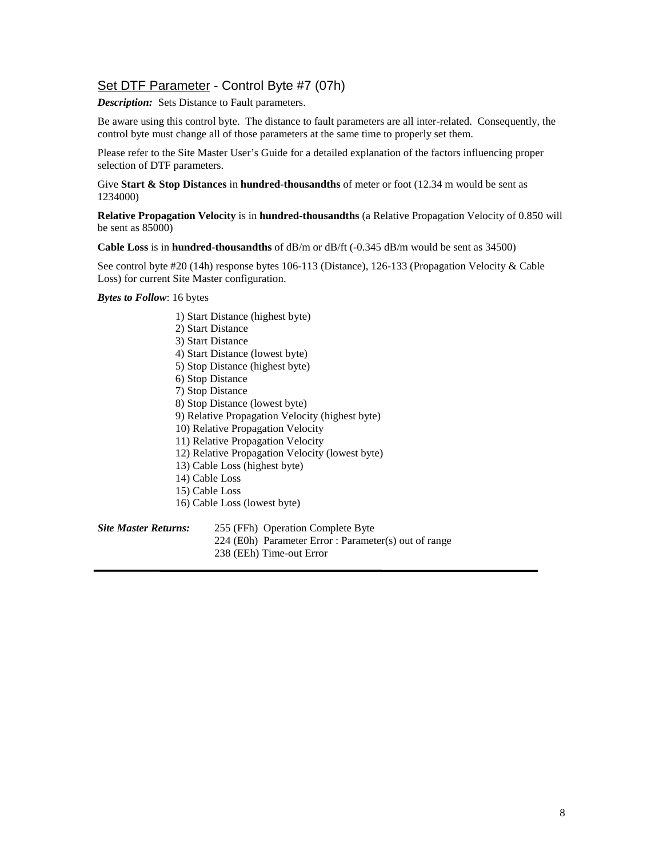# Set DTF Parameter - Control Byte #7 (07h)

*Description:* Sets Distance to Fault parameters.

Be aware using this control byte. The distance to fault parameters are all inter-related. Consequently, the control byte must change all of those parameters at the same time to properly set them.

Please refer to the Site Master User's Guide for a detailed explanation of the factors influencing proper selection of DTF parameters.

Give **Start & Stop Distances** in **hundred-thousandths** of meter or foot (12.34 m would be sent as 1234000)

**Relative Propagation Velocity** is in **hundred-thousandths** (a Relative Propagation Velocity of 0.850 will be sent as 85000)

**Cable Loss** is in **hundred-thousandths** of dB/m or dB/ft (-0.345 dB/m would be sent as 34500)

See control byte #20 (14h) response bytes 106-113 (Distance), 126-133 (Propagation Velocity & Cable Loss) for current Site Master configuration.

*Bytes to Follow*: 16 bytes

1) Start Distance (highest byte) 2) Start Distance 3) Start Distance 4) Start Distance (lowest byte) 5) Stop Distance (highest byte) 6) Stop Distance 7) Stop Distance 8) Stop Distance (lowest byte) 9) Relative Propagation Velocity (highest byte) 10) Relative Propagation Velocity 11) Relative Propagation Velocity 12) Relative Propagation Velocity (lowest byte) 13) Cable Loss (highest byte) 14) Cable Loss 15) Cable Loss 16) Cable Loss (lowest byte) *Site Master Returns:* 255 (FFh) Operation Complete Byte

224 (E0h) Parameter Error : Parameter(s) out of range

238 (EEh) Time-out Error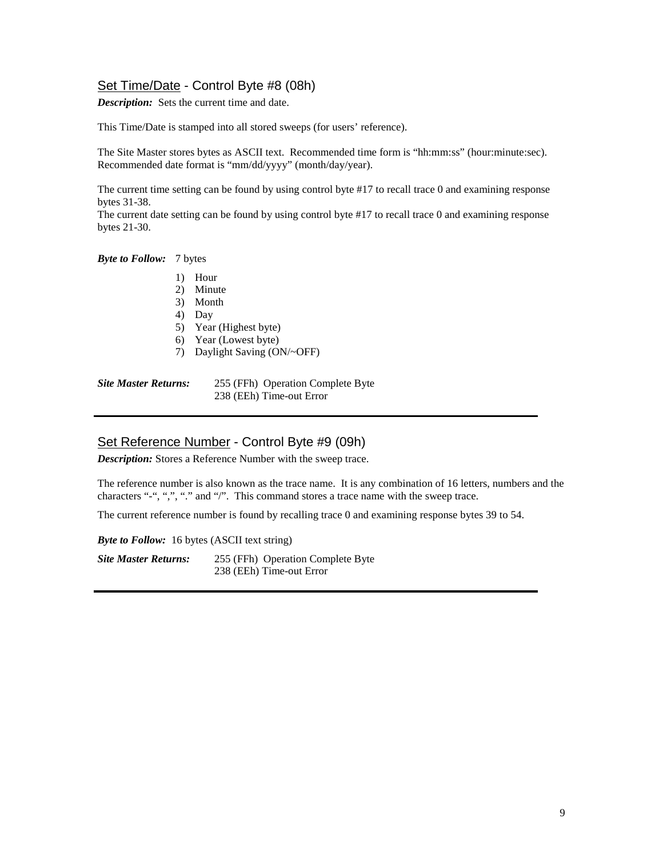# Set Time/Date - Control Byte #8 (08h)

*Description:* Sets the current time and date.

This Time/Date is stamped into all stored sweeps (for users' reference).

The Site Master stores bytes as ASCII text. Recommended time form is "hh:mm:ss" (hour:minute:sec). Recommended date format is "mm/dd/yyyy" (month/day/year).

The current time setting can be found by using control byte #17 to recall trace 0 and examining response bytes 31-38.

The current date setting can be found by using control byte #17 to recall trace 0 and examining response bytes 21-30.

*Byte to Follow:* 7 bytes

- 1) Hour
- 2) Minute
- 3) Month
- 4) Day
- 5) Year (Highest byte)
- 6) Year (Lowest byte)
- 7) Daylight Saving (ON/~OFF)

*Site Master Returns:* 255 (FFh) Operation Complete Byte 238 (EEh) Time-out Error

# Set Reference Number - Control Byte #9 (09h)

*Description:* Stores a Reference Number with the sweep trace.

The reference number is also known as the trace name. It is any combination of 16 letters, numbers and the characters "-", ",", "." and "/". This command stores a trace name with the sweep trace.

The current reference number is found by recalling trace 0 and examining response bytes 39 to 54.

*Byte to Follow:* 16 bytes (ASCII text string)

*Site Master Returns:* 255 (FFh) Operation Complete Byte 238 (EEh) Time-out Error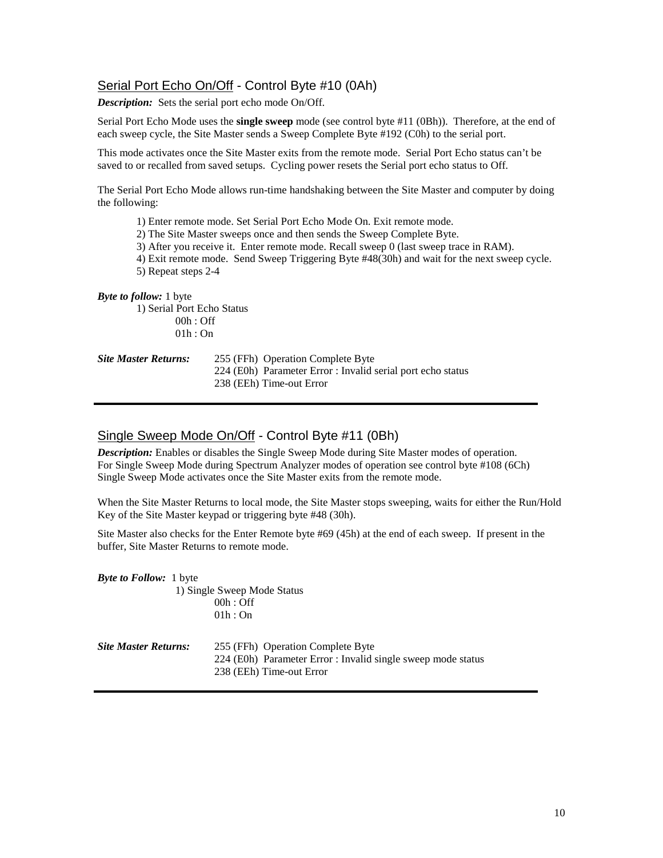# Serial Port Echo On/Off - Control Byte #10 (0Ah)

*Description:* Sets the serial port echo mode On/Off.

Serial Port Echo Mode uses the **single sweep** mode (see control byte #11 (0Bh)). Therefore, at the end of each sweep cycle, the Site Master sends a Sweep Complete Byte #192 (C0h) to the serial port.

This mode activates once the Site Master exits from the remote mode. Serial Port Echo status can't be saved to or recalled from saved setups. Cycling power resets the Serial port echo status to Off.

The Serial Port Echo Mode allows run-time handshaking between the Site Master and computer by doing the following:

- 1) Enter remote mode. Set Serial Port Echo Mode On. Exit remote mode.
- 2) The Site Master sweeps once and then sends the Sweep Complete Byte.
- 3) After you receive it. Enter remote mode. Recall sweep 0 (last sweep trace in RAM).
- 4) Exit remote mode. Send Sweep Triggering Byte #48(30h) and wait for the next sweep cycle.
- 5) Repeat steps 2-4

## *Byte to follow:* 1 byte

1) Serial Port Echo Status 00h : Off 01h : On

| <b>Site Master Returns:</b> | 255 (FFh) Operation Complete Byte                           |
|-----------------------------|-------------------------------------------------------------|
|                             | 224 (E0h) Parameter Error : Invalid serial port echo status |
|                             | 238 (EEh) Time-out Error                                    |

# Single Sweep Mode On/Off - Control Byte #11 (0Bh)

*Description:* Enables or disables the Single Sweep Mode during Site Master modes of operation. For Single Sweep Mode during Spectrum Analyzer modes of operation see control byte #108 (6Ch) Single Sweep Mode activates once the Site Master exits from the remote mode.

When the Site Master Returns to local mode, the Site Master stops sweeping, waits for either the Run/Hold Key of the Site Master keypad or triggering byte #48 (30h).

Site Master also checks for the Enter Remote byte #69 (45h) at the end of each sweep. If present in the buffer, Site Master Returns to remote mode.

*Byte to Follow:* 1 byte 1) Single Sweep Mode Status 00h : Off  $01h:On$ *Site Master Returns:* 255 (FFh) Operation Complete Byte

224 (E0h) Parameter Error : Invalid single sweep mode status 238 (EEh) Time-out Error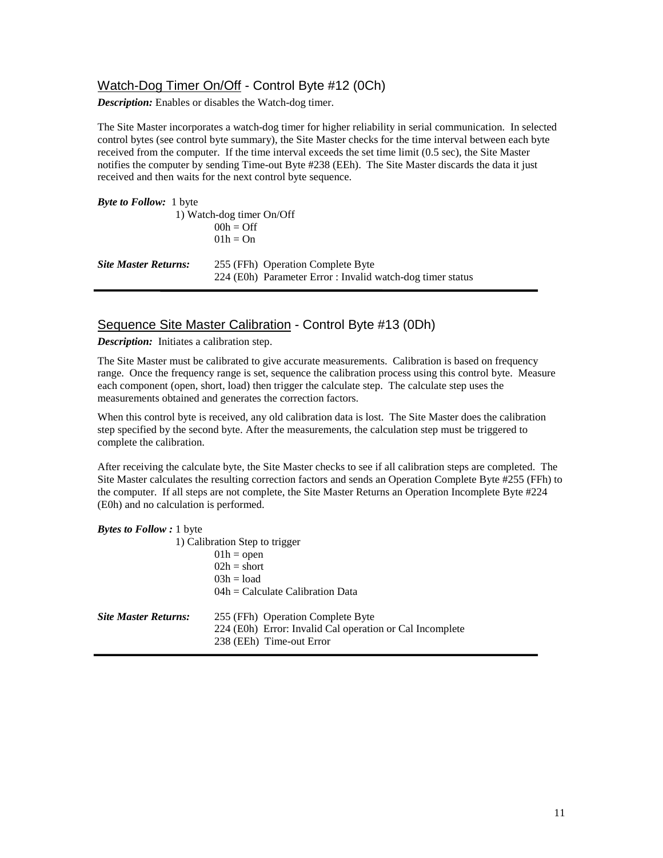# Watch-Dog Timer On/Off - Control Byte #12 (0Ch)

*Description:* Enables or disables the Watch-dog timer.

The Site Master incorporates a watch-dog timer for higher reliability in serial communication. In selected control bytes (see control byte summary), the Site Master checks for the time interval between each byte received from the computer. If the time interval exceeds the set time limit (0.5 sec), the Site Master notifies the computer by sending Time-out Byte #238 (EEh). The Site Master discards the data it just received and then waits for the next control byte sequence.

| <b><i>Byte to Follow:</i></b> 1 byte |                                                            |  |
|--------------------------------------|------------------------------------------------------------|--|
| 1) Watch-dog timer On/Off            |                                                            |  |
|                                      | $00h =$ Off                                                |  |
|                                      | $01h = On$                                                 |  |
| <b>Site Master Returns:</b>          | 255 (FFh) Operation Complete Byte                          |  |
|                                      | 224 (E0h) Parameter Error : Invalid watch-dog timer status |  |

# Sequence Site Master Calibration - Control Byte #13 (0Dh)

*Description:* Initiates a calibration step.

The Site Master must be calibrated to give accurate measurements. Calibration is based on frequency range. Once the frequency range is set, sequence the calibration process using this control byte. Measure each component (open, short, load) then trigger the calculate step. The calculate step uses the measurements obtained and generates the correction factors.

When this control byte is received, any old calibration data is lost. The Site Master does the calibration step specified by the second byte. After the measurements, the calculation step must be triggered to complete the calibration.

After receiving the calculate byte, the Site Master checks to see if all calibration steps are completed. The Site Master calculates the resulting correction factors and sends an Operation Complete Byte #255 (FFh) to the computer. If all steps are not complete, the Site Master Returns an Operation Incomplete Byte #224 (E0h) and no calculation is performed.

| <b>Bytes to Follow:</b> 1 byte |  |  |  |  |
|--------------------------------|--|--|--|--|
|--------------------------------|--|--|--|--|

|                             | 1) Calibration Step to trigger                                                                                            |
|-----------------------------|---------------------------------------------------------------------------------------------------------------------------|
|                             | $01h =$ open                                                                                                              |
|                             | $02h = short$                                                                                                             |
|                             | $03h = load$                                                                                                              |
|                             | $04h =$ Calculate Calibration Data                                                                                        |
| <b>Site Master Returns:</b> | 255 (FFh) Operation Complete Byte<br>224 (E0h) Error: Invalid Cal operation or Cal Incomplete<br>238 (EEh) Time-out Error |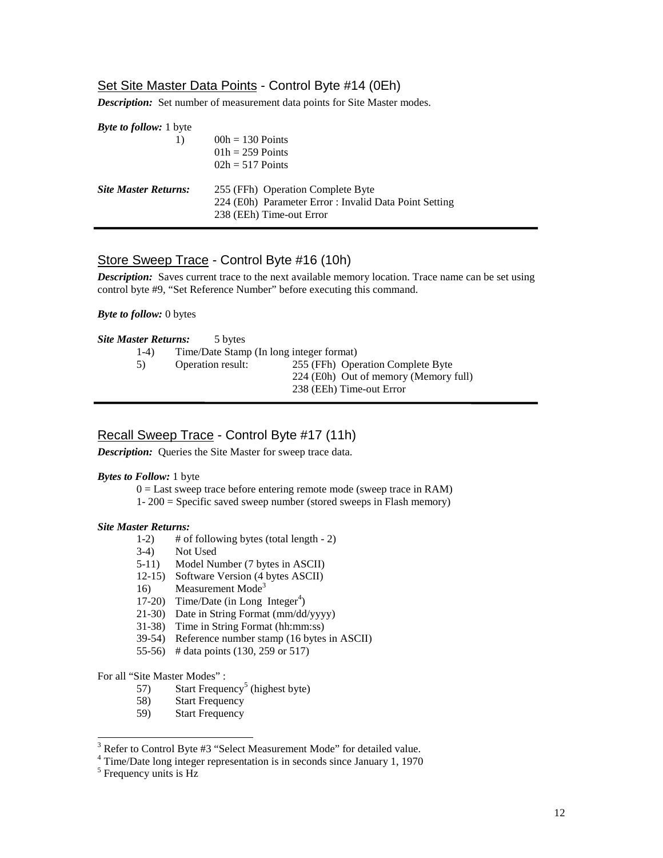# Set Site Master Data Points - Control Byte #14 (0Eh)

*Description:* Set number of measurement data points for Site Master modes.

| <b><i>Byte to follow:</i></b> 1 byte |                                                        |
|--------------------------------------|--------------------------------------------------------|
|                                      | $00h = 130$ Points                                     |
|                                      | $01h = 259$ Points                                     |
|                                      | $02h = 517$ Points                                     |
| <b>Site Master Returns:</b>          | 255 (FFh) Operation Complete Byte                      |
|                                      | 224 (E0h) Parameter Error : Invalid Data Point Setting |
|                                      | 238 (EEh) Time-out Error                               |

# Store Sweep Trace - Control Byte #16 (10h)

*Description:* Saves current trace to the next available memory location. Trace name can be set using control byte #9, "Set Reference Number" before executing this command.

#### *Byte to follow:* 0 bytes

|  |  | <b>Site Master Returns:</b> | 5 bytes |
|--|--|-----------------------------|---------|
|--|--|-----------------------------|---------|

| $1-4)$ | Time/Date Stamp (In long integer format) |                                                                                                        |
|--------|------------------------------------------|--------------------------------------------------------------------------------------------------------|
| 5)     | Operation result:                        | 255 (FFh) Operation Complete Byte<br>224 (E0h) Out of memory (Memory full)<br>238 (EEh) Time-out Error |

# Recall Sweep Trace - Control Byte #17 (11h)

*Description:* Queries the Site Master for sweep trace data.

#### *Bytes to Follow:* 1 byte

 $0 =$  Last sweep trace before entering remote mode (sweep trace in RAM)

1- 200 = Specific saved sweep number (stored sweeps in Flash memory)

## *Site Master Returns:*

- 1-2) # of following bytes (total length 2)
- 3-4) Not Used
- 5-11) Model Number (7 bytes in ASCII)
- 12-15) Software Version (4 bytes ASCII)
- 16) Measurement  $Mode<sup>3</sup>$
- 17-20) Time/Date (in Long Integer<sup>4</sup>)
- 21-30) Date in String Format (mm/dd/yyyy)
- 31-38) Time in String Format (hh:mm:ss)
- 39-54) Reference number stamp (16 bytes in ASCII)
- 55-56) # data points (130, 259 or 517)

For all "Site Master Modes" :

- 57) Start Frequency<sup>5</sup> (highest byte)
- 58) Start Frequency
- 59) Start Frequency

<sup>&</sup>lt;sup>-</sup><br>3 <sup>3</sup> Refer to Control Byte #3 "Select Measurement Mode" for detailed value.<br><sup>4</sup> Time/Date long integer representation is in seconds since January 1, 1970

<sup>&</sup>lt;sup>5</sup> Frequency units is Hz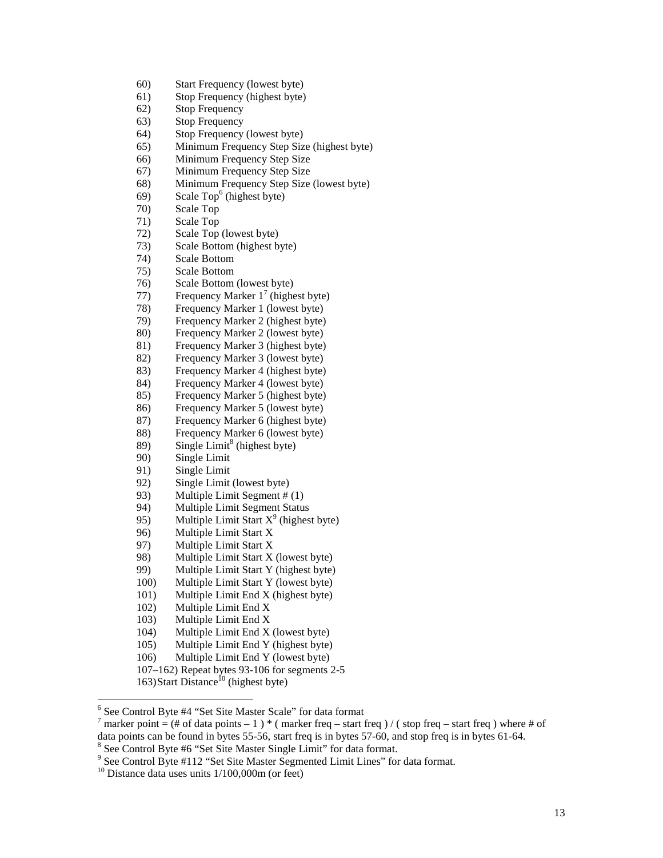- 60) Start Frequency (lowest byte)
- 61) Stop Frequency (highest byte)
- 62) Stop Frequency
- 63) Stop Frequency
- 64) Stop Frequency (lowest byte)
- 65) Minimum Frequency Step Size (highest byte)
- 66) Minimum Frequency Step Size
- 67) Minimum Frequency Step Size
- 68) Minimum Frequency Step Size (lowest byte)
- 69) Scale Top<sup>6</sup> (highest byte)
- 70) Scale Top
- 71) Scale Top
- 72) Scale Top (lowest byte)
- 73) Scale Bottom (highest byte)
- 74) Scale Bottom
- 75) Scale Bottom
- 76) Scale Bottom (lowest byte)
- 77) Frequency Marker  $1^7$  (highest byte)
- 78) Frequency Marker 1 (lowest byte)
- 79) Frequency Marker 2 (highest byte)<br>80) Frequency Marker 2 (lowest byte)
- Frequency Marker 2 (lowest byte)
- 81) Frequency Marker 3 (highest byte)
- 82) Frequency Marker 3 (lowest byte)
- 83) Frequency Marker 4 (highest byte) 84) Frequency Marker 4 (lowest byte)
- 85) Frequency Marker 5 (highest byte)
- 86) Frequency Marker 5 (lowest byte)
- 87) Frequency Marker 6 (highest byte)
- 88) Frequency Marker 6 (lowest byte)
- 89) Single Limit<sup>8</sup> (highest byte)
- 
- 90) Single Limit
- 91) Single Limit
- 92) Single Limit (lowest byte)
- 93) Multiple Limit Segment # (1)
- 94) Multiple Limit Segment Status
- 95) Multiple Limit Start  $X^9$  (highest byte)
- 96) Multiple Limit Start X
- 97) Multiple Limit Start X
- 98) Multiple Limit Start X (lowest byte)
- 99) Multiple Limit Start Y (highest byte)
- 100) Multiple Limit Start Y (lowest byte)
- 101) Multiple Limit End X (highest byte)
- 102) Multiple Limit End X
- 103) Multiple Limit End X
- 104) Multiple Limit End X (lowest byte)
- 105) Multiple Limit End Y (highest byte)
- 106) Multiple Limit End Y (lowest byte)
- 107–162) Repeat bytes 93-106 for segments 2-5
- 163) Start Distance<sup>10</sup> (highest byte)

<sup>&</sup>lt;sup>6</sup> See Control Byte #4 "Set Site Master Scale" for data format  $\frac{7}{7}$  merker point  $\frac{1}{7}$  of data points  $\frac{1}{7}$  is (merker free start)

<sup>&</sup>lt;sup>7</sup> marker point = (# of data points – 1) \* ( marker freq – start freq ) / ( stop freq – start freq ) where # of data points can be found in bytes 55-56, start freq is in bytes 57-60, and stop freq is in bytes 61-64.

<sup>&</sup>lt;sup>8</sup> See Control Byte #6 "Set Site Master Single Limit" for data format. See Control Byte #6 "Set Site Master Single Limit" for data format.<br><sup>9</sup> See Control Byte #112 "Set Site Mester Segmented Limit Lines" fo

<sup>&</sup>lt;sup>9</sup> See Control Byte #112 "Set Site Master Segmented Limit Lines" for data format.  $^{10}$  Distance data uses units  $1/100,000$ m (or feet)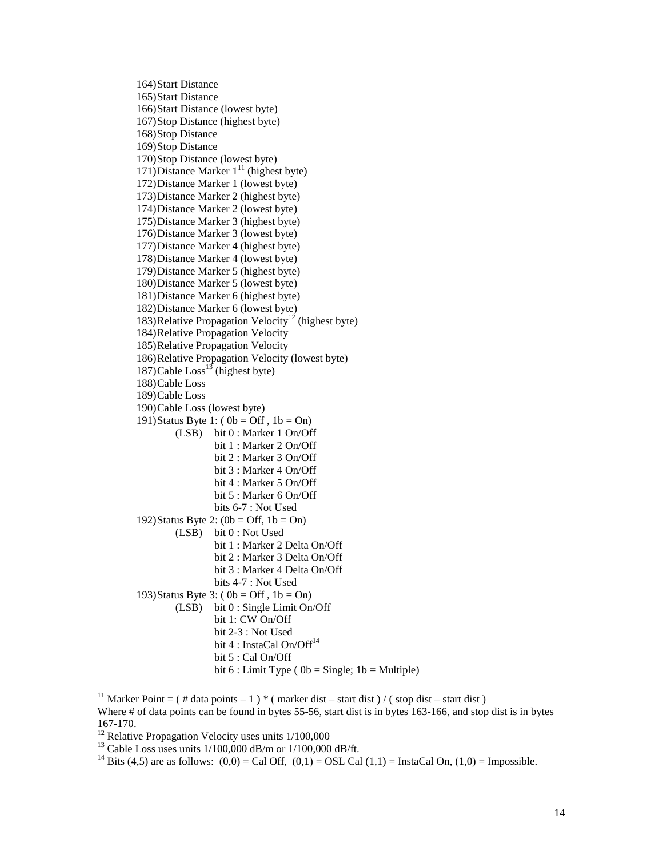164)Start Distance 165)Start Distance 166)Start Distance (lowest byte) 167)Stop Distance (highest byte) 168)Stop Distance 169)Stop Distance 170)Stop Distance (lowest byte) 171)Distance Marker  $1<sup>11</sup>$  (highest byte) 172)Distance Marker 1 (lowest byte) 173)Distance Marker 2 (highest byte) 174)Distance Marker 2 (lowest byte) 175)Distance Marker 3 (highest byte) 176)Distance Marker 3 (lowest byte) 177)Distance Marker 4 (highest byte) 178)Distance Marker 4 (lowest byte) 179)Distance Marker 5 (highest byte) 180)Distance Marker 5 (lowest byte) 181)Distance Marker 6 (highest byte) 182)Distance Marker 6 (lowest byte) 183)Relative Propagation Velocity<sup>12</sup> (highest byte) 184)Relative Propagation Velocity 185)Relative Propagation Velocity 186)Relative Propagation Velocity (lowest byte) 187)Cable  $\text{Loss}^{13}$  (highest byte) 188)Cable Loss 189)Cable Loss 190)Cable Loss (lowest byte) 191)Status Byte 1: ( $0b = Off$ ,  $1b = On$ ) (LSB) bit 0 : Marker 1 On/Off bit 1 : Marker 2 On/Off bit 2 : Marker 3 On/Off bit 3 : Marker 4 On/Off bit 4 : Marker 5 On/Off bit 5 : Marker 6 On/Off bits 6-7 : Not Used 192)Status Byte 2:  $(0b = \text{Off}, 1b = \text{On})$ (LSB) bit 0 : Not Used bit 1 : Marker 2 Delta On/Off bit 2 : Marker 3 Delta On/Off bit 3 : Marker 4 Delta On/Off bits 4-7 : Not Used 193)Status Byte 3: ( $0b = \text{Off }$ ,  $1b = \text{On}$ ) (LSB) bit 0 : Single Limit On/Off bit 1: CW On/Off bit 2-3 : Not Used bit 4 : InstaCal On/Off<sup>14</sup> bit 5 : Cal On/Off bit  $6:$  Limit Type ( $0b =$  Single;  $1b =$  Multiple)

<sup>&</sup>lt;sup>11</sup> Marker Point = ( # data points – 1 ) \* ( marker dist – start dist ) / ( stop dist – start dist )

Where # of data points can be found in bytes 55-56, start dist is in bytes 163-166, and stop dist is in bytes 167-170.

 $12$  Relative Propagation Velocity uses units  $1/100,000$ 

<sup>&</sup>lt;sup>13</sup> Cable Loss uses units  $1/100,000$  dB/m or  $1/100,000$  dB/ft.

<sup>&</sup>lt;sup>14</sup> Bits (4,5) are as follows:  $(0,0) = \text{Cal Off}$ ,  $(0,1) = \text{OSL Cal}(1,1) = \text{Instead On}$ ,  $(1,0) = \text{Impossible}$ .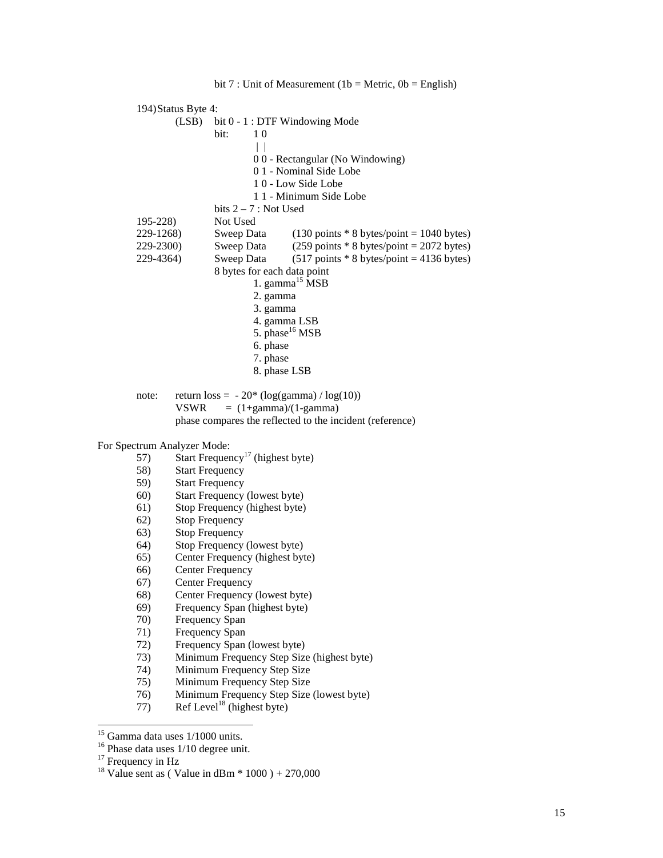|                                    | 194) Status Byte 4:    |                                              |                                                                              |
|------------------------------------|------------------------|----------------------------------------------|------------------------------------------------------------------------------|
| (LSB)                              |                        | bit 0 - 1 : DTF Windowing Mode               |                                                                              |
|                                    |                        | bit:<br>1 <sub>0</sub>                       |                                                                              |
|                                    |                        | $\vert \ \vert$                              |                                                                              |
|                                    |                        |                                              | 00 - Rectangular (No Windowing)                                              |
|                                    |                        |                                              | 01 - Nominal Side Lobe                                                       |
|                                    |                        |                                              | 10 - Low Side Lobe                                                           |
|                                    |                        |                                              | 1 1 - Minimum Side Lobe                                                      |
|                                    |                        | bits $2 - 7$ : Not Used                      |                                                                              |
| $195 - 228$                        |                        | Not Used                                     |                                                                              |
| 229-1268)                          |                        | Sweep Data                                   | $(130 \text{ points} * 8 \text{ bytes} / \text{point} = 1040 \text{ bytes})$ |
| 229-2300)                          |                        | Sweep Data                                   | $(259 \text{ points} * 8 \text{ bytes} / \text{point} = 2072 \text{ bytes})$ |
| 229-4364)                          |                        | Sweep Data                                   | $(517 \text{ points} * 8 \text{ bytes} / \text{point} = 4136 \text{ bytes})$ |
|                                    |                        | 8 bytes for each data point                  |                                                                              |
|                                    |                        |                                              | 1. gamma <sup>15</sup> MSB                                                   |
|                                    |                        | 2. gamma                                     |                                                                              |
|                                    |                        | 3. gamma                                     |                                                                              |
|                                    |                        | 4. gamma LSB                                 |                                                                              |
|                                    |                        | 5. phase <sup>16</sup> MSB                   |                                                                              |
|                                    |                        | 6. phase                                     |                                                                              |
|                                    |                        | 7. phase                                     |                                                                              |
|                                    |                        | 8. phase LSB                                 |                                                                              |
|                                    |                        |                                              |                                                                              |
| note:                              |                        | return $loss = -20^* (log(gamma) / log(10))$ |                                                                              |
|                                    | <b>VSWR</b>            | $= (1 + \text{gamma})/(1 - \text{gamma})$    |                                                                              |
|                                    |                        |                                              | phase compares the reflected to the incident (reference)                     |
|                                    |                        |                                              |                                                                              |
| For Spectrum Analyzer Mode:<br>57) |                        | Start Frequency <sup>17</sup> (highest byte) |                                                                              |
| 58)                                | <b>Start Frequency</b> |                                              |                                                                              |
| 59)                                | <b>Start Frequency</b> |                                              |                                                                              |
| 60)                                |                        | Start Frequency (lowest byte)                |                                                                              |
| 61)                                |                        | Stop Frequency (highest byte)                |                                                                              |
| 62)                                | <b>Stop Frequency</b>  |                                              |                                                                              |
| 63)                                | <b>Stop Frequency</b>  |                                              |                                                                              |
| 64)                                |                        | Stop Frequency (lowest byte)                 |                                                                              |
| 65)                                |                        | Center Frequency (highest byte)              |                                                                              |
|                                    |                        |                                              |                                                                              |

- 66) Center Frequency
- 67) Center Frequency
- 68) Center Frequency (lowest byte)<br>69) Frequency Span (highest byte)
- 69) Frequency Span (highest byte)
- Frequency Span
- 71) Frequency Span<br>72) Frequency Span
- 72) Frequency Span (lowest byte)<br>73) Minimum Frequency Step Size
- $\frac{1}{2}$  Minimum Frequency Step Size (highest byte)
- 74) Minimum Frequency Step Size
- 75) Minimum Frequency Step Size
- 76) Minimum Frequency Step Size (lowest byte)
- 77) Ref Level<sup>18</sup> (highest byte)

 $16$  Phase data uses  $1/10$  degree unit.

 $15$  Gamma data uses  $1/1000$  units.

 $17$  Frequency in Hz

<sup>&</sup>lt;sup>18</sup> Value sent as ( Value in dBm  $*$  1000 ) + 270,000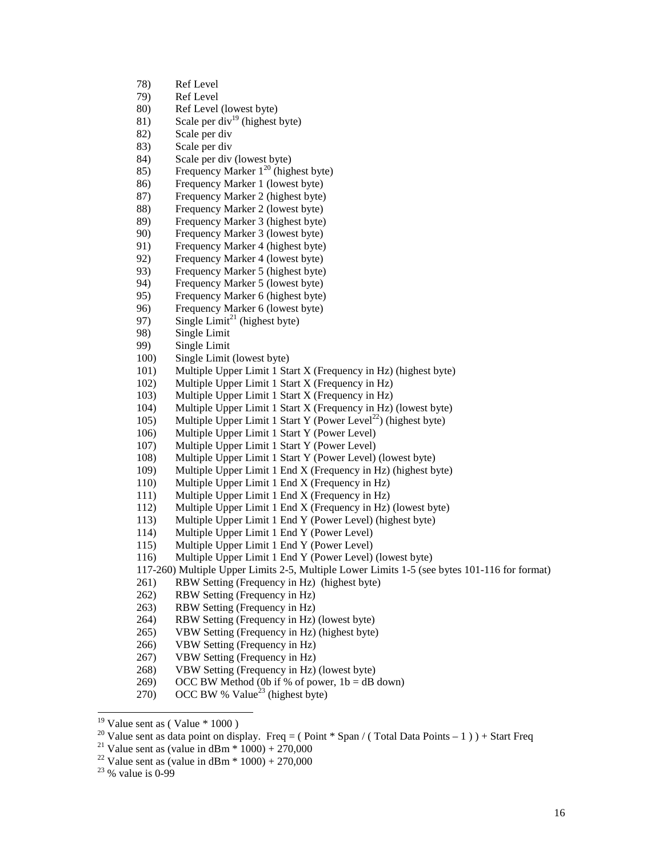- 78) Ref Level
- 79) Ref Level
- 80) Ref Level (lowest byte)
- 81) Scale per div<sup>19</sup> (highest byte)
- 82) Scale per div
- 83) Scale per div
- 84) Scale per div (lowest byte)
- 85) Frequency Marker  $1^{20}$  (highest byte)
- 86) Frequency Marker 1 (lowest byte)
- 87) Frequency Marker 2 (highest byte)
- 88) Frequency Marker 2 (lowest byte)
- 89) Frequency Marker 3 (highest byte)
- 90) Frequency Marker 3 (lowest byte)
- 91) Frequency Marker 4 (highest byte)
- 92) Frequency Marker 4 (lowest byte)
- 93) Frequency Marker 5 (highest byte)
- 94) Frequency Marker 5 (lowest byte)
- 95) Frequency Marker 6 (highest byte)
- 96) Frequency Marker 6 (lowest byte)
- 97) Single Limit<sup>21</sup> (highest byte)<br>98) Single Limit
- Single Limit
- 99) Single Limit
- 100) Single Limit (lowest byte)
- 101) Multiple Upper Limit 1 Start X (Frequency in Hz) (highest byte)
- 102) Multiple Upper Limit 1 Start X (Frequency in Hz)
- 103) Multiple Upper Limit 1 Start X (Frequency in Hz)
- 104) Multiple Upper Limit 1 Start X (Frequency in Hz) (lowest byte)
- 105) Multiple Upper Limit 1 Start Y (Power Level<sup>22</sup>) (highest byte)
- 106) Multiple Upper Limit 1 Start Y (Power Level)
- 107) Multiple Upper Limit 1 Start Y (Power Level)
- 108) Multiple Upper Limit 1 Start Y (Power Level) (lowest byte)
- 109) Multiple Upper Limit 1 End X (Frequency in Hz) (highest byte)
- 110) Multiple Upper Limit 1 End X (Frequency in Hz)
- 111) Multiple Upper Limit 1 End X (Frequency in Hz)
- 112) Multiple Upper Limit 1 End X (Frequency in Hz) (lowest byte)
- 113) Multiple Upper Limit 1 End Y (Power Level) (highest byte)
- 114) Multiple Upper Limit 1 End Y (Power Level)
- 115) Multiple Upper Limit 1 End Y (Power Level)
- 116) Multiple Upper Limit 1 End Y (Power Level) (lowest byte)
- 117-260) Multiple Upper Limits 2-5, Multiple Lower Limits 1-5 (see bytes 101-116 for format)
- 261) RBW Setting (Frequency in Hz) (highest byte)
- 262) RBW Setting (Frequency in Hz)
- 263) RBW Setting (Frequency in Hz)
- 264) RBW Setting (Frequency in Hz) (lowest byte)
- 265) VBW Setting (Frequency in Hz) (highest byte)
- 266) VBW Setting (Frequency in Hz)
- 267) VBW Setting (Frequency in Hz)
- 268) VBW Setting (Frequency in Hz) (lowest byte)
- 269) OCC BW Method (0b if % of power,  $1b = dB$  down)
- 270) OCC BW % Value<sup>23</sup> (highest byte)

<sup>22</sup> Value sent as (value in dBm  $*$  1000) + 270,000

 $19$  Value sent as (Value  $*$  1000)

<sup>&</sup>lt;sup>20</sup> Value sent as data point on display. Freq = ( Point \* Span / ( Total Data Points – 1 ) ) + Start Freq <sup>21</sup> Value sent as (value in dBm \* 1000) + 270,000

 $23\%$  value is 0-99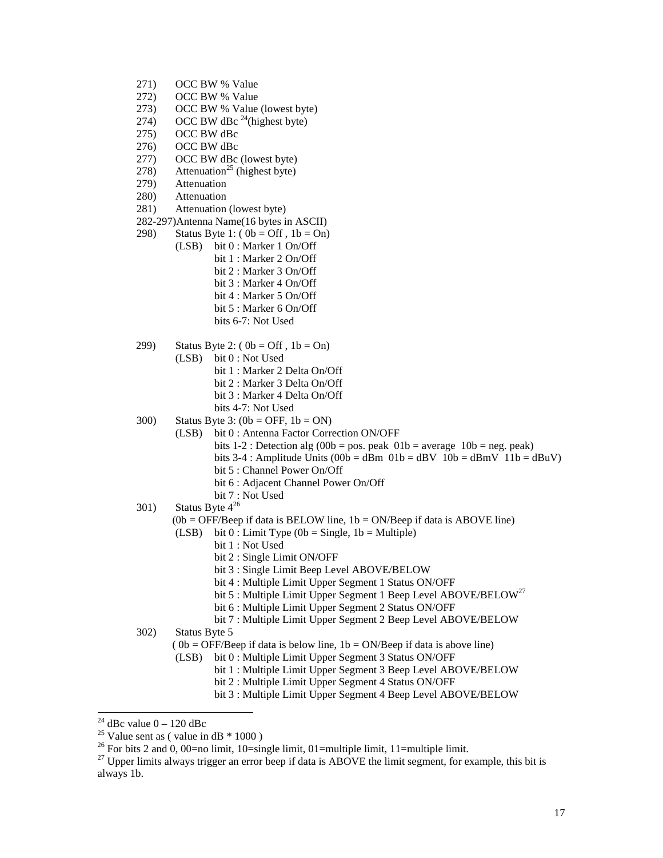- 271) OCC BW % Value
- 272) OCC BW % Value
- 273) OCC BW % Value (lowest byte)<br>274) OCC BW dBc  $^{24}$ (highest byte)
- OCC BW dBc  $^{24}$ (highest byte)
- 275) OCC BW dBc
- 276) OCC BW dBc
- 277) OCC BW dBc (lowest byte)
- $278$ ) Attenuation<sup>25</sup> (highest byte)
- 279) Attenuation
- 280) Attenuation
- 281) Attenuation (lowest byte)
- 282-297)Antenna Name(16 bytes in ASCII)
- 298) Status Byte 1:  $(0b = Off, 1b = On)$ (LSB) bit 0 : Marker 1 On/Off bit 1 : Marker 2 On/Off bit 2 : Marker 3 On/Off bit 3 : Marker 4 On/Off bit 4 : Marker 5 On/Off bit 5 : Marker 6 On/Off bits 6-7: Not Used
- 299) Status Byte 2: ( $0b = \text{Off }$ ,  $1b = \text{On}$ )
	- (LSB) bit 0 : Not Used
		- bit 1 : Marker 2 Delta On/Off bit 2 : Marker 3 Delta On/Off
		- bit 3 : Marker 4 Delta On/Off
		- bits 4-7: Not Used
- $300$  Status Byte 3:  $(0b = OFF, 1b = ON)$ 
	- (LSB) bit 0 : Antenna Factor Correction ON/OFF
		- bits  $1-2$ : Detection alg (00b = pos. peak 01b = average 10b = neg. peak)
		- bits  $3-4$ : Amplitude Units (00b = dBm 01b = dBV 10b = dBmV 11b = dBuV)
		- bit 5 : Channel Power On/Off
		- bit 6 : Adjacent Channel Power On/Off
		- bit 7 : Not Used
- 301) Status Byte  $4^{26}$ 
	- $(0b = OFF/Beep$  if data is BELOW line,  $1b = ON/Beep$  if data is ABOVE line)
	- (LSB) bit  $0:$  Limit Type (0b = Single, 1b = Multiple)
		- bit 1 : Not Used
		- bit 2 : Single Limit ON/OFF
		- bit 3 : Single Limit Beep Level ABOVE/BELOW
		- bit 4 : Multiple Limit Upper Segment 1 Status ON/OFF
		- bit 5 : Multiple Limit Upper Segment 1 Beep Level ABOVE/BELOW<sup>27</sup>
		- bit 6 : Multiple Limit Upper Segment 2 Status ON/OFF
		- bit 7 : Multiple Limit Upper Segment 2 Beep Level ABOVE/BELOW

302) Status Byte 5

- $(0b = OFF/Beep$  if data is below line,  $1b = ON/Beep$  if data is above line)
- (LSB) bit 0 : Multiple Limit Upper Segment 3 Status ON/OFF
	- bit 1 : Multiple Limit Upper Segment 3 Beep Level ABOVE/BELOW
	- bit 2 : Multiple Limit Upper Segment 4 Status ON/OFF
	- bit 3 : Multiple Limit Upper Segment 4 Beep Level ABOVE/BELOW

<sup>&</sup>lt;sup>24</sup> dBc value  $0 - 120$  dBc

<sup>&</sup>lt;sup>25</sup> Value sent as ( value in dB  $*$  1000 )

<sup>&</sup>lt;sup>26</sup> For bits 2 and 0, 00=no limit, 10=single limit, 01=multiple limit, 11=multiple limit.

 $^{27}$  Upper limits always trigger an error beep if data is ABOVE the limit segment, for example, this bit is always 1b.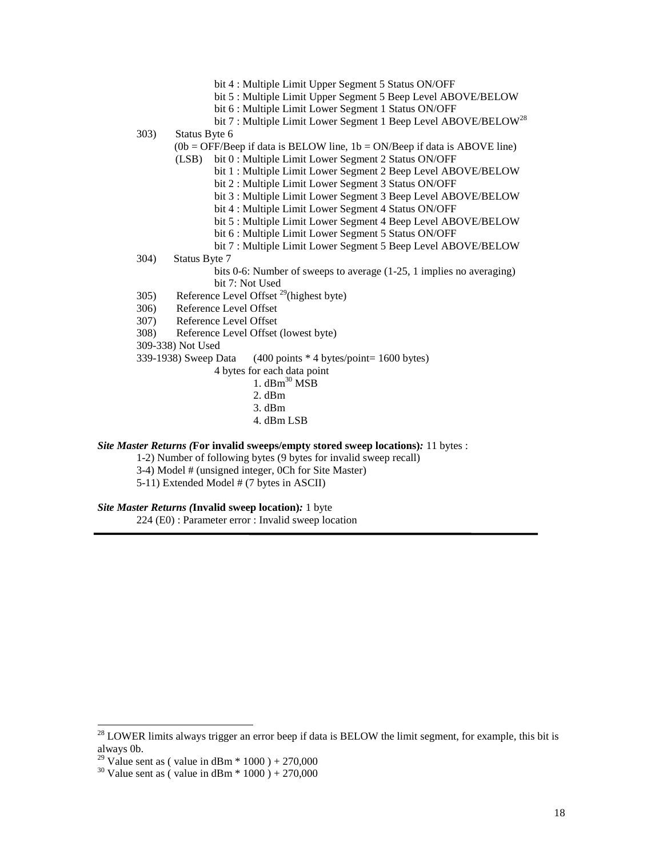- bit 4 : Multiple Limit Upper Segment 5 Status ON/OFF
- bit 5 : Multiple Limit Upper Segment 5 Beep Level ABOVE/BELOW
- bit 6 : Multiple Limit Lower Segment 1 Status ON/OFF
- bit 7 : Multiple Limit Lower Segment 1 Beep Level ABOVE/BELOW<sup>28</sup>

303) Status Byte 6

 $(0b = OFF/Beep$  if data is BELOW line,  $1b = ON/Beep$  if data is ABOVE line)

- (LSB) bit 0 : Multiple Limit Lower Segment 2 Status ON/OFF
	- bit 1 : Multiple Limit Lower Segment 2 Beep Level ABOVE/BELOW
		- bit 2 : Multiple Limit Lower Segment 3 Status ON/OFF
		- bit 3 : Multiple Limit Lower Segment 3 Beep Level ABOVE/BELOW
		- bit 4 : Multiple Limit Lower Segment 4 Status ON/OFF
	- bit 5 : Multiple Limit Lower Segment 4 Beep Level ABOVE/BELOW
	- bit 6 : Multiple Limit Lower Segment 5 Status ON/OFF
	- bit 7 : Multiple Limit Lower Segment 5 Beep Level ABOVE/BELOW
- 304) Status Byte 7

 bits 0-6: Number of sweeps to average (1-25, 1 implies no averaging) bit 7: Not Used

- 305) Reference Level Offset  $^{29}$ (highest byte)
- 306) Reference Level Offset
- 307) Reference Level Offset
- 308) Reference Level Offset (lowest byte)
- 

309-338) Not Used  $(400 \text{ points} * 4 \text{ bytes} / \text{point} = 1600 \text{ bytes})$ 

- 4 bytes for each data point
	- 1.  $dBm^{30}$  MSB
	- 2. dBm
	- 3. dBm
	- 4. dBm LSB

## *Site Master Returns (***For invalid sweeps/empty stored sweep locations)***:* 11 bytes :

- 1-2) Number of following bytes (9 bytes for invalid sweep recall)
- 3-4) Model # (unsigned integer, 0Ch for Site Master)
- 5-11) Extended Model # (7 bytes in ASCII)

## *Site Master Returns (***Invalid sweep location)***:* 1 byte

224 (E0) : Parameter error : Invalid sweep location

 $^{28}$  LOWER limits always trigger an error beep if data is BELOW the limit segment, for example, this bit is always 0b.

<sup>&</sup>lt;sup>29</sup> Value sent as ( value in dBm  $*$  1000 ) + 270,000

<sup>&</sup>lt;sup>30</sup> Value sent as ( value in dBm  $*$  1000 ) + 270,000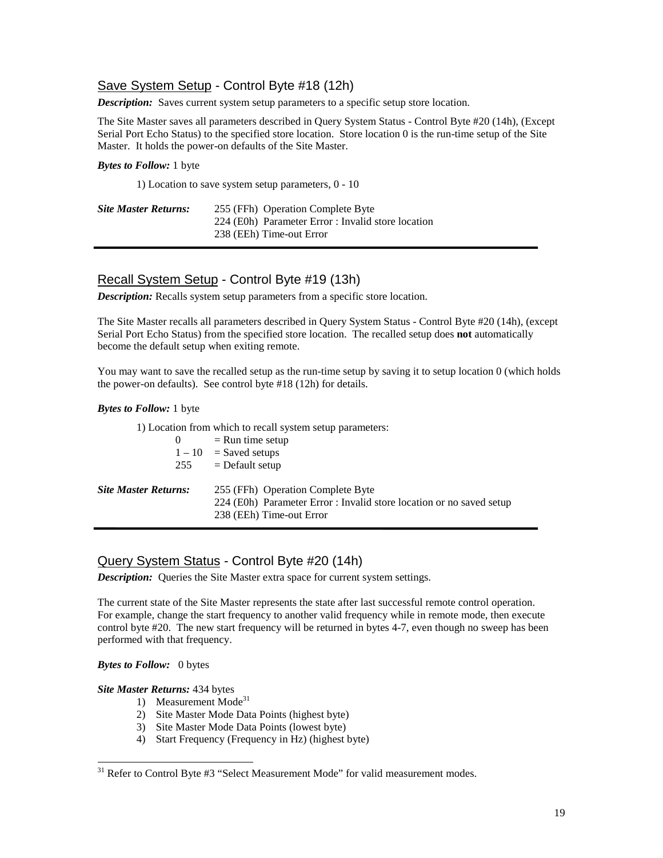# Save System Setup - Control Byte #18 (12h)

*Description:* Saves current system setup parameters to a specific setup store location.

The Site Master saves all parameters described in Query System Status - Control Byte #20 (14h), (Except Serial Port Echo Status) to the specified store location. Store location 0 is the run-time setup of the Site Master. It holds the power-on defaults of the Site Master.

#### *Bytes to Follow:* 1 byte

1) Location to save system setup parameters, 0 - 10

| <b>Site Master Returns:</b> | 255 (FFh) Operation Complete Byte                  |  |
|-----------------------------|----------------------------------------------------|--|
|                             | 224 (E0h) Parameter Error : Invalid store location |  |
|                             | 238 (EEh) Time-out Error                           |  |

## Recall System Setup - Control Byte #19 (13h)

*Description:* Recalls system setup parameters from a specific store location.

The Site Master recalls all parameters described in Query System Status - Control Byte #20 (14h), (except Serial Port Echo Status) from the specified store location. The recalled setup does **not** automatically become the default setup when exiting remote.

You may want to save the recalled setup as the run-time setup by saving it to setup location 0 (which holds the power-on defaults). See control byte #18 (12h) for details.

#### *Bytes to Follow:* 1 byte

1) Location from which to recall system setup parameters:  $0 =$  Run time setup  $1 - 10$  = Saved setups  $255$  = Default setup *Site Master Returns:* 255 (FFh) Operation Complete Byte 224 (E0h) Parameter Error : Invalid store location or no saved setup 238 (EEh) Time-out Error

# Query System Status - Control Byte #20 (14h)

*Description:* Queries the Site Master extra space for current system settings.

The current state of the Site Master represents the state after last successful remote control operation. For example, change the start frequency to another valid frequency while in remote mode, then execute control byte #20. The new start frequency will be returned in bytes 4-7, even though no sweep has been performed with that frequency.

## *Bytes to Follow:*0 bytes

 $\overline{a}$ 

#### *Site Master Returns:* 434 bytes

- 1) Measurement Mode<sup>31</sup>
- 2) Site Master Mode Data Points (highest byte)
- 3) Site Master Mode Data Points (lowest byte)
- 4) Start Frequency (Frequency in Hz) (highest byte)

 $31$  Refer to Control Byte #3 "Select Measurement Mode" for valid measurement modes.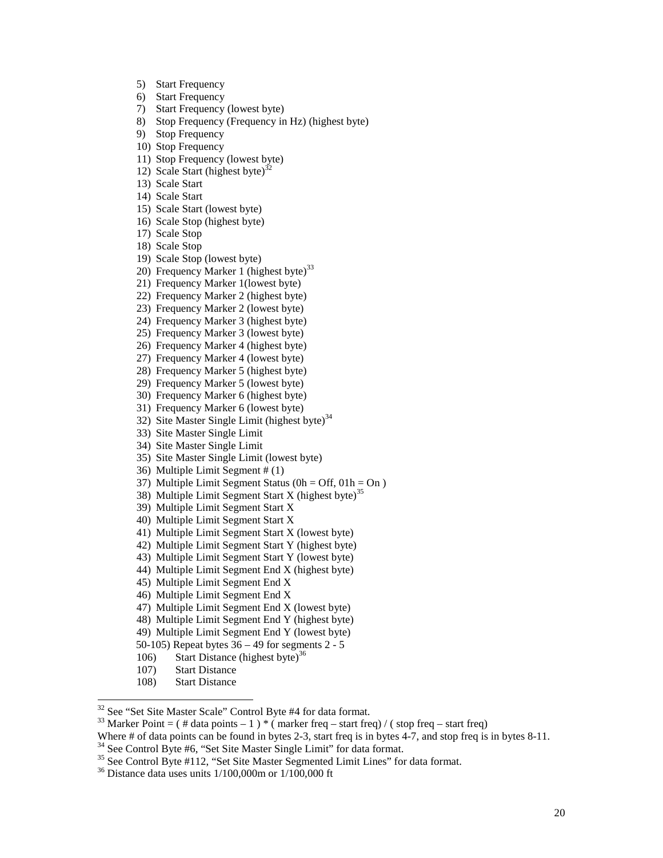- 5) Start Frequency
- 6) Start Frequency
- 7) Start Frequency (lowest byte)
- 8) Stop Frequency (Frequency in Hz) (highest byte)
- 9) Stop Frequency
- 10) Stop Frequency
- 11) Stop Frequency (lowest byte)
- 12) Scale Start (highest byte) $32$
- 13) Scale Start
- 14) Scale Start
- 15) Scale Start (lowest byte)
- 16) Scale Stop (highest byte)
- 17) Scale Stop
- 18) Scale Stop
- 19) Scale Stop (lowest byte)
- 20) Frequency Marker 1 (highest byte) $33$
- 21) Frequency Marker 1(lowest byte)
- 22) Frequency Marker 2 (highest byte)
- 23) Frequency Marker 2 (lowest byte)
- 24) Frequency Marker 3 (highest byte)
- 25) Frequency Marker 3 (lowest byte)
- 26) Frequency Marker 4 (highest byte)
- 27) Frequency Marker 4 (lowest byte)
- 28) Frequency Marker 5 (highest byte)
- 29) Frequency Marker 5 (lowest byte)
- 30) Frequency Marker 6 (highest byte)
- 31) Frequency Marker 6 (lowest byte)
- 32) Site Master Single Limit (highest byte)<sup>34</sup>
- 33) Site Master Single Limit
- 34) Site Master Single Limit
- 35) Site Master Single Limit (lowest byte)
- 36) Multiple Limit Segment # (1)
- 37) Multiple Limit Segment Status ( $0h = \text{Off}, 01h = \text{On}$ )
- 38) Multiple Limit Segment Start X (highest byte)<sup>35</sup>
- 39) Multiple Limit Segment Start X
- 40) Multiple Limit Segment Start X
- 41) Multiple Limit Segment Start X (lowest byte)
- 42) Multiple Limit Segment Start Y (highest byte)
- 43) Multiple Limit Segment Start Y (lowest byte)
- 44) Multiple Limit Segment End X (highest byte)
- 45) Multiple Limit Segment End X
- 46) Multiple Limit Segment End X
- 47) Multiple Limit Segment End X (lowest byte)
- 48) Multiple Limit Segment End Y (highest byte)
- 49) Multiple Limit Segment End Y (lowest byte)
- 50-105) Repeat bytes  $36 49$  for segments  $2 5$
- 106) Start Distance (highest byte)<sup>36</sup>
- 107) Start Distance
- 108) Start Distance

<sup>&</sup>lt;sup>32</sup> See "Set Site Master Scale" Control Byte #4 for data format.

<sup>&</sup>lt;sup>33</sup> Marker Point = ( # data points – 1 ) \* ( marker freq – start freq) / ( stop freq – start freq)

Where # of data points can be found in bytes 2-3, start freq is in bytes 4-7, and stop freq is in bytes 8-11.

<sup>&</sup>lt;sup>34</sup> See Control Byte #6, "Set Site Master Single Limit" for data format.<br><sup>35</sup> See Control Byte #112, "Set Site Master Segmented Limit Lines" for data format.<br><sup>36</sup> Distance data uses units 1/100,000m or 1/100,000 ft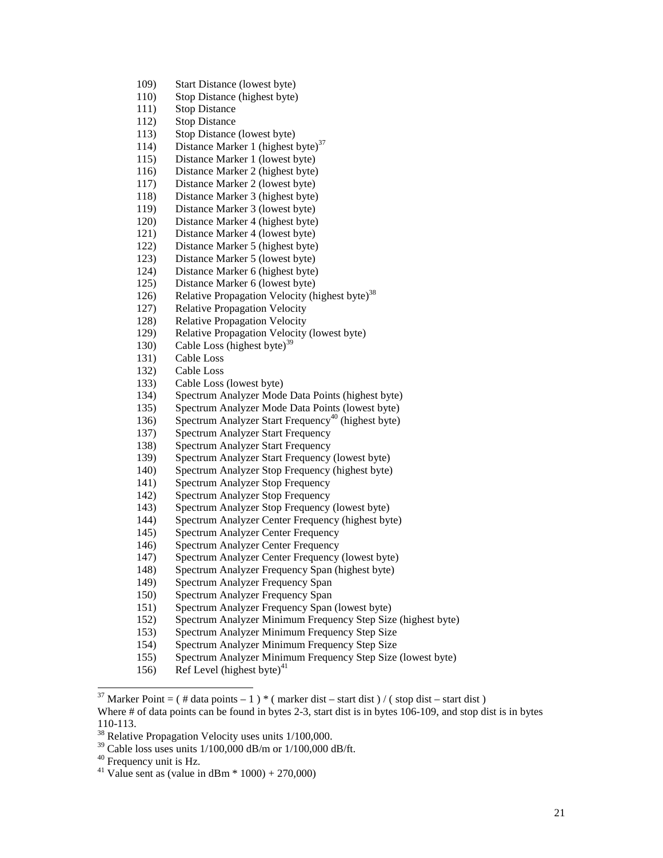- 109) Start Distance (lowest byte)
- 110) Stop Distance (highest byte)
- 111) Stop Distance
- 112) Stop Distance
- 113) Stop Distance (lowest byte)
- 114) Distance Marker 1 (highest byte)<sup>37</sup>
- 115) Distance Marker 1 (lowest byte)
- 116) Distance Marker 2 (highest byte)
- 117) Distance Marker 2 (lowest byte)
- 118) Distance Marker 3 (highest byte)
- 119) Distance Marker 3 (lowest byte)
- 120) Distance Marker 4 (highest byte)
- 121) Distance Marker 4 (lowest byte)
- 122) Distance Marker 5 (highest byte)
- 123) Distance Marker 5 (lowest byte)
- 124) Distance Marker 6 (highest byte)
- 125) Distance Marker 6 (lowest byte)
- 126) Relative Propagation Velocity (highest byte)<sup>38</sup>
- 127) Relative Propagation Velocity
- 128) Relative Propagation Velocity
- 129) Relative Propagation Velocity (lowest byte)
- 130) Cable Loss (highest byte)<sup>39</sup>
- 131) Cable Loss
- 132) Cable Loss
- 133) Cable Loss (lowest byte)
- 134) Spectrum Analyzer Mode Data Points (highest byte)
- 135) Spectrum Analyzer Mode Data Points (lowest byte)
- 136) Spectrum Analyzer Start Frequency<sup>40</sup> (highest byte)
- 137) Spectrum Analyzer Start Frequency
- 138) Spectrum Analyzer Start Frequency
- 139) Spectrum Analyzer Start Frequency (lowest byte)
- 140) Spectrum Analyzer Stop Frequency (highest byte)
- 141) Spectrum Analyzer Stop Frequency
- 142) Spectrum Analyzer Stop Frequency
- 143) Spectrum Analyzer Stop Frequency (lowest byte)
- 144) Spectrum Analyzer Center Frequency (highest byte)
- 145) Spectrum Analyzer Center Frequency
- 146) Spectrum Analyzer Center Frequency
- 147) Spectrum Analyzer Center Frequency (lowest byte)
- 148) Spectrum Analyzer Frequency Span (highest byte)
- 149) Spectrum Analyzer Frequency Span
- 150) Spectrum Analyzer Frequency Span
- 151) Spectrum Analyzer Frequency Span (lowest byte)
- 152) Spectrum Analyzer Minimum Frequency Step Size (highest byte)
- 153) Spectrum Analyzer Minimum Frequency Step Size
- 154) Spectrum Analyzer Minimum Frequency Step Size
- 155) Spectrum Analyzer Minimum Frequency Step Size (lowest byte)
- 156) Ref Level (highest byte)<sup>41</sup>

- $39$  Cable loss uses units 1/100,000 dB/m or 1/100,000 dB/ft.
- <sup>40</sup> Frequency unit is Hz.

<sup>&</sup>lt;sup>37</sup> Marker Point = ( # data points – 1 ) \* ( marker dist – start dist ) / ( stop dist – start dist )

Where # of data points can be found in bytes 2-3, start dist is in bytes 106-109, and stop dist is in bytes 110-113.

<sup>&</sup>lt;sup>38</sup> Relative Propagation Velocity uses units 1/100,000.

<sup>&</sup>lt;sup>41</sup> Value sent as (value in dBm  $*$  1000) + 270,000)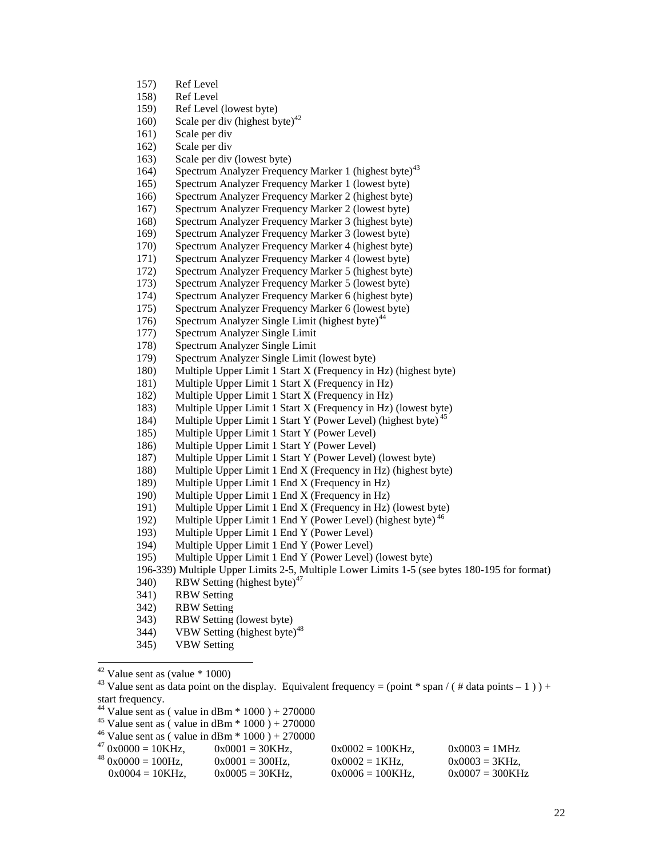- 157) Ref Level
- 158) Ref Level
- 159) Ref Level (lowest byte)
- 160) Scale per div (highest byte) $42$
- 161) Scale per div
- 162) Scale per div
- 163) Scale per div (lowest byte)
- 164) Spectrum Analyzer Frequency Marker 1 (highest byte)<sup>43</sup>
- 165) Spectrum Analyzer Frequency Marker 1 (lowest byte)
- 166) Spectrum Analyzer Frequency Marker 2 (highest byte)
- 167) Spectrum Analyzer Frequency Marker 2 (lowest byte)
- 168) Spectrum Analyzer Frequency Marker 3 (highest byte)
- 169) Spectrum Analyzer Frequency Marker 3 (lowest byte)
- 170) Spectrum Analyzer Frequency Marker 4 (highest byte)<br>171) Spectrum Analyzer Frequency Marker 4 (lowest byte)
- Spectrum Analyzer Frequency Marker 4 (lowest byte)
- 172) Spectrum Analyzer Frequency Marker 5 (highest byte)
- 173) Spectrum Analyzer Frequency Marker 5 (lowest byte)
- 174) Spectrum Analyzer Frequency Marker 6 (highest byte) 175) Spectrum Analyzer Frequency Marker 6 (lowest byte)
- 
- 176) Spectrum Analyzer Single Limit (highest byte) $44$
- 177) Spectrum Analyzer Single Limit
- 178) Spectrum Analyzer Single Limit
- 179) Spectrum Analyzer Single Limit (lowest byte)
- 180) Multiple Upper Limit 1 Start X (Frequency in Hz) (highest byte)
- 181) Multiple Upper Limit 1 Start X (Frequency in Hz)
- 182) Multiple Upper Limit 1 Start X (Frequency in Hz)
- 183) Multiple Upper Limit 1 Start X (Frequency in Hz) (lowest byte)
- 184) Multiple Upper Limit 1 Start Y (Power Level) (highest byte)<sup>45</sup>
- 185) Multiple Upper Limit 1 Start Y (Power Level)
- 186) Multiple Upper Limit 1 Start Y (Power Level)
- 187) Multiple Upper Limit 1 Start Y (Power Level) (lowest byte)
- 188) Multiple Upper Limit 1 End X (Frequency in Hz) (highest byte)
- 189) Multiple Upper Limit 1 End X (Frequency in Hz)
- 190) Multiple Upper Limit 1 End X (Frequency in Hz)
- 191) Multiple Upper Limit 1 End X (Frequency in Hz) (lowest byte)
- 192) Multiple Upper Limit 1 End Y (Power Level) (highest byte)  $46$
- 193) Multiple Upper Limit 1 End Y (Power Level)
- 194) Multiple Upper Limit 1 End Y (Power Level)
- 195) Multiple Upper Limit 1 End Y (Power Level) (lowest byte)
- 196-339) Multiple Upper Limits 2-5, Multiple Lower Limits 1-5 (see bytes 180-195 for format)
- 340) RBW Setting (highest byte) $47$
- 341) RBW Setting
- 342) RBW Setting
- 343) RBW Setting (lowest byte)
- 344) VBW Setting (highest byte)<sup>48</sup>
- 345) VBW Setting
- $42$  Value sent as (value  $*$  1000)

<sup>&</sup>lt;sup>46</sup> Value sent as ( value in dBm \* 1000 ) + 270000<br><sup>47</sup> 0x0000 - 10KHz<br>0x0001 - 30KHz

| $470x0000 = 10KHz$ ,  | $0x0001 = 30KHz$ . | $0x0002 = 100KHz$ . | $0x0003 = 1MHz$   |
|-----------------------|--------------------|---------------------|-------------------|
| $480x0000 = 100 Hz$ , | $0x0001 = 300 Hz.$ | $0x0002 = 1KHz$ .   | $0x0003 = 3KHz$ . |
| $0x0004 = 10KHz$ .    | $0x0005 = 30KHz.$  | $0x0006 = 100KHz$ . | $0x0007 = 300KHz$ |

<sup>&</sup>lt;sup>43</sup> Value sent as data point on the display. Equivalent frequency = (point \* span / ( # data points – 1 ) ) + start frequency.

<sup>&</sup>lt;sup>44</sup> Value sent as ( value in dBm  $*$  1000 ) + 270000

<sup>&</sup>lt;sup>45</sup> Value sent as ( value in dBm  $*$  1000 ) + 270000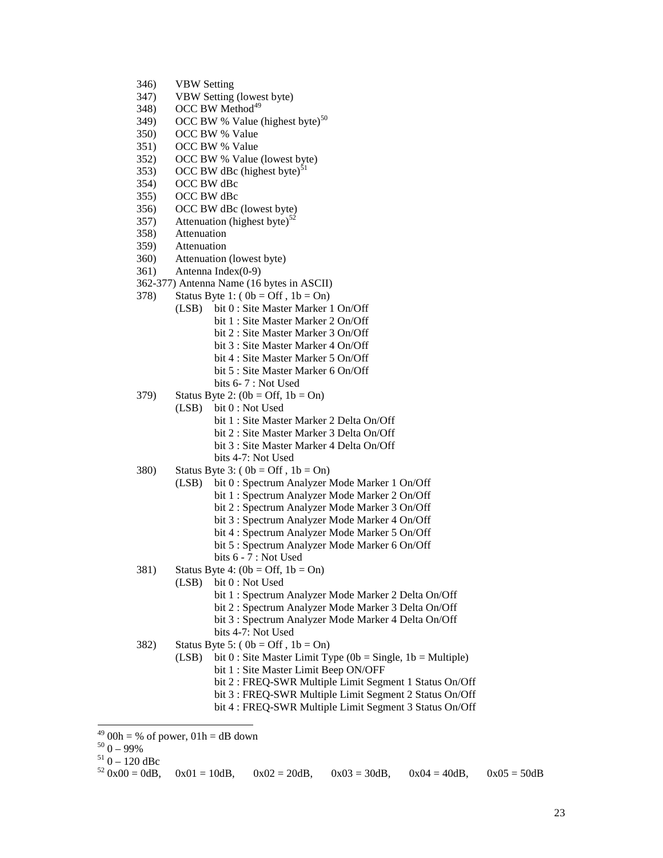- 346) VBW Setting
- 347) VBW Setting (lowest byte)
- $348$ ) OCC BW Method<sup>49</sup>
- 349) OCC BW % Value (highest byte)<sup>50</sup>
- 350) OCC BW % Value
- 351) OCC BW % Value
- 352) OCC BW % Value (lowest byte)
- 353) OCC BW dBc (highest byte)<sup>51</sup>
- 354) OCC BW dBc
- 355) OCC BW dBc
- 356) OCC BW dBc (lowest byte)
- 357) Attenuation (highest byte)<sup>52</sup>
- 358) Attenuation
- 359) Attenuation
- 360) Attenuation (lowest byte)
- 361) Antenna Index(0-9)
- 362-377) Antenna Name (16 bytes in ASCII)
- 378) Status Byte 1:  $(0b = \text{Off}, 1b = \text{On})$ 
	- (LSB) bit 0 : Site Master Marker 1 On/Off bit 1 : Site Master Marker 2 On/Off bit 2 : Site Master Marker 3 On/Off bit 3 : Site Master Marker 4 On/Off bit 4 : Site Master Marker 5 On/Off
		- bit 5 : Site Master Marker 6 On/Off
		- bits 6- 7 : Not Used
- 379) Status Byte 2:  $(0b = \text{Off}, 1b = \text{On})$ 
	- (LSB) bit 0 : Not Used
		- bit 1 : Site Master Marker 2 Delta On/Off
		- bit 2 : Site Master Marker 3 Delta On/Off
		- bit 3 : Site Master Marker 4 Delta On/Off
		- bits 4-7: Not Used
- 380) Status Byte 3:  $(0b = Off, 1b = On)$ 
	- (LSB) bit 0 : Spectrum Analyzer Mode Marker 1 On/Off
		- bit 1 : Spectrum Analyzer Mode Marker 2 On/Off
		- bit 2 : Spectrum Analyzer Mode Marker 3 On/Off
		- bit 3 : Spectrum Analyzer Mode Marker 4 On/Off
		- bit 4 : Spectrum Analyzer Mode Marker 5 On/Off
		- bit 5 : Spectrum Analyzer Mode Marker 6 On/Off
		- bits 6 7 : Not Used
- 381) Status Byte 4:  $(0b = \text{Off}, 1b = \text{On})$ 
	- (LSB) bit 0 : Not Used
		- bit 1 : Spectrum Analyzer Mode Marker 2 Delta On/Off
		- bit 2 : Spectrum Analyzer Mode Marker 3 Delta On/Off
		- bit 3 : Spectrum Analyzer Mode Marker 4 Delta On/Off
		- bits 4-7: Not Used
- 382) Status Byte 5: ( $0b = \text{Off }$ ,  $1b = \text{On}$ )
- (LSB) bit  $0:$  Site Master Limit Type (0b = Single, 1b = Multiple) bit 1 : Site Master Limit Beep ON/OFF
	- bit 2 : FREQ-SWR Multiple Limit Segment 1 Status On/Off
	- bit 3 : FREQ-SWR Multiple Limit Segment 2 Status On/Off
	- bit 4 : FREQ-SWR Multiple Limit Segment 3 Status On/Off
- $\overline{a}$  $^{49}$  00h = % of power, 01h = dB down

<sup>&</sup>lt;sup>50</sup> 0 – 99%<br><sup>51</sup> 0 – 120 dBc<br><sup>52</sup> 0x00 = 0dB, 0x01 = 10dB, 0x02 = 20dB, 0x03 = 30dB, 0x04 = 40dB, 0x05 = 50dB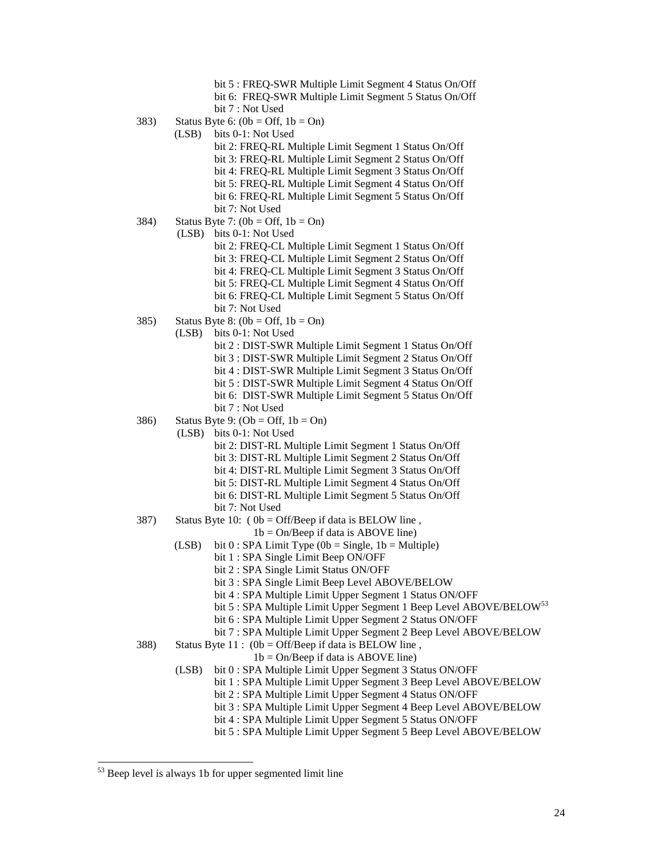|      | bit 5 : FREQ-SWR Multiple Limit Segment 4 Status On/Off<br>bit 6: FREQ-SWR Multiple Limit Segment 5 Status On/Off<br>bit 7 : Not Used |
|------|---------------------------------------------------------------------------------------------------------------------------------------|
| 383) | Status Byte 6: $(0b = Off, 1b = On)$                                                                                                  |
|      | (LSB)<br>bits 0-1: Not Used                                                                                                           |
|      | bit 2: FREQ-RL Multiple Limit Segment 1 Status On/Off                                                                                 |
|      | bit 3: FREQ-RL Multiple Limit Segment 2 Status On/Off                                                                                 |
|      | bit 4: FREQ-RL Multiple Limit Segment 3 Status On/Off                                                                                 |
|      | bit 5: FREQ-RL Multiple Limit Segment 4 Status On/Off                                                                                 |
|      | bit 6: FREQ-RL Multiple Limit Segment 5 Status On/Off                                                                                 |
|      | bit 7: Not Used                                                                                                                       |
| 384) | Status Byte 7: $(0b = Off, 1b = On)$                                                                                                  |
|      | bits 0-1: Not Used<br>(LSB)                                                                                                           |
|      | bit 2: FREQ-CL Multiple Limit Segment 1 Status On/Off                                                                                 |
|      | bit 3: FREQ-CL Multiple Limit Segment 2 Status On/Off                                                                                 |
|      | bit 4: FREQ-CL Multiple Limit Segment 3 Status On/Off                                                                                 |
|      | bit 5: FREQ-CL Multiple Limit Segment 4 Status On/Off                                                                                 |
|      | bit 6: FREQ-CL Multiple Limit Segment 5 Status On/Off                                                                                 |
|      | bit 7: Not Used                                                                                                                       |
| 385) | Status Byte 8: $(0b = Off, 1b = On)$                                                                                                  |
|      | bits 0-1: Not Used<br>(LSB)                                                                                                           |
|      | bit 2 : DIST-SWR Multiple Limit Segment 1 Status On/Off                                                                               |
|      | bit 3 : DIST-SWR Multiple Limit Segment 2 Status On/Off                                                                               |
|      | bit 4 : DIST-SWR Multiple Limit Segment 3 Status On/Off                                                                               |
|      | bit 5 : DIST-SWR Multiple Limit Segment 4 Status On/Off                                                                               |
|      | bit 6: DIST-SWR Multiple Limit Segment 5 Status On/Off                                                                                |
|      | bit 7 : Not Used                                                                                                                      |
| 386) | Status Byte 9: $(Ob = Off, 1b = On)$                                                                                                  |
|      | (LSB)<br>bits 0-1: Not Used                                                                                                           |
|      | bit 2: DIST-RL Multiple Limit Segment 1 Status On/Off                                                                                 |
|      | bit 3: DIST-RL Multiple Limit Segment 2 Status On/Off                                                                                 |
|      | bit 4: DIST-RL Multiple Limit Segment 3 Status On/Off                                                                                 |
|      | bit 5: DIST-RL Multiple Limit Segment 4 Status On/Off                                                                                 |
|      | bit 6: DIST-RL Multiple Limit Segment 5 Status On/Off                                                                                 |
|      | bit 7: Not Used                                                                                                                       |
| 387) | Status Byte 10: $(0b = Off/Beep \text{ if data is} BELOW \text{ line},$                                                               |
|      | $1b = On/Beep$ if data is ABOVE line)                                                                                                 |
|      | (LSB)<br>bit $0:$ SPA Limit Type (0b = Single, 1b = Multiple)                                                                         |
|      | bit 1 : SPA Single Limit Beep ON/OFF                                                                                                  |
|      | bit 2 : SPA Single Limit Status ON/OFF                                                                                                |
|      | bit 3 : SPA Single Limit Beep Level ABOVE/BELOW                                                                                       |
|      | bit 4 : SPA Multiple Limit Upper Segment 1 Status ON/OFF                                                                              |
|      | bit 5 : SPA Multiple Limit Upper Segment 1 Beep Level ABOVE/BELOW <sup>53</sup>                                                       |
|      | bit 6 : SPA Multiple Limit Upper Segment 2 Status ON/OFF                                                                              |
|      | bit 7 : SPA Multiple Limit Upper Segment 2 Beep Level ABOVE/BELOW                                                                     |
| 388) | Status Byte $11$ : (0b = Off/Beep if data is BELOW line,                                                                              |
|      | $1b = On/Beep$ if data is ABOVE line)                                                                                                 |
|      | (LSB)<br>bit 0 : SPA Multiple Limit Upper Segment 3 Status ON/OFF                                                                     |
|      | bit 1 : SPA Multiple Limit Upper Segment 3 Beep Level ABOVE/BELOW                                                                     |
|      | bit 2 : SPA Multiple Limit Upper Segment 4 Status ON/OFF                                                                              |
|      | bit 3 : SPA Multiple Limit Upper Segment 4 Beep Level ABOVE/BELOW                                                                     |
|      | bit 4 : SPA Multiple Limit Upper Segment 5 Status ON/OFF                                                                              |
|      | bit 5 : SPA Multiple Limit Upper Segment 5 Beep Level ABOVE/BELOW                                                                     |

<sup>&</sup>lt;sup>53</sup> Beep level is always 1b for upper segmented limit line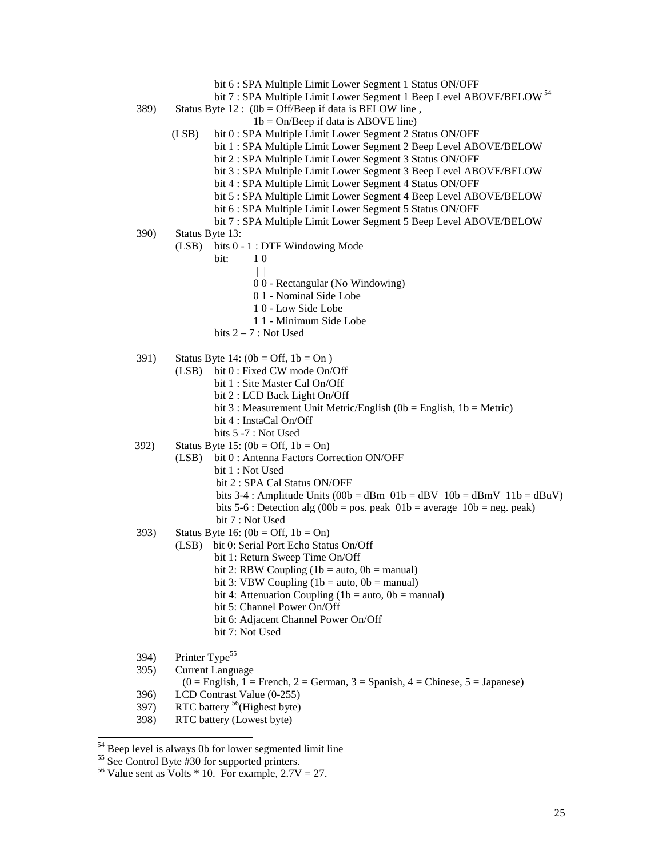- bit 6 : SPA Multiple Limit Lower Segment 1 Status ON/OFF
- bit 7 : SPA Multiple Limit Lower Segment 1 Beep Level ABOVE/BELOW<sup>54</sup>
- 389) Status Byte 12 :  $(0b = Off/Beep \text{ if data is BELOW line}$ ,
	- $1b = On/Beep$  if data is ABOVE line)
	- (LSB) bit 0 : SPA Multiple Limit Lower Segment 2 Status ON/OFF
		- bit 1 : SPA Multiple Limit Lower Segment 2 Beep Level ABOVE/BELOW
			- bit 2 : SPA Multiple Limit Lower Segment 3 Status ON/OFF
		- bit 3 : SPA Multiple Limit Lower Segment 3 Beep Level ABOVE/BELOW
		- bit 4 : SPA Multiple Limit Lower Segment 4 Status ON/OFF
		- bit 5 : SPA Multiple Limit Lower Segment 4 Beep Level ABOVE/BELOW
		- bit 6 : SPA Multiple Limit Lower Segment 5 Status ON/OFF
		- bit 7 : SPA Multiple Limit Lower Segment 5 Beep Level ABOVE/BELOW
- 390) Status Byte 13:
	- (LSB) bits 0 1 : DTF Windowing Mode
		- bit: 1 0
			- | |
				- 0 0 Rectangular (No Windowing)
				- 0 1 Nominal Side Lobe
				- 1 0 Low Side Lobe
			- 1 1 Minimum Side Lobe
		- bits 2 7 : Not Used
- 391) Status Byte 14:  $(0b = Off, 1b = On)$ 
	- (LSB) bit 0 : Fixed CW mode On/Off
		- bit 1 : Site Master Cal On/Off
			- bit 2 : LCD Back Light On/Off
			- bit 3 : Measurement Unit Metric/English ( $0b =$  English, 1b = Metric)
			- bit 4 : InstaCal On/Off
			- bits 5 -7 : Not Used
- 392) Status Byte 15:  $(0b = \text{Off}, 1b = \text{On})$ 
	- (LSB) bit 0 : Antenna Factors Correction ON/OFF bit 1 : Not Used
		-
		- bit 2 : SPA Cal Status ON/OFF
		- bits 3-4 : Amplitude Units  $(00b = dBm 01b = dBv 10b = dBmV 11b = dBuV)$ bits 5-6 : Detection alg (00b = pos. peak  $01b =$  average  $10b =$  neg. peak)
		- bit 7 : Not Used
- 393) Status Byte 16:  $(0b = \text{Off. } 1b = \text{On})$ 
	- (LSB) bit 0: Serial Port Echo Status On/Off
		- bit 1: Return Sweep Time On/Off
		- bit 2: RBW Coupling  $(1b = auto, 0b = manual)$
		- bit 3: VBW Coupling  $(1b = auto, 0b = manual)$
		- bit 4: Attenuation Coupling (1b = auto,  $0b$  = manual)
		- bit 5: Channel Power On/Off
		- bit 6: Adjacent Channel Power On/Off
		- bit 7: Not Used
- 394) Printer Type<sup>55</sup>

 $\overline{a}$ 

- 395) Current Language
	- $(0 =$  English, 1 = French, 2 = German, 3 = Spanish, 4 = Chinese, 5 = Japanese)
- 396) LCD Contrast Value (0-255)
- 397) RTC battery <sup>56</sup>(Highest byte)
- 398) RTC battery (Lowest byte)

 $55$  See Control Byte #30 for supported printers.

<sup>&</sup>lt;sup>54</sup> Beep level is always 0b for lower segmented limit line

<sup>&</sup>lt;sup>56</sup> Value sent as Volts  $*$  10. For example, 2.7V = 27.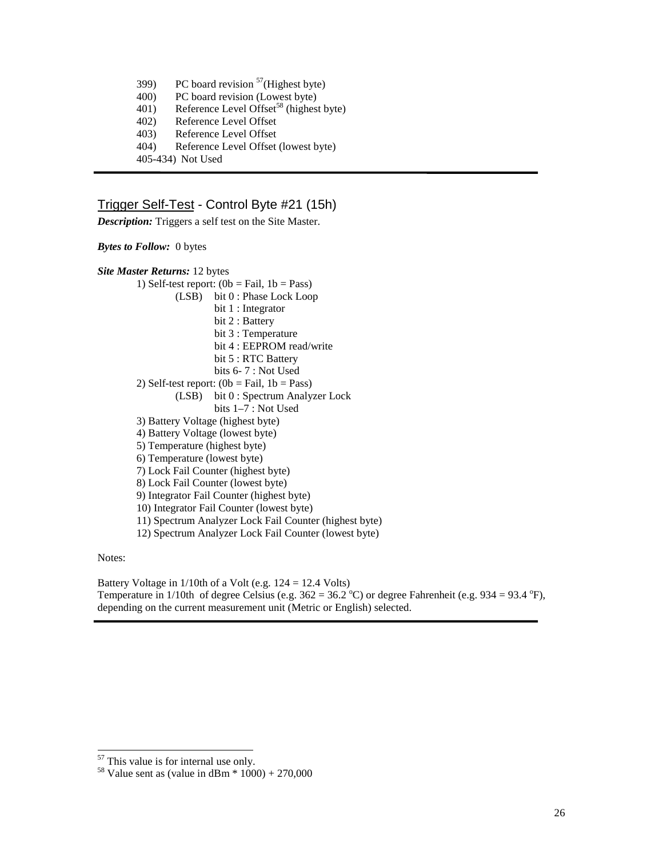- 399) PC board revision  $57$ (Highest byte)
- 400) PC board revision (Lowest byte)
- 401) Reference Level Offset<sup>58</sup> (highest byte)
- 402) Reference Level Offset
- 403) Reference Level Offset
- 404) Reference Level Offset (lowest byte)
- 405-434) Not Used

# Trigger Self-Test - Control Byte #21 (15h)

*Description:* Triggers a self test on the Site Master.

*Bytes to Follow:* 0 bytes

| <b>Site Master Returns: 12 bytes</b>                        |
|-------------------------------------------------------------|
| 1) Self-test report: $(0b = \text{fail}, 1b = \text{Pass})$ |
| $(LSB)$ bit $0: Phase Lock Loop$                            |
| bit 1 : Integrator                                          |
| bit 2 : Battery                                             |
| bit 3 : Temperature                                         |
| bit 4 : EEPROM read/write                                   |
| bit 5 : RTC Battery                                         |
| bits $6 - 7$ : Not Used                                     |
| 2) Self-test report: $(0b = Fail, 1b = Pass)$               |
| (LSB) bit 0 : Spectrum Analyzer Lock                        |
| bits $1-7$ : Not Used                                       |
| 3) Battery Voltage (highest byte)                           |
| 4) Battery Voltage (lowest byte)                            |
| 5) Temperature (highest byte)                               |
| 6) Temperature (lowest byte)                                |
| 7) Lock Fail Counter (highest byte)                         |
| 8) Lock Fail Counter (lowest byte)                          |
| 9) Integrator Fail Counter (highest byte)                   |
| 10) Integrator Fail Counter (lowest byte)                   |
| 11) Spectrum Analyzer Lock Fail Counter (highest byte)      |
| 12) Spectrum Analyzer Lock Fail Counter (lowest byte)       |
|                                                             |

Notes:

 $\overline{a}$ 

Battery Voltage in 1/10th of a Volt (e.g. 124 = 12.4 Volts) Temperature in 1/10th of degree Celsius (e.g.  $362 = 36.2$  °C) or degree Fahrenheit (e.g.  $934 = 93.4$  °F), depending on the current measurement unit (Metric or English) selected.

 $57$  This value is for internal use only.

<sup>&</sup>lt;sup>58</sup> Value sent as (value in dBm  $*$  1000) + 270,000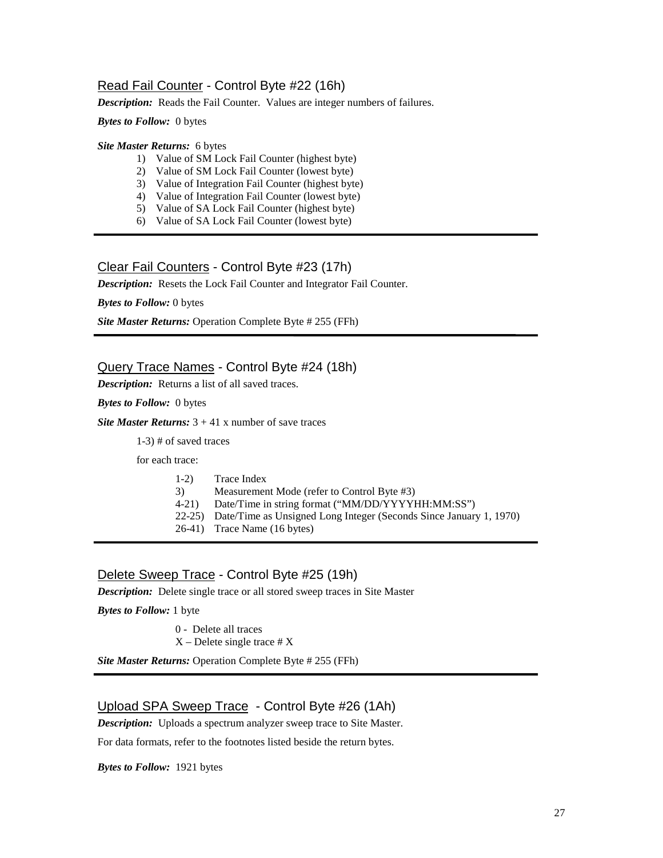# Read Fail Counter - Control Byte #22 (16h)

*Description:* Reads the Fail Counter. Values are integer numbers of failures.

*Bytes to Follow:*0 bytes

#### *Site Master Returns:* 6 bytes

- 1) Value of SM Lock Fail Counter (highest byte)
- 2) Value of SM Lock Fail Counter (lowest byte)
- 3) Value of Integration Fail Counter (highest byte)
- 4) Value of Integration Fail Counter (lowest byte)
- 5) Value of SA Lock Fail Counter (highest byte)
- 6) Value of SA Lock Fail Counter (lowest byte)

## Clear Fail Counters - Control Byte #23 (17h)

*Description:* Resets the Lock Fail Counter and Integrator Fail Counter.

*Bytes to Follow:* 0 bytes

*Site Master Returns:* Operation Complete Byte # 255 (FFh)

## Query Trace Names - Control Byte #24 (18h)

*Description:* Returns a list of all saved traces.

*Bytes to Follow:* 0 bytes

*Site Master Returns:*  $3 + 41$  x number of save traces

1-3) # of saved traces

for each trace:

- 1-2) Trace Index
- 3) Measurement Mode (refer to Control Byte #3)
- 4-21) Date/Time in string format ("MM/DD/YYYYHH:MM:SS")
- 22-25) Date/Time as Unsigned Long Integer (Seconds Since January 1, 1970)
- 26-41) Trace Name (16 bytes)

# Delete Sweep Trace - Control Byte #25 (19h)

*Description:* Delete single trace or all stored sweep traces in Site Master

*Bytes to Follow:* 1 byte

0 - Delete all traces

 $X$  – Delete single trace  $# X$ 

*Site Master Returns:* Operation Complete Byte # 255 (FFh)

## Upload SPA Sweep Trace - Control Byte #26 (1Ah)

*Description:* Uploads a spectrum analyzer sweep trace to Site Master.

For data formats, refer to the footnotes listed beside the return bytes.

*Bytes to Follow:* 1921 bytes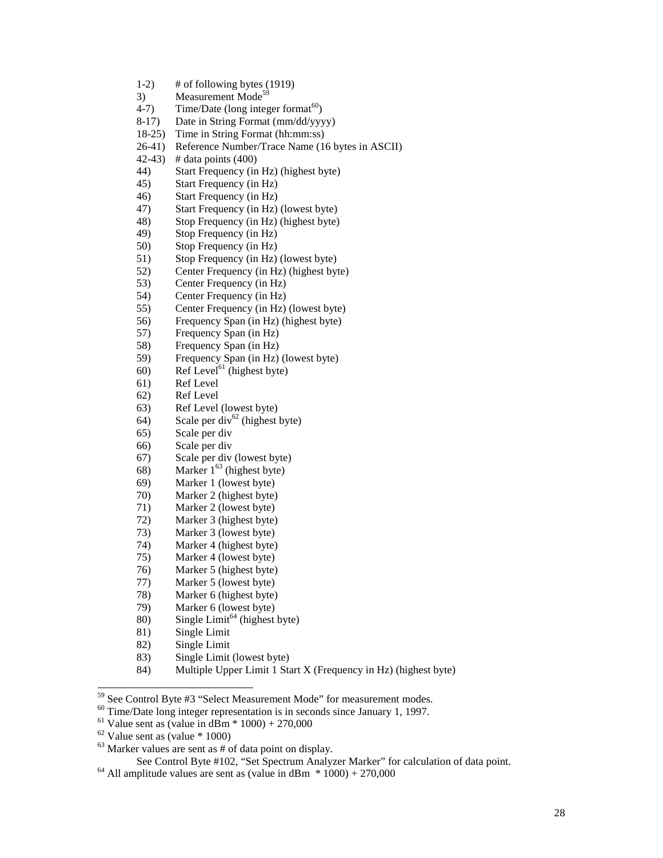- 1-2) # of following bytes (1919)
- 3) Measurement Mode<sup>59</sup><br>4-7) Time/Date (long inter
- Time/Date (long integer format $^{60}$ )
- 8-17) Date in String Format (mm/dd/yyyy)
- 18-25) Time in String Format (hh:mm:ss)
- 26-41) Reference Number/Trace Name (16 bytes in ASCII)
- 42-43) # data points (400)
- 44) Start Frequency (in Hz) (highest byte)
- 45) Start Frequency (in Hz)
- 46) Start Frequency (in Hz)
- 47) Start Frequency (in Hz) (lowest byte)
- 48) Stop Frequency (in Hz) (highest byte)
- 49) Stop Frequency (in Hz)
- 50) Stop Frequency (in Hz)
- 51) Stop Frequency (in Hz) (lowest byte)
- 52) Center Frequency (in Hz) (highest byte)
- 53) Center Frequency (in Hz)
- 54) Center Frequency (in Hz)
- 55) Center Frequency (in Hz) (lowest byte)
- 56) Frequency Span (in Hz) (highest byte)
- 57) Frequency Span (in Hz)
- 58) Frequency Span (in Hz)
- 59) Frequency Span (in Hz) (lowest byte)
- $(60)$  Ref Level<sup>61</sup> (highest byte)
- 61) Ref Level
- 62) Ref Level
- 63) Ref Level (lowest byte)
- 64) Scale per div<sup>62</sup> (highest byte)
- 65) Scale per div
- 66) Scale per div
- 67) Scale per div (lowest byte)
- 68) Marker  $1^{63}$  (highest byte)
- 69) Marker 1 (lowest byte)
- 70) Marker 2 (highest byte)
- 71) Marker 2 (lowest byte)
- 72) Marker 3 (highest byte)
- 73) Marker 3 (lowest byte)
- 74) Marker 4 (highest byte)
- 75) Marker 4 (lowest byte)
- 76) Marker 5 (highest byte)
- 77) Marker 5 (lowest byte)
- 78) Marker 6 (highest byte)
- 79) Marker 6 (lowest byte)
- 80) Single Limit<sup>64</sup> (highest byte)
- 81) Single Limit
- 82) Single Limit
- 83) Single Limit (lowest byte)
- 84) Multiple Upper Limit 1 Start X (Frequency in Hz) (highest byte)

 $\frac{60}{1}$  See Control Byte  $\frac{60}{1}$  Secret Measurement Modes in seconds since January 1, 1997.

 $62$  Value sent as (value  $*$  1000)

<sup>&</sup>lt;sup>59</sup> See Control Byte #3 "Select Measurement Mode" for measurement modes.

<sup>&</sup>lt;sup>61</sup> Value sent as (value in dBm  $*$  1000) + 270,000

<sup>&</sup>lt;sup>63</sup> Marker values are sent as # of data point on display.<br>See Control Byte #102, "Set Spectrum Analyzer Marker" for calculation of data point.

 $64$  All amplitude values are sent as (value in dBm  $*$  1000) + 270,000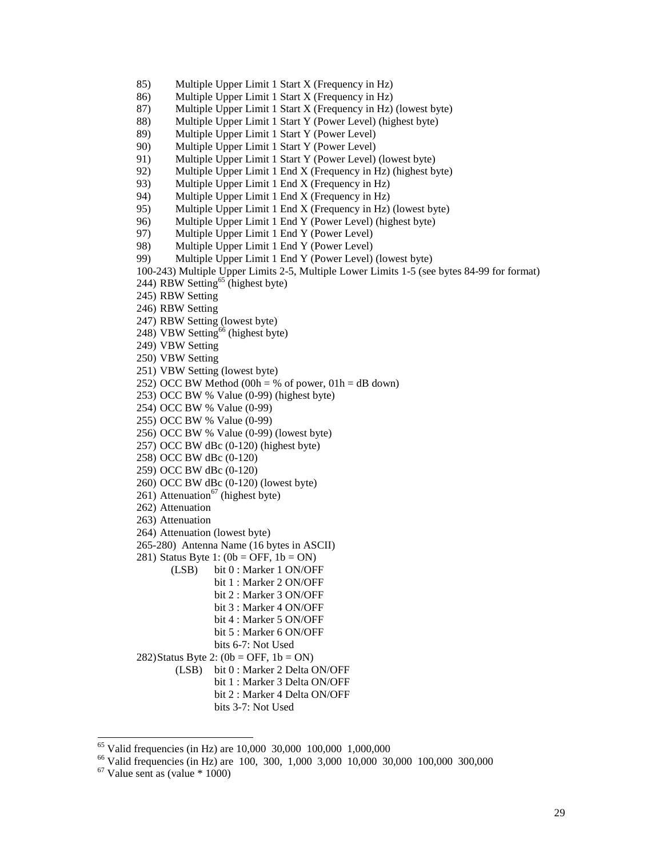- 85) Multiple Upper Limit 1 Start X (Frequency in Hz)
- 86) Multiple Upper Limit 1 Start X (Frequency in Hz)
- 87) Multiple Upper Limit 1 Start X (Frequency in Hz) (lowest byte)
- 88) Multiple Upper Limit 1 Start Y (Power Level) (highest byte)
- 89) Multiple Upper Limit 1 Start Y (Power Level)
- 90) Multiple Upper Limit 1 Start Y (Power Level)
- 91) Multiple Upper Limit 1 Start Y (Power Level) (lowest byte)
- 92) Multiple Upper Limit 1 End X (Frequency in Hz) (highest byte)
- 93) Multiple Upper Limit 1 End X (Frequency in Hz)<br>94) Multiple Upper Limit 1 End X (Frequency in Hz)
- Multiple Upper Limit 1 End X (Frequency in Hz)
- 95) Multiple Upper Limit 1 End X (Frequency in Hz) (lowest byte)
- 96) Multiple Upper Limit 1 End Y (Power Level) (highest byte)<br>97) Multiple Upper Limit 1 End Y (Power Level)
- 97) Multiple Upper Limit 1 End Y (Power Level)
- 98) Multiple Upper Limit 1 End Y (Power Level)
- 99) Multiple Upper Limit 1 End Y (Power Level) (lowest byte)
- 100-243) Multiple Upper Limits 2-5, Multiple Lower Limits 1-5 (see bytes 84-99 for format)
- 244) RBW Setting<sup>65</sup> (highest byte)
- 245) RBW Setting
- 246) RBW Setting
- 247) RBW Setting (lowest byte)
- 248) VBW Setting<sup>66</sup> (highest byte)
- 249) VBW Setting
- 250) VBW Setting
- 251) VBW Setting (lowest byte)
- 252) OCC BW Method (00h = % of power,  $01h = dB$  down)
- 253) OCC BW % Value (0-99) (highest byte)
- 254) OCC BW % Value (0-99)
- 255) OCC BW % Value (0-99)
- 256) OCC BW % Value (0-99) (lowest byte)
- 257) OCC BW dBc (0-120) (highest byte)
- 258) OCC BW dBc (0-120)
- 259) OCC BW dBc (0-120)
- 260) OCC BW dBc (0-120) (lowest byte)
- 261) Attenuation<sup>67</sup> (highest byte)
- 262) Attenuation
- 263) Attenuation
- 264) Attenuation (lowest byte)
- 265-280) Antenna Name (16 bytes in ASCII)
- 281) Status Byte 1:  $(0b = OFF, 1b = ON)$ 
	- (LSB) bit 0 : Marker 1 ON/OFF
		- bit 1 : Marker 2 ON/OFF bit 2 : Marker 3 ON/OFF bit 3 : Marker 4 ON/OFF
			- bit 4 : Marker 5 ON/OFF
				- bit 5 : Marker 6 ON/OFF
- bits 6-7: Not Used
- 282)Status Byte 2:  $(0b = OFF, 1b = ON)$ 
	- (LSB) bit 0 : Marker 2 Delta ON/OFF bit 1 : Marker 3 Delta ON/OFF
		- bit 2 : Marker 4 Delta ON/OFF
			- bits 3-7: Not Used

<sup>&</sup>lt;sup>65</sup> Valid frequencies (in Hz) are 10,000 30,000 100,000 1,000,000

<sup>66</sup> Valid frequencies (in Hz) are 100, 300, 1,000 3,000 10,000 30,000 100,000 300,000

 $67$  Value sent as (value  $*$  1000)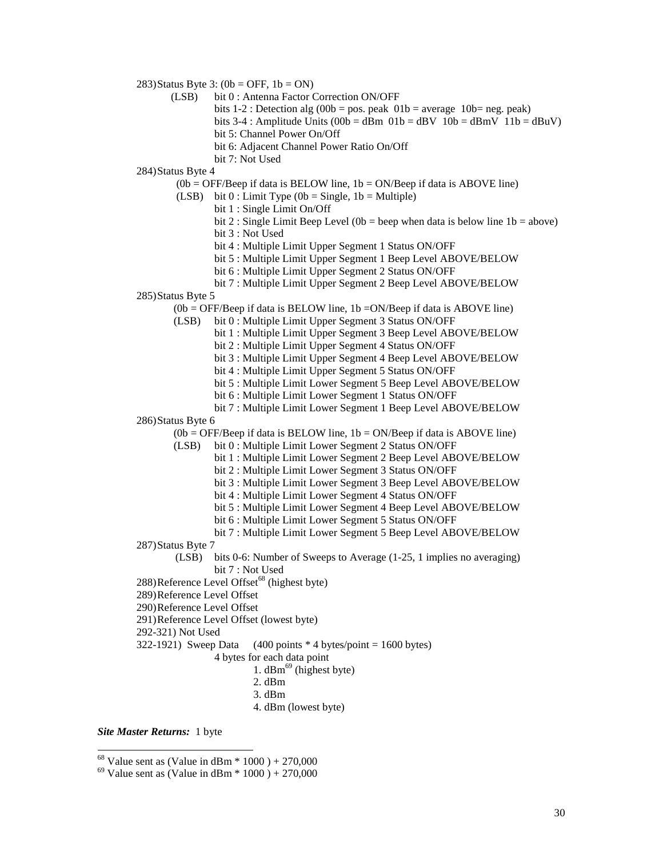283) Status Byte 3:  $(0b = OFF, 1b = ON)$ 

- (LSB) bit 0 : Antenna Factor Correction ON/OFF
	- bits  $1-2$ : Detection alg (00b = pos. peak 01b = average 10b= neg. peak)
	- bits 3-4 : Amplitude Units  $(00b = dBm 01b = dBv 10b = dBmV 11b = dBuV)$
	- bit 5: Channel Power On/Off
	- bit 6: Adjacent Channel Power Ratio On/Off
	- bit 7: Not Used

284)Status Byte 4

- $(0b = OFF/Beep$  if data is BELOW line,  $1b = ON/Beep$  if data is ABOVE line)
- (LSB) bit  $0:$  Limit Type (0b = Single, 1b = Multiple)
	- bit 1 : Single Limit On/Off
		- bit 2 : Single Limit Beep Level (0b = beep when data is below line  $1b = above$ )
		- bit 3 : Not Used
		- bit 4 : Multiple Limit Upper Segment 1 Status ON/OFF
		- bit 5 : Multiple Limit Upper Segment 1 Beep Level ABOVE/BELOW
		- bit 6 : Multiple Limit Upper Segment 2 Status ON/OFF
- bit 7 : Multiple Limit Upper Segment 2 Beep Level ABOVE/BELOW

#### 285)Status Byte 5

 $(0b = OFF/Beep$  if data is BELOW line,  $1b = ON/Beep$  if data is ABOVE line)

- (LSB) bit 0 : Multiple Limit Upper Segment 3 Status ON/OFF
	- bit 1 : Multiple Limit Upper Segment 3 Beep Level ABOVE/BELOW
	- bit 2 : Multiple Limit Upper Segment 4 Status ON/OFF
	- bit 3 : Multiple Limit Upper Segment 4 Beep Level ABOVE/BELOW
	- bit 4 : Multiple Limit Upper Segment 5 Status ON/OFF
	- bit 5 : Multiple Limit Lower Segment 5 Beep Level ABOVE/BELOW
	- bit 6 : Multiple Limit Lower Segment 1 Status ON/OFF
	- bit 7 : Multiple Limit Lower Segment 1 Beep Level ABOVE/BELOW

#### 286)Status Byte 6

 $(0b = OFF/Beep$  if data is BELOW line,  $1b = ON/Beep$  if data is ABOVE line)

- (LSB) bit 0 : Multiple Limit Lower Segment 2 Status ON/OFF
	- bit 1 : Multiple Limit Lower Segment 2 Beep Level ABOVE/BELOW
		- bit 2 : Multiple Limit Lower Segment 3 Status ON/OFF
		- bit 3 : Multiple Limit Lower Segment 3 Beep Level ABOVE/BELOW
		- bit 4 : Multiple Limit Lower Segment 4 Status ON/OFF
		- bit 5 : Multiple Limit Lower Segment 4 Beep Level ABOVE/BELOW
		- bit 6 : Multiple Limit Lower Segment 5 Status ON/OFF
	- bit 7 : Multiple Limit Lower Segment 5 Beep Level ABOVE/BELOW
- 287)Status Byte 7
	- (LSB) bits 0-6: Number of Sweeps to Average (1-25, 1 implies no averaging) bit 7 : Not Used
- $288)$ Reference Level Offset<sup>68</sup> (highest byte)
- 289)Reference Level Offset
- 290)Reference Level Offset
- 291)Reference Level Offset (lowest byte)
- 292-321) Not Used
- 322-1921) Sweep Data  $(400 \text{ points} * 4 \text{ bytes} / \text{point} = 1600 \text{ bytes})$ 
	- 4 bytes for each data point
		- 1.  $dBm<sup>69</sup>$  (highest byte)
		- 2. dBm
		- 3. dBm
		- 4. dBm (lowest byte)

*Site Master Returns:* 1 byte

 $68$  Value sent as (Value in dBm  $*$  1000) + 270,000

 $69$  Value sent as (Value in dBm  $*$  1000) + 270,000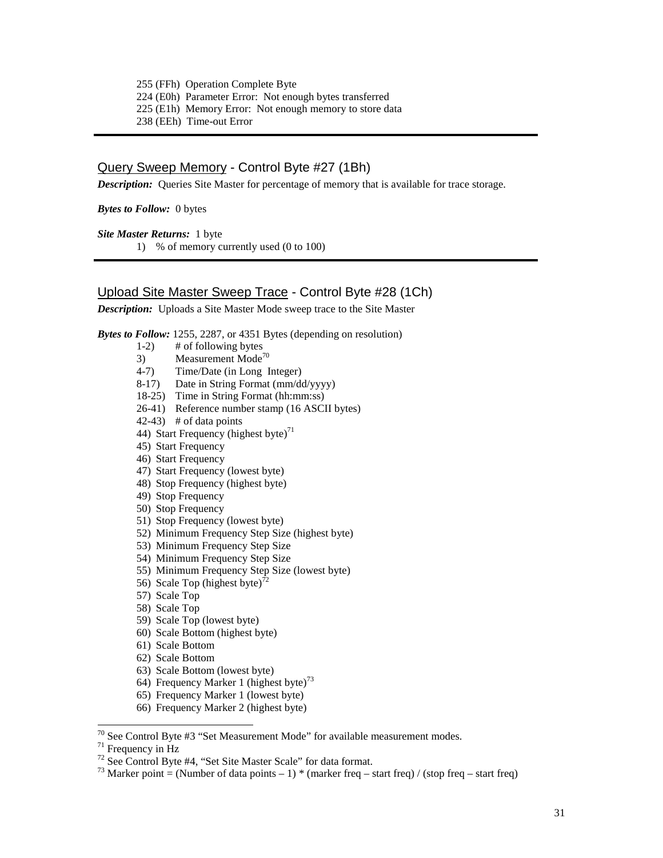255 (FFh) Operation Complete Byte 224 (E0h) Parameter Error: Not enough bytes transferred 225 (E1h) Memory Error: Not enough memory to store data 238 (EEh) Time-out Error

# Query Sweep Memory - Control Byte #27 (1Bh)

*Description:* Queries Site Master for percentage of memory that is available for trace storage.

*Bytes to Follow:*0 bytes

*Site Master Returns:* 1 byte 1) % of memory currently used (0 to 100)

# Upload Site Master Sweep Trace - Control Byte #28 (1Ch)

*Description:* Uploads a Site Master Mode sweep trace to the Site Master

*Bytes to Follow:* 1255, 2287, or 4351 Bytes (depending on resolution)

- $1-2$ ) # of following bytes
- 3) Measurement Mode<sup>70</sup><br>4-7) Time/Date (in Long I
- Time/Date (in Long Integer)
- 8-17) Date in String Format (mm/dd/yyyy)
- 18-25) Time in String Format (hh:mm:ss)
- 26-41) Reference number stamp (16 ASCII bytes)
- $(42-43)$  # of data points
- 44) Start Frequency (highest byte) $^{71}$
- 45) Start Frequency
- 46) Start Frequency
- 47) Start Frequency (lowest byte)
- 48) Stop Frequency (highest byte)
- 49) Stop Frequency
- 50) Stop Frequency
- 51) Stop Frequency (lowest byte)
- 52) Minimum Frequency Step Size (highest byte)
- 53) Minimum Frequency Step Size
- 54) Minimum Frequency Step Size
- 55) Minimum Frequency Step Size (lowest byte)
- 56) Scale Top (highest byte)<sup>7</sup>
- 57) Scale Top
- 58) Scale Top
- 59) Scale Top (lowest byte)
- 60) Scale Bottom (highest byte)
- 61) Scale Bottom
- 62) Scale Bottom
- 63) Scale Bottom (lowest byte)
- 64) Frequency Marker 1 (highest byte)<sup>73</sup>
- 65) Frequency Marker 1 (lowest byte)
- 66) Frequency Marker 2 (highest byte)

<sup>&</sup>lt;sup>70</sup> See Control Byte #3 "Set Measurement Mode" for available measurement modes.<br><sup>71</sup> Frequency in Hz

<sup>&</sup>lt;sup>71</sup> Frequency in Hz<br><sup>72</sup> See Control Byte #4, "Set Site Master Scale" for data format.<br><sup>73</sup> Marker point = (Number of data points – 1) \* (marker freq – start freq) / (stop freq – start freq)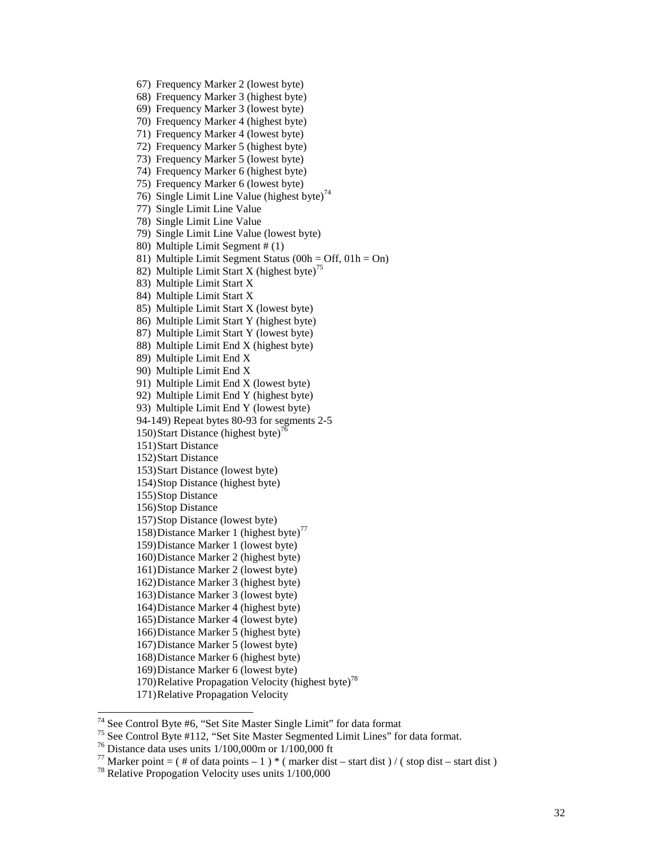- 67) Frequency Marker 2 (lowest byte)
- 68) Frequency Marker 3 (highest byte)
- 69) Frequency Marker 3 (lowest byte)
- 70) Frequency Marker 4 (highest byte)
- 71) Frequency Marker 4 (lowest byte)
- 72) Frequency Marker 5 (highest byte)
- 73) Frequency Marker 5 (lowest byte)
- 74) Frequency Marker 6 (highest byte)
- 75) Frequency Marker 6 (lowest byte)
- 76) Single Limit Line Value (highest byte)<sup>74</sup>
- 77) Single Limit Line Value
- 78) Single Limit Line Value
- 79) Single Limit Line Value (lowest byte)
- 80) Multiple Limit Segment # (1)
- 81) Multiple Limit Segment Status (00h = Off, 01h = On)
- 82) Multiple Limit Start X (highest byte)<sup>75</sup>
- 83) Multiple Limit Start X
- 84) Multiple Limit Start X
- 85) Multiple Limit Start X (lowest byte)
- 86) Multiple Limit Start Y (highest byte)
- 87) Multiple Limit Start Y (lowest byte)
- 88) Multiple Limit End X (highest byte)
- 89) Multiple Limit End X
- 90) Multiple Limit End X
- 91) Multiple Limit End X (lowest byte)
- 92) Multiple Limit End Y (highest byte)
- 93) Multiple Limit End Y (lowest byte)
- 94-149) Repeat bytes 80-93 for segments 2-5
- 150) Start Distance (highest byte)<sup>76</sup>
- 151)Start Distance
- 152)Start Distance
- 153)Start Distance (lowest byte)
- 154)Stop Distance (highest byte)
- 155)Stop Distance
- 156)Stop Distance
- 157)Stop Distance (lowest byte)
- 158)Distance Marker 1 (highest byte)<sup>77</sup>
- 159)Distance Marker 1 (lowest byte)
- 160)Distance Marker 2 (highest byte)
- 161)Distance Marker 2 (lowest byte)
- 162)Distance Marker 3 (highest byte)
- 163)Distance Marker 3 (lowest byte)
- 164)Distance Marker 4 (highest byte)
- 165)Distance Marker 4 (lowest byte)
- 166)Distance Marker 5 (highest byte)
- 167)Distance Marker 5 (lowest byte)
- 168)Distance Marker 6 (highest byte)
- 169)Distance Marker 6 (lowest byte)
- 170)Relative Propagation Velocity (highest byte)<sup>78</sup>
- 171)Relative Propagation Velocity

<sup>74</sup> See Control Byte #6, "Set Site Master Single Limit" for data format

<sup>&</sup>lt;sup>75</sup> See Control Byte #112, "Set Site Master Segmented Limit Lines" for data format.<br><sup>76</sup> Distance data uses units 1/100,000m or 1/100,000 ft

<sup>77</sup> Marker point = ( # of data points – 1 ) \* ( marker dist – start dist ) / ( stop dist – start dist ) 78 Relative Propogation Velocity uses units  $1/100,000$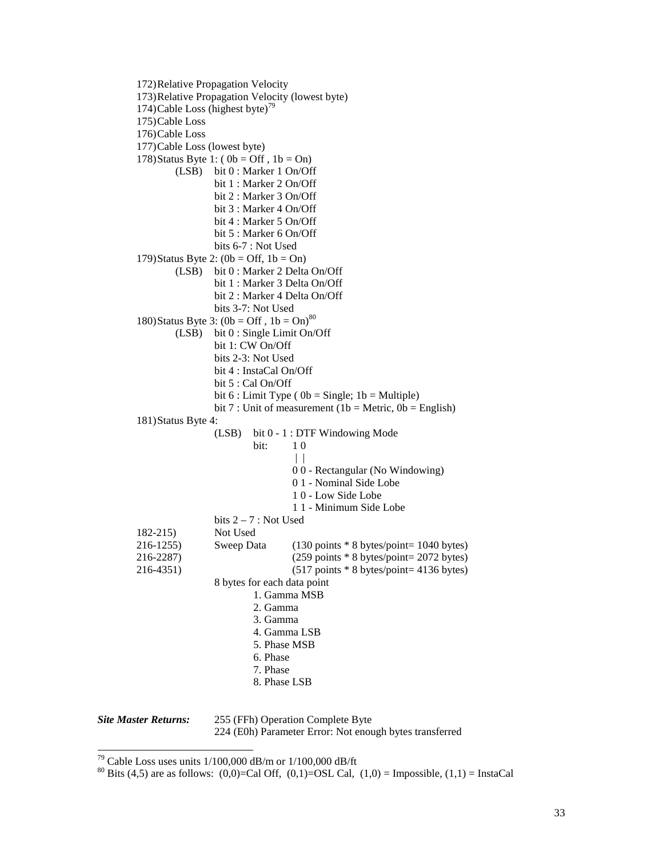172)Relative Propagation Velocity 173)Relative Propagation Velocity (lowest byte) 174)Cable Loss (highest byte)<sup>79</sup> 175)Cable Loss 176)Cable Loss 177)Cable Loss (lowest byte) 178)Status Byte 1:  $(0b = Off, 1b = On)$ (LSB) bit 0 : Marker 1 On/Off bit 1 : Marker 2 On/Off bit 2 : Marker 3 On/Off bit 3 : Marker 4 On/Off bit 4 : Marker 5 On/Off bit 5 : Marker 6 On/Off bits 6-7 : Not Used 179)Status Byte 2:  $(0b = \text{Off}, 1b = \text{On})$ (LSB) bit 0 : Marker 2 Delta On/Off bit 1 : Marker 3 Delta On/Off bit 2 : Marker 4 Delta On/Off bits 3-7: Not Used 180)Status Byte 3:  $(0b = Off, 1b = On)^{80}$ (LSB) bit 0 : Single Limit On/Off bit 1: CW On/Off bits 2-3: Not Used bit 4 : InstaCal On/Off bit 5 : Cal On/Off bit  $6:$  Limit Type ( $0b =$  Single;  $1b =$  Multiple) bit 7 : Unit of measurement (1b = Metric,  $0b$  = English) 181)Status Byte 4: (LSB) bit 0 - 1 : DTF Windowing Mode bit: 1 0  $| |$ 0 0 - Rectangular (No Windowing) 0 1 - Nominal Side Lobe 1 0 - Low Side Lobe 1 1 - Minimum Side Lobe bits  $2 - 7$ : Not Used 182-215) Not Used 216-1255) Sweep Data (130 points \* 8 bytes/point= 1040 bytes) 216-2287) (259 points \* 8 bytes/point= 2072 bytes) 216-4351) (517 points \* 8 bytes/point= 4136 bytes) 8 bytes for each data point 1. Gamma MSB 2. Gamma 3. Gamma 4. Gamma LSB 5. Phase MSB 6. Phase 7. Phase 8. Phase LSB *Site Master Returns:* 255 (FFh) Operation Complete Byte

 $\overline{a}$ 

224 (E0h) Parameter Error: Not enough bytes transferred

<sup>&</sup>lt;sup>79</sup> Cable Loss uses units  $1/100,000$  dB/m or  $1/100,000$  dB/ft

<sup>&</sup>lt;sup>80</sup> Bits (4,5) are as follows: (0,0)=Cal Off, (0,1)=OSL Cal, (1,0) = Impossible, (1,1) = InstaCal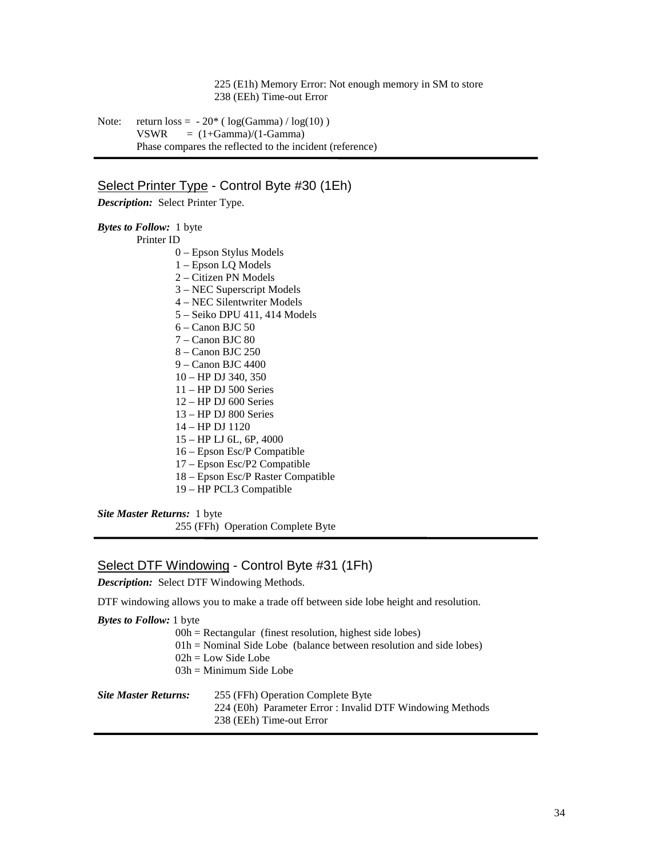#### 225 (E1h) Memory Error: Not enough memory in SM to store 238 (EEh) Time-out Error

Note: return  $loss = -20^*$  (  $log(Gamma) / log(10)$  )  $VSWR = (1 + Gamma)/(1 - Gamma)$ Phase compares the reflected to the incident (reference)

# Select Printer Type - Control Byte #30 (1Eh)

*Description:* Select Printer Type.

*Bytes to Follow:*1 byte Printer ID 0 – Epson Stylus Models 1 – Epson LQ Models 2 – Citizen PN Models 3 – NEC Superscript Models 4 – NEC Silentwriter Models 5 – Seiko DPU 411, 414 Models 6 – Canon BJC 50 7 – Canon BJC 80 8 – Canon BJC 250 9 – Canon BJC 4400 10 – HP DJ 340, 350 11 – HP DJ 500 Series 12 – HP DJ 600 Series 13 – HP DJ 800 Series 14 – HP DJ 1120 15 – HP LJ 6L, 6P, 4000 16 – Epson Esc/P Compatible 17 – Epson Esc/P2 Compatible 18 – Epson Esc/P Raster Compatible 19 – HP PCL3 Compatible

*Site Master Returns:* 1 byte 255 (FFh) Operation Complete Byte

## Select DTF Windowing - Control Byte #31 (1Fh)

*Description:* Select DTF Windowing Methods.

DTF windowing allows you to make a trade off between side lobe height and resolution.

| <b>Bytes to Follow:</b> 1 byte |                                                                       |  |
|--------------------------------|-----------------------------------------------------------------------|--|
|                                | $00h$ = Rectangular (finest resolution, highest side lobes)           |  |
|                                | $01h$ = Nominal Side Lobe (balance between resolution and side lobes) |  |
|                                | $02h = Low Side Lobe$                                                 |  |
|                                | $03h =$ Minimum Side Lobe                                             |  |
| <b>Site Master Returns:</b>    | 255 (FFh) Operation Complete Byte                                     |  |
|                                | 224 (E0h) Parameter Error : Invalid DTF Windowing Methods             |  |
|                                | 238 (EEh) Time-out Error                                              |  |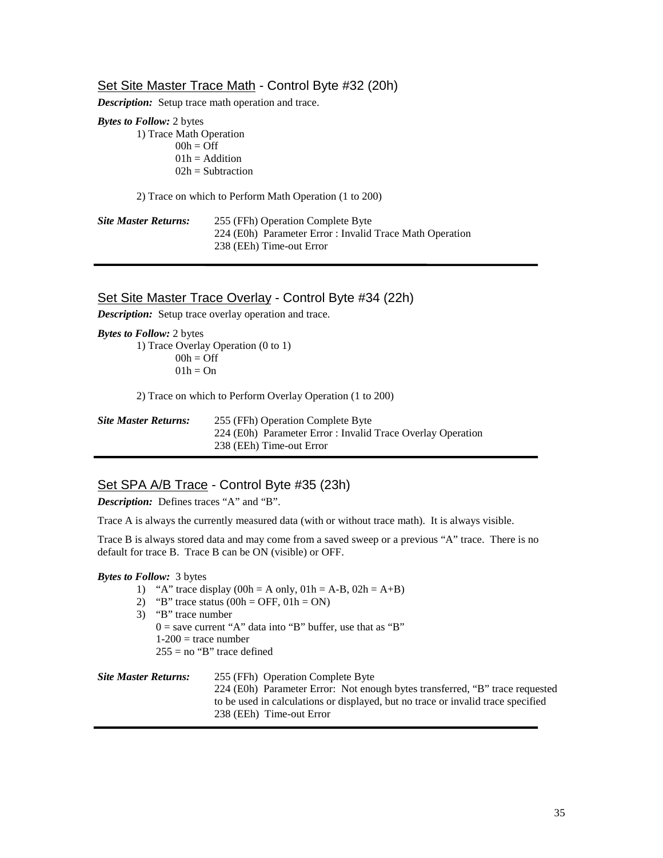## Set Site Master Trace Math - Control Byte #32 (20h)

*Description:* Setup trace math operation and trace.

*Bytes to Follow:* 2 bytes

1) Trace Math Operation  $00h = \text{Off}$  $01h =$  Addition  $02h = Subtraction$ 

2) Trace on which to Perform Math Operation (1 to 200)

| <b>Site Master Returns:</b> | 255 (FFh) Operation Complete Byte                        |
|-----------------------------|----------------------------------------------------------|
|                             | 224 (E0h) Parameter Error : Invalid Trace Math Operation |
|                             | 238 (EEh) Time-out Error                                 |

## Set Site Master Trace Overlay - Control Byte #34 (22h)

*Description:* Setup trace overlay operation and trace.

*Bytes to Follow:* 2 bytes 1) Trace Overlay Operation (0 to 1)  $00h = \text{Off}$  $01h = On$ 

2) Trace on which to Perform Overlay Operation (1 to 200)

| <b>Site Master Returns:</b> | 255 (FFh) Operation Complete Byte                           |
|-----------------------------|-------------------------------------------------------------|
|                             | 224 (E0h) Parameter Error : Invalid Trace Overlay Operation |
|                             | 238 (EEh) Time-out Error                                    |

# Set SPA A/B Trace - Control Byte #35 (23h)

*Description:* Defines traces "A" and "B".

Trace A is always the currently measured data (with or without trace math). It is always visible.

Trace B is always stored data and may come from a saved sweep or a previous "A" trace. There is no default for trace B. Trace B can be ON (visible) or OFF.

#### *Bytes to Follow:*3 bytes

- 1) "A" trace display  $(00h = A \text{ only}, 01h = A-B, 02h = A+B)$
- 2) "B" trace status  $(00h = OFF, 01h = ON)$
- 3) "B" trace number
	- $0 =$  save current "A" data into "B" buffer, use that as "B"  $1-200$  = trace number
	- $255 =$  no "B" trace defined

| 255 (FFh) Operation Complete Byte                                                |
|----------------------------------------------------------------------------------|
| 224 (E0h) Parameter Error: Not enough bytes transferred, "B" trace requested     |
| to be used in calculations or displayed, but no trace or invalid trace specified |
| 238 (EEh) Time-out Error                                                         |
|                                                                                  |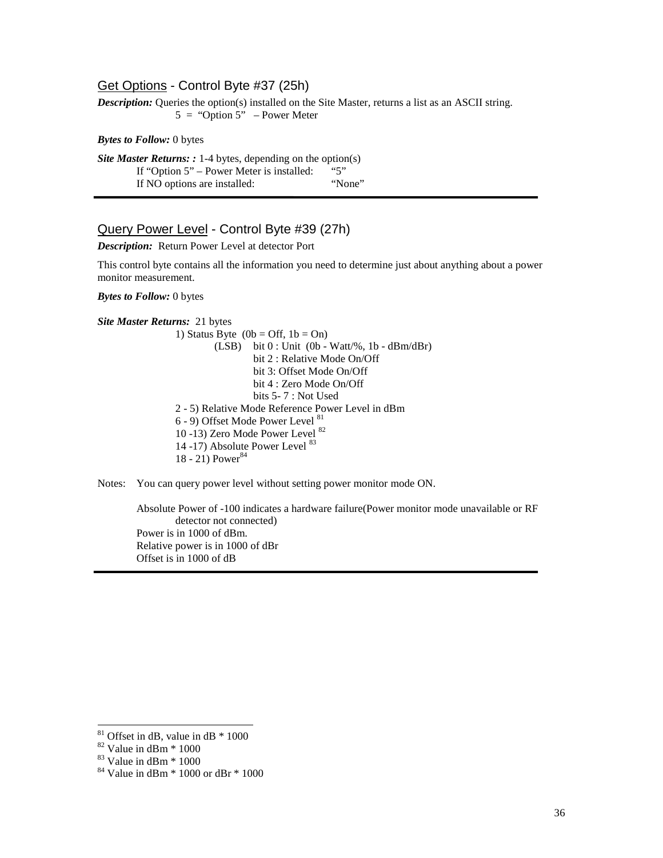# Get Options - Control Byte #37 (25h)

*Description:* Queries the option(s) installed on the Site Master, returns a list as an ASCII string.  $5 = "Option 5" - Power Meter$ 

*Bytes to Follow:* 0 bytes

*Site Master Returns: :* 1-4 bytes, depending on the option(s)<br>If "Ontion 5" – Power Meter is installed: "5" If "Option  $5$ " – Power Meter is installed: If NO options are installed: "None"

## Query Power Level - Control Byte #39 (27h)

*Description:* Return Power Level at detector Port

This control byte contains all the information you need to determine just about anything about a power monitor measurement.

*Bytes to Follow:* 0 bytes

*Site Master Returns:* 21 bytes

1) Status Byte  $(0b = Off, 1b = On)$  $(LSB)$  bit  $0:$  Unit  $(0b - Watt\%), 1b - dBm/dBr)$ bit 2 : Relative Mode On/Off bit 3: Offset Mode On/Off bit 4 : Zero Mode On/Off bits 5- 7 : Not Used 2 - 5) Relative Mode Reference Power Level in dBm 6 - 9) Offset Mode Power Level <sup>81</sup> 10 -13) Zero Mode Power Level <sup>82</sup> 14 -17) Absolute Power Level <sup>83</sup> 18 - 21) Power<sup>84</sup>

Notes: You can query power level without setting power monitor mode ON.

Absolute Power of -100 indicates a hardware failure(Power monitor mode unavailable or RF detector not connected) Power is in 1000 of dBm. Relative power is in 1000 of dBr Offset is in 1000 of dB

 $81$  Offset in dB, value in dB  $*$  1000

 $82$  Value in dBm  $*$  1000

 $83$  Value in dBm  $*$  1000

 $84$  Value in dBm  $*$  1000 or dBr  $*$  1000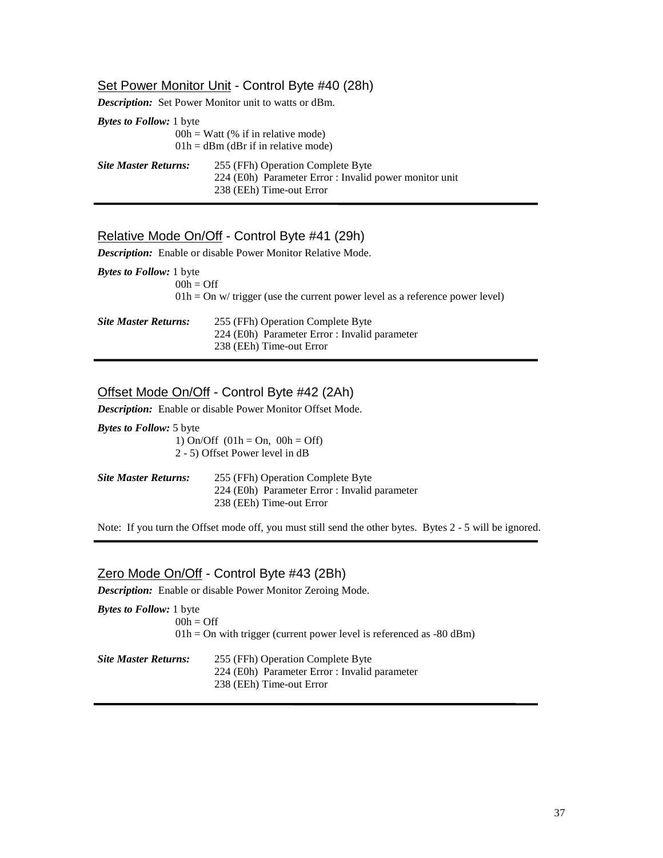## Set Power Monitor Unit - Control Byte #40 (28h)

*Description:* Set Power Monitor unit to watts or dBm.

| <b>Bytes to Follow:</b> 1 byte |                                                        |  |  |
|--------------------------------|--------------------------------------------------------|--|--|
|                                | $00h = W$ att (% if in relative mode)                  |  |  |
|                                | $01h = dBm$ (dBr if in relative mode)                  |  |  |
| <b>Site Master Returns:</b>    | 255 (FFh) Operation Complete Byte                      |  |  |
|                                | 224 (E0h) Parameter Error : Invalid power monitor unit |  |  |
|                                | 238 (EEh) Time-out Error                               |  |  |

# Relative Mode On/Off - Control Byte #41 (29h)

*Description:* Enable or disable Power Monitor Relative Mode.

| <b><i>Bytes to Follow:</i></b> 1 byte |                                                                                |
|---------------------------------------|--------------------------------------------------------------------------------|
|                                       | $00h =$ Off                                                                    |
|                                       | $01h = On$ w/ trigger (use the current power level as a reference power level) |
|                                       |                                                                                |
| <b>Site Master Returns:</b>           | 255 (FFh) Operation Complete Byte                                              |
|                                       | 224 (E0h) Parameter Error : Invalid parameter                                  |
|                                       | 238 (EEh) Time-out Error                                                       |

## Offset Mode On/Off - Control Byte #42 (2Ah)

*Description:* Enable or disable Power Monitor Offset Mode.

*Bytes to Follow:* 5 byte 1) On/Off  $(01h = On, 00h = Off)$ 

2 - 5) Offset Power level in dB

| <b>Site Master Returns:</b> | 255 (FFh) Operation Complete Byte             |
|-----------------------------|-----------------------------------------------|
|                             | 224 (E0h) Parameter Error : Invalid parameter |
|                             | 238 (EEh) Time-out Error                      |

Note: If you turn the Offset mode off, you must still send the other bytes. Bytes 2 - 5 will be ignored.

## Zero Mode On/Off - Control Byte #43 (2Bh)

*Description:* Enable or disable Power Monitor Zeroing Mode.

| <b><i>Bytes to Follow:</i></b> 1 byte |                                                                                    |
|---------------------------------------|------------------------------------------------------------------------------------|
|                                       | $00h =$ Off                                                                        |
|                                       | $01h = On$ with trigger (current power level is referenced as -80 dBm)             |
| Site Master Returns:                  | 255 (FFh) Operation Complete Byte<br>224 (E0h) Parameter Error : Invalid parameter |
|                                       | 238 (EEh) Time-out Error                                                           |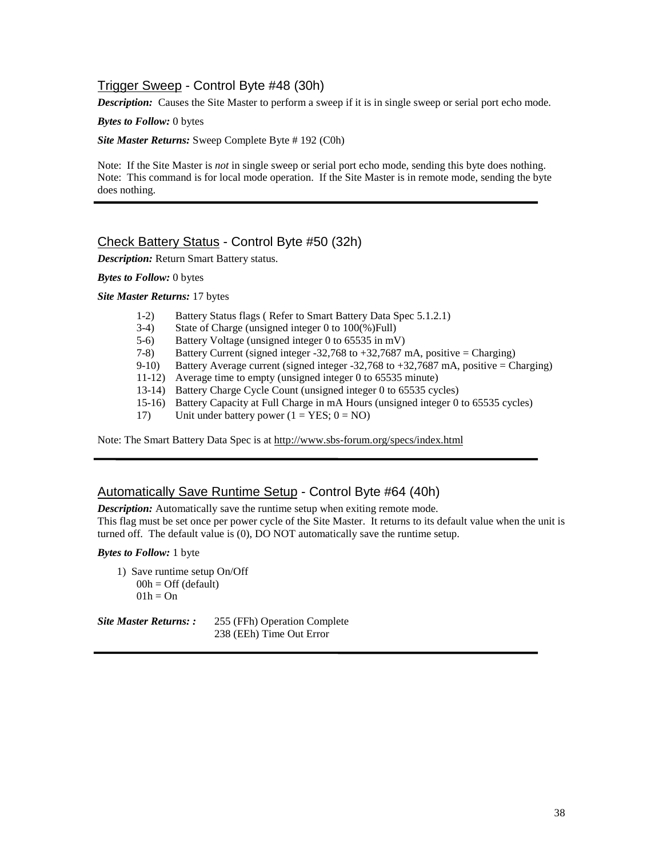# Trigger Sweep - Control Byte #48 (30h)

*Description:* Causes the Site Master to perform a sweep if it is in single sweep or serial port echo mode.

#### *Bytes to Follow:* 0 bytes

*Site Master Returns:* Sweep Complete Byte # 192 (C0h)

Note: If the Site Master is *not* in single sweep or serial port echo mode, sending this byte does nothing. Note: This command is for local mode operation. If the Site Master is in remote mode, sending the byte does nothing.

## Check Battery Status - Control Byte #50 (32h)

*Description:* Return Smart Battery status.

#### *Bytes to Follow:* 0 bytes

*Site Master Returns:* 17 bytes

- 1-2) Battery Status flags ( Refer to Smart Battery Data Spec 5.1.2.1)
- 3-4) State of Charge (unsigned integer 0 to  $100\%$ )Full)<br>5-6) Battery Voltage (unsigned integer 0 to 65535 in mV
- Battery Voltage (unsigned integer 0 to 65535 in mV)
- 7-8) Battery Current (signed integer  $-32,768$  to  $+32,7687$  mA, positive = Charging)
- 9-10) Battery Average current (signed integer  $-32,768$  to  $+32,7687$  mA, positive = Charging)
- 11-12) Average time to empty (unsigned integer 0 to 65535 minute)
- 13-14) Battery Charge Cycle Count (unsigned integer 0 to 65535 cycles)
- 15-16) Battery Capacity at Full Charge in mA Hours (unsigned integer 0 to 65535 cycles)
- 17) Unit under battery power  $(1 = \text{YES}; 0 = \text{NO})$

Note: The Smart Battery Data Spec is at http://www.sbs-forum.org/specs/index.html

## Automatically Save Runtime Setup - Control Byte #64 (40h)

*Description:* Automatically save the runtime setup when exiting remote mode.

This flag must be set once per power cycle of the Site Master. It returns to its default value when the unit is turned off. The default value is (0), DO NOT automatically save the runtime setup.

*Bytes to Follow:* 1 byte

1) Save runtime setup On/Off  $00h =$  Off (default)  $01h = On$ 

*Site Master Returns: :* 255 (FFh) Operation Complete 238 (EEh) Time Out Error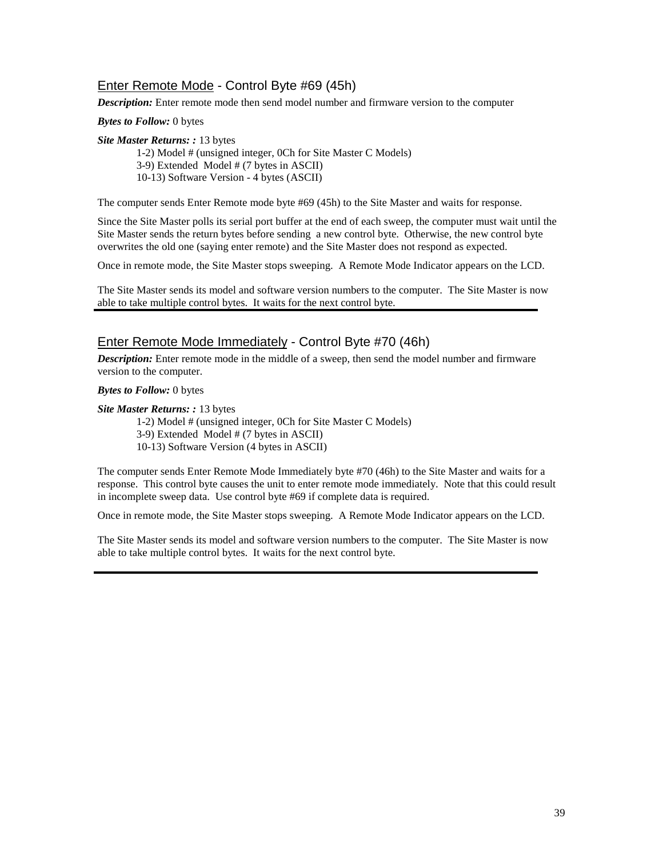# Enter Remote Mode - Control Byte #69 (45h)

*Description:* Enter remote mode then send model number and firmware version to the computer

*Bytes to Follow:* 0 bytes

*Site Master Returns: :* 13 bytes

1-2) Model # (unsigned integer, 0Ch for Site Master C Models) 3-9) Extended Model # (7 bytes in ASCII) 10-13) Software Version - 4 bytes (ASCII)

The computer sends Enter Remote mode byte #69 (45h) to the Site Master and waits for response.

Since the Site Master polls its serial port buffer at the end of each sweep, the computer must wait until the Site Master sends the return bytes before sending a new control byte. Otherwise, the new control byte overwrites the old one (saying enter remote) and the Site Master does not respond as expected.

Once in remote mode, the Site Master stops sweeping. A Remote Mode Indicator appears on the LCD.

The Site Master sends its model and software version numbers to the computer. The Site Master is now able to take multiple control bytes. It waits for the next control byte.

# Enter Remote Mode Immediately - Control Byte #70 (46h)

*Description:* Enter remote mode in the middle of a sweep, then send the model number and firmware version to the computer.

*Bytes to Follow:* 0 bytes

*Site Master Returns: :* 13 bytes

1-2) Model # (unsigned integer, 0Ch for Site Master C Models)

3-9) Extended Model # (7 bytes in ASCII)

10-13) Software Version (4 bytes in ASCII)

The computer sends Enter Remote Mode Immediately byte #70 (46h) to the Site Master and waits for a response. This control byte causes the unit to enter remote mode immediately. Note that this could result in incomplete sweep data. Use control byte #69 if complete data is required.

Once in remote mode, the Site Master stops sweeping. A Remote Mode Indicator appears on the LCD.

The Site Master sends its model and software version numbers to the computer. The Site Master is now able to take multiple control bytes. It waits for the next control byte.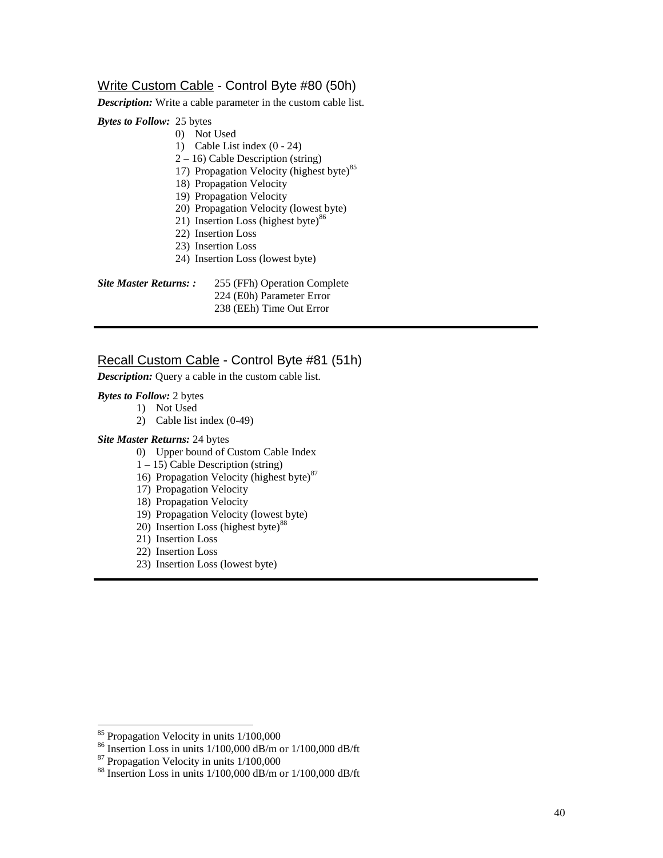# Write Custom Cable - Control Byte #80 (50h)

*Description:* Write a cable parameter in the custom cable list.

## *Bytes to Follow:* 25 bytes

- 0) Not Used
- 1) Cable List index (0 24)
- 2 16) Cable Description (string)
- 17) Propagation Velocity (highest byte) $85$
- 18) Propagation Velocity
- 19) Propagation Velocity
- 20) Propagation Velocity (lowest byte)
- 21) Insertion Loss (highest byte) $86$
- 22) Insertion Loss
- 23) Insertion Loss
- 24) Insertion Loss (lowest byte)

| Site Master Returns: : | 255 (FFh) Operation Complete |
|------------------------|------------------------------|
|                        | 224 (E0h) Parameter Error    |
|                        | 238 (EEh) Time Out Error     |

# Recall Custom Cable - Control Byte #81 (51h)

*Description:* Query a cable in the custom cable list.

## *Bytes to Follow:* 2 bytes

- 1) Not Used
	- 2) Cable list index (0-49)

## *Site Master Returns:* 24 bytes

- 0) Upper bound of Custom Cable Index
- $1 15$ ) Cable Description (string)
- 16) Propagation Velocity (highest byte)<sup>87</sup>
- 17) Propagation Velocity
- 18) Propagation Velocity
- 19) Propagation Velocity (lowest byte)
- 20) Insertion Loss (highest byte)<sup>88</sup>
- 21) Insertion Loss
- 22) Insertion Loss
- 23) Insertion Loss (lowest byte)

<sup>&</sup>lt;sup>85</sup> Propagation Velocity in units 1/100,000

 $^{86}$  Insertion Loss in units 1/100,000 dB/m or 1/100,000 dB/ft

 $87$  Propagation Velocity in units  $1/100,000$ 

<sup>88</sup> Insertion Loss in units 1/100,000 dB/m or 1/100,000 dB/ft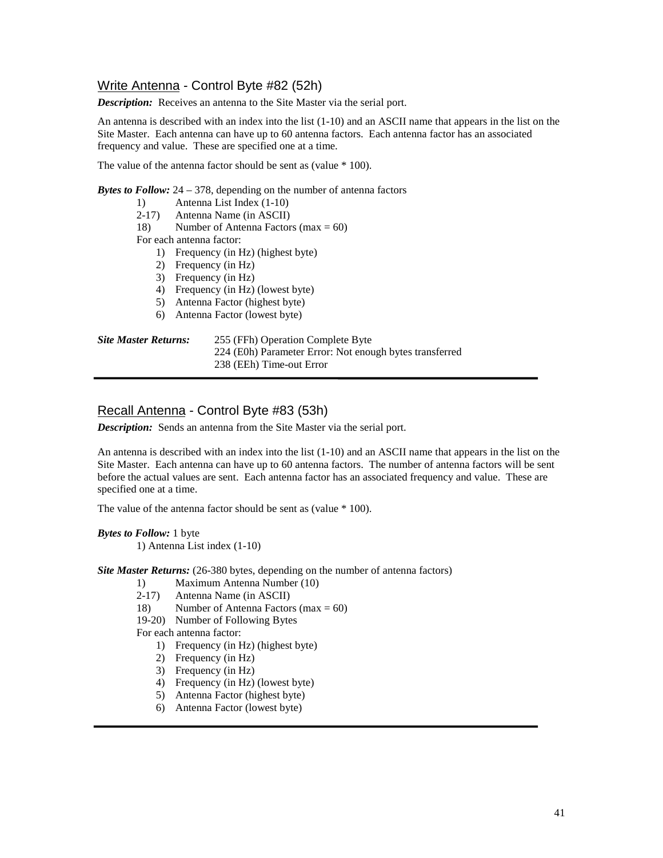# Write Antenna - Control Byte #82 (52h)

*Description:* Receives an antenna to the Site Master via the serial port.

An antenna is described with an index into the list (1-10) and an ASCII name that appears in the list on the Site Master. Each antenna can have up to 60 antenna factors. Each antenna factor has an associated frequency and value. These are specified one at a time.

The value of the antenna factor should be sent as (value \* 100).

*Bytes to Follow:* 24 – 378, depending on the number of antenna factors

- 1) Antenna List Index (1-10)
- 2-17) Antenna Name (in ASCII)
- 18) Number of Antenna Factors (max  $= 60$ )

For each antenna factor:

- 1) Frequency (in Hz) (highest byte)
- 2) Frequency (in Hz)
- 3) Frequency (in Hz)
- 4) Frequency (in Hz) (lowest byte)
- 5) Antenna Factor (highest byte)
- 6) Antenna Factor (lowest byte)

#### *Site Master Returns:* 255 (FFh) Operation Complete Byte

224 (E0h) Parameter Error: Not enough bytes transferred

238 (EEh) Time-out Error

## Recall Antenna - Control Byte #83 (53h)

*Description:* Sends an antenna from the Site Master via the serial port.

An antenna is described with an index into the list (1-10) and an ASCII name that appears in the list on the Site Master. Each antenna can have up to 60 antenna factors. The number of antenna factors will be sent before the actual values are sent. Each antenna factor has an associated frequency and value. These are specified one at a time.

The value of the antenna factor should be sent as (value \* 100).

*Bytes to Follow:* 1 byte 1) Antenna List index (1-10)

*Site Master Returns:* (26-380 bytes, depending on the number of antenna factors)

- 1) Maximum Antenna Number (10)<br>2-17) Antenna Name (in ASCII)
- 2-17) Antenna Name (in ASCII)
- 18) Number of Antenna Factors (max = 60)
- 19-20) Number of Following Bytes

For each antenna factor:

- 1) Frequency (in Hz) (highest byte)
- 2) Frequency (in Hz)
- 3) Frequency (in Hz)
- 4) Frequency (in Hz) (lowest byte)
- 5) Antenna Factor (highest byte)
- 6) Antenna Factor (lowest byte)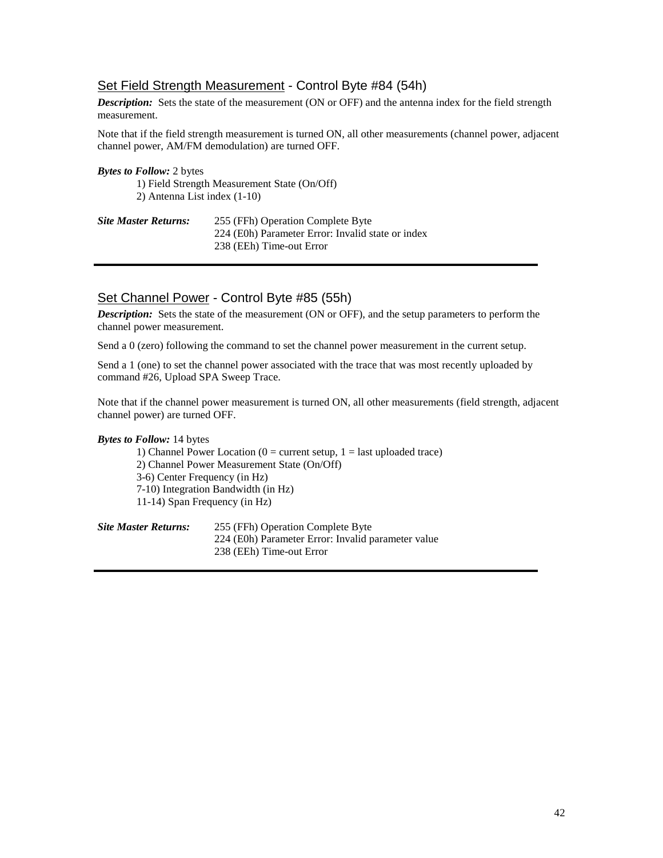# Set Field Strength Measurement - Control Byte #84 (54h)

*Description:* Sets the state of the measurement (ON or OFF) and the antenna index for the field strength measurement.

Note that if the field strength measurement is turned ON, all other measurements (channel power, adjacent channel power, AM/FM demodulation) are turned OFF.

| <b>Bytes to Follow:</b> 2 bytes |                                                                                        |
|---------------------------------|----------------------------------------------------------------------------------------|
|                                 | 1) Field Strength Measurement State (On/Off)                                           |
| 2) Antenna List index $(1-10)$  |                                                                                        |
| Site Master Returns:            | 255 (FFh) Operation Complete Byte<br>224 (E0h) Parameter Error: Invalid state or index |
|                                 | 238 (EEh) Time-out Error                                                               |

# Set Channel Power - Control Byte #85 (55h)

*Description:* Sets the state of the measurement (ON or OFF), and the setup parameters to perform the channel power measurement.

Send a 0 (zero) following the command to set the channel power measurement in the current setup.

Send a 1 (one) to set the channel power associated with the trace that was most recently uploaded by command #26, Upload SPA Sweep Trace.

Note that if the channel power measurement is turned ON, all other measurements (field strength, adjacent channel power) are turned OFF.

## *Bytes to Follow:* 14 bytes

1) Channel Power Location ( $0 =$  current setup,  $1 =$  last uploaded trace) 2) Channel Power Measurement State (On/Off) 3-6) Center Frequency (in Hz) 7-10) Integration Bandwidth (in Hz) 11-14) Span Frequency (in Hz)

| <b>Site Master Returns:</b> | 255 (FFh) Operation Complete Byte                  |
|-----------------------------|----------------------------------------------------|
|                             | 224 (E0h) Parameter Error: Invalid parameter value |
|                             | 238 (EEh) Time-out Error                           |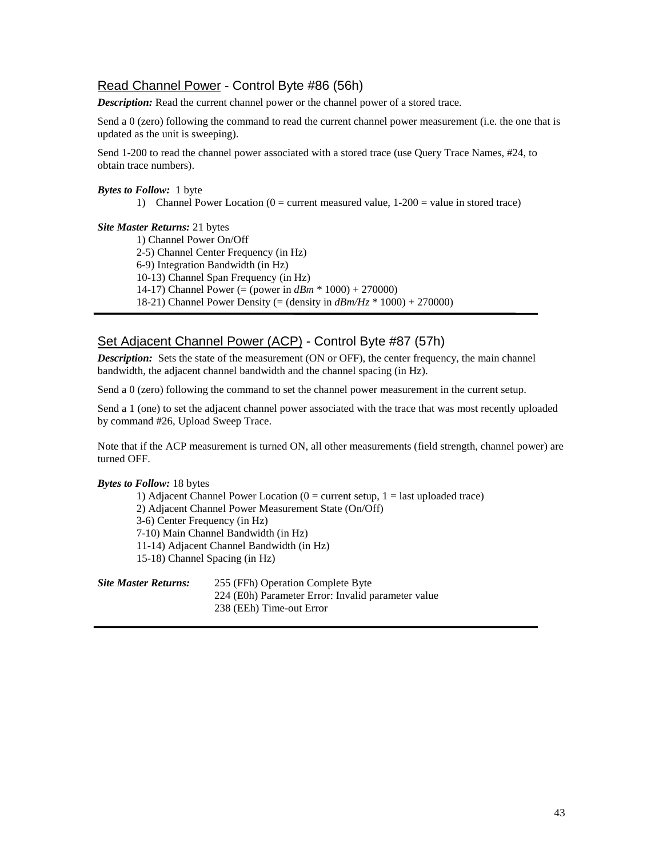# Read Channel Power - Control Byte #86 (56h)

*Description:* Read the current channel power or the channel power of a stored trace.

Send a 0 (zero) following the command to read the current channel power measurement (i.e. the one that is updated as the unit is sweeping).

Send 1-200 to read the channel power associated with a stored trace (use Query Trace Names, #24, to obtain trace numbers).

*Bytes to Follow:* 1 byte

1) Channel Power Location ( $0 =$  current measured value,  $1-200 =$  value in stored trace)

#### *Site Master Returns:* 21 bytes

1) Channel Power On/Off 2-5) Channel Center Frequency (in Hz) 6-9) Integration Bandwidth (in Hz) 10-13) Channel Span Frequency (in Hz) 14-17) Channel Power (= (power in *dBm* \* 1000) + 270000) 18-21) Channel Power Density (= (density in *dBm/Hz* \* 1000) + 270000)

# Set Adjacent Channel Power (ACP) - Control Byte #87 (57h)

*Description:* Sets the state of the measurement (ON or OFF), the center frequency, the main channel bandwidth, the adjacent channel bandwidth and the channel spacing (in Hz).

Send a 0 (zero) following the command to set the channel power measurement in the current setup.

Send a 1 (one) to set the adjacent channel power associated with the trace that was most recently uploaded by command #26, Upload Sweep Trace.

Note that if the ACP measurement is turned ON, all other measurements (field strength, channel power) are turned OFF.

#### *Bytes to Follow:* 18 bytes

1) Adjacent Channel Power Location ( $0 =$  current setup,  $1 =$  last uploaded trace) 2) Adjacent Channel Power Measurement State (On/Off) 3-6) Center Frequency (in Hz) 7-10) Main Channel Bandwidth (in Hz) 11-14) Adjacent Channel Bandwidth (in Hz) 15-18) Channel Spacing (in Hz)

| <b>Site Master Returns:</b> | 255 (FFh) Operation Complete Byte                  |
|-----------------------------|----------------------------------------------------|
|                             | 224 (E0h) Parameter Error: Invalid parameter value |
|                             | 238 (EEh) Time-out Error                           |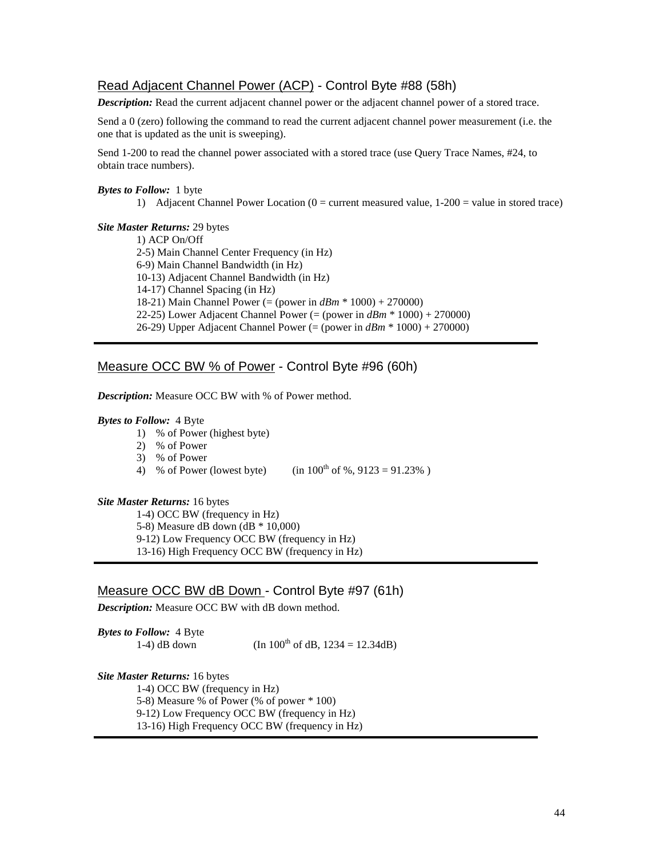# Read Adjacent Channel Power (ACP) - Control Byte #88 (58h)

*Description:* Read the current adjacent channel power or the adjacent channel power of a stored trace.

Send a 0 (zero) following the command to read the current adjacent channel power measurement (i.e. the one that is updated as the unit is sweeping).

Send 1-200 to read the channel power associated with a stored trace (use Query Trace Names, #24, to obtain trace numbers).

## *Bytes to Follow:* 1 byte

1) Adjacent Channel Power Location  $(0 =$  current measured value,  $1\n-200 =$  value in stored trace)

#### *Site Master Returns:* 29 bytes

1) ACP On/Off 2-5) Main Channel Center Frequency (in Hz) 6-9) Main Channel Bandwidth (in Hz) 10-13) Adjacent Channel Bandwidth (in Hz) 14-17) Channel Spacing (in Hz) 18-21) Main Channel Power (= (power in *dBm* \* 1000) + 270000) 22-25) Lower Adjacent Channel Power (= (power in *dBm* \* 1000) + 270000) 26-29) Upper Adjacent Channel Power (= (power in *dBm* \* 1000) + 270000)

## Measure OCC BW % of Power - Control Byte #96 (60h)

*Description:* Measure OCC BW with % of Power method.

#### *Bytes to Follow:* 4 Byte

- 1) % of Power (highest byte)
- 2) % of Power
- 3) % of Power
- 4) % of Power (lowest byte) (in  $100^{th}$  of %,  $9123 = 91.23%$ )

## *Site Master Returns:* 16 bytes

1-4) OCC BW (frequency in Hz) 5-8) Measure dB down (dB \* 10,000) 9-12) Low Frequency OCC BW (frequency in Hz) 13-16) High Frequency OCC BW (frequency in Hz)

## Measure OCC BW dB Down - Control Byte #97 (61h)

*Description:* Measure OCC BW with dB down method.

*Bytes to Follow:* 4 Byte 1-4) dB down (In  $100^{th}$  of dB,  $1234 = 12.34dB$ )

*Site Master Returns:* 16 bytes 1-4) OCC BW (frequency in Hz) 5-8) Measure % of Power (% of power \* 100) 9-12) Low Frequency OCC BW (frequency in Hz) 13-16) High Frequency OCC BW (frequency in Hz)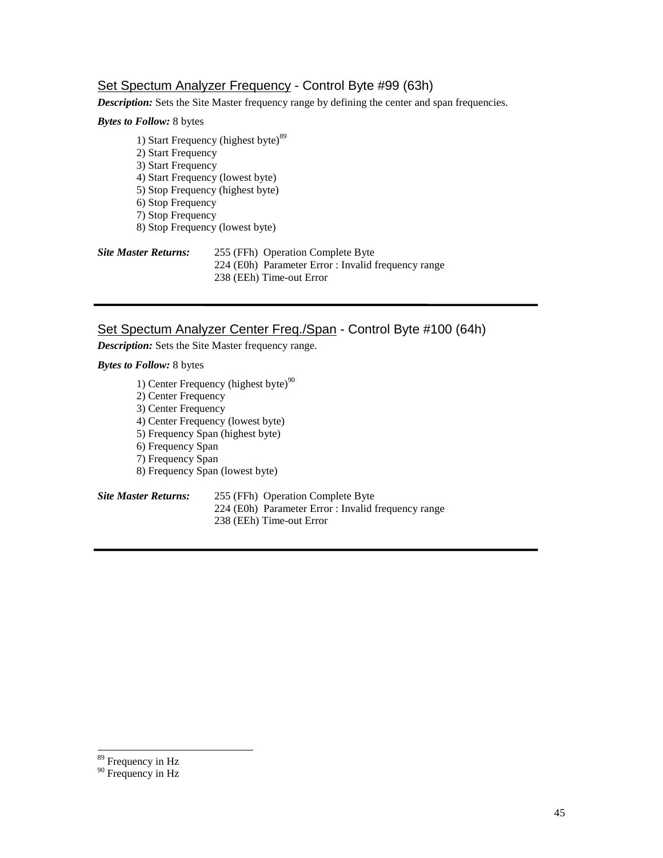# Set Spectum Analyzer Frequency - Control Byte #99 (63h)

*Description:* Sets the Site Master frequency range by defining the center and span frequencies.

# *Bytes to Follow:* 8 bytes

1) Start Frequency (highest byte) $89$ 2) Start Frequency 3) Start Frequency 4) Start Frequency (lowest byte) 5) Stop Frequency (highest byte) 6) Stop Frequency 7) Stop Frequency 8) Stop Frequency (lowest byte)

| <b>Site Master Returns:</b> | 255 (FFh) Operation Complete Byte                   |
|-----------------------------|-----------------------------------------------------|
|                             | 224 (E0h) Parameter Error : Invalid frequency range |
|                             | 238 (EEh) Time-out Error                            |

# Set Spectum Analyzer Center Freq./Span - Control Byte #100 (64h)

*Description:* Sets the Site Master frequency range.

## *Bytes to Follow:* 8 bytes

- 1) Center Frequency (highest byte) $90$
- 2) Center Frequency
- 3) Center Frequency
- 4) Center Frequency (lowest byte)
- 5) Frequency Span (highest byte)
- 6) Frequency Span
- 7) Frequency Span
- 8) Frequency Span (lowest byte)

#### *Site Master Returns:* 255 (FFh) Operation Complete Byte 224 (E0h) Parameter Error : Invalid frequency range 238 (EEh) Time-out Error

<sup>&</sup>lt;sup>89</sup> Frequency in Hz

<sup>&</sup>lt;sup>90</sup> Frequency in Hz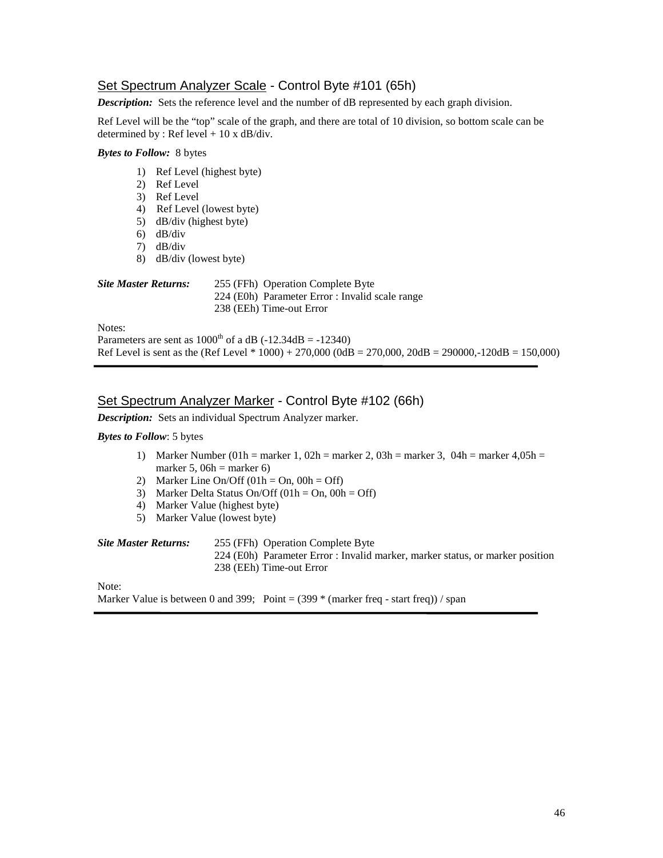# Set Spectrum Analyzer Scale - Control Byte #101 (65h)

*Description:* Sets the reference level and the number of dB represented by each graph division.

Ref Level will be the "top" scale of the graph, and there are total of 10 division, so bottom scale can be determined by : Ref level  $+ 10 \times dB/div$ .

## *Bytes to Follow:* 8 bytes

- 1) Ref Level (highest byte)
- 2) Ref Level
- 3) Ref Level
- 4) Ref Level (lowest byte)
- 5) dB/div (highest byte)
- 6) dB/div
- 7) dB/div
- 8) dB/div (lowest byte)

| <b>Site Master Returns:</b> | 255 (FFh) Operation Complete Byte               |
|-----------------------------|-------------------------------------------------|
|                             | 224 (E0h) Parameter Error : Invalid scale range |
|                             | 238 (EEh) Time-out Error                        |
| Notes:                      |                                                 |

Parameters are sent as  $1000^{\text{th}}$  of a dB (-12.34dB = -12340) Ref Level is sent as the (Ref Level  $*1000$ ) + 270,000 (0dB = 270,000, 20dB = 290000,-120dB = 150,000)

## Set Spectrum Analyzer Marker - Control Byte #102 (66h)

*Description:* Sets an individual Spectrum Analyzer marker.

#### *Bytes to Follow*: 5 bytes

- 1) Marker Number (01h = marker 1, 02h = marker 2, 03h = marker 3, 04h = marker 4,05h = marker 5,  $06h =$  marker 6)
- 2) Marker Line On/Off  $(01h = On, 00h = Off)$
- 3) Marker Delta Status On/Off  $(01h = On, 00h = Off)$
- 4) Marker Value (highest byte)
- 5) Marker Value (lowest byte)

| Site Master Returns: | 255 (FFh) Operation Complete Byte                                             |
|----------------------|-------------------------------------------------------------------------------|
|                      | 224 (E0h) Parameter Error : Invalid marker, marker status, or marker position |
|                      | 238 (EEh) Time-out Error                                                      |
|                      |                                                                               |

Note:

Marker Value is between 0 and 399; Point =  $(399 * (marker freq - start freq)) / span$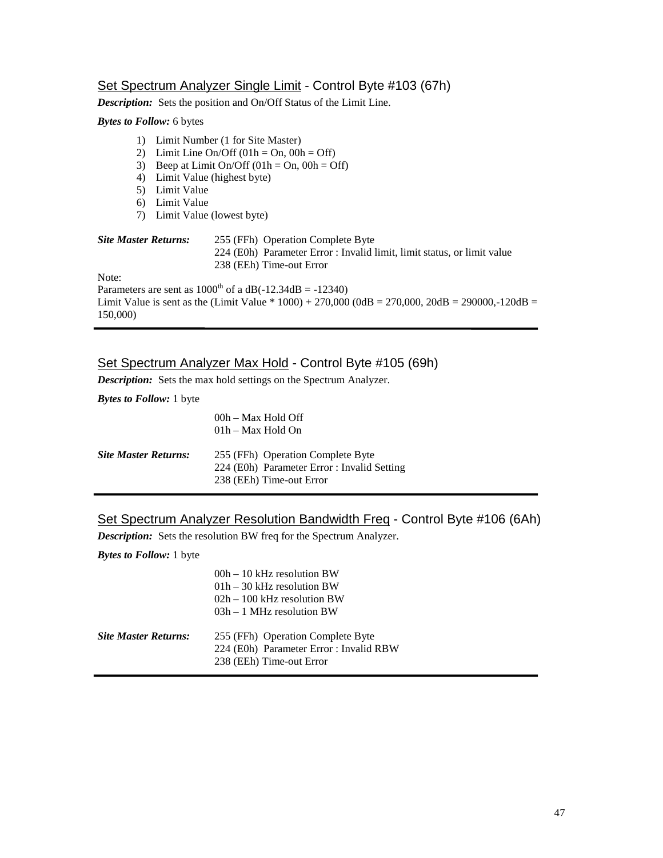# Set Spectrum Analyzer Single Limit - Control Byte #103 (67h)

*Description:* Sets the position and On/Off Status of the Limit Line.

# *Bytes to Follow:* 6 bytes

| $\left( \right)$<br>2)<br>3)<br>4) | Limit Number (1 for Site Master)<br>Limit Line On/Off $(01h = On, 00h = Off)$<br>Beep at Limit On/Off $(01h = On, 00h = Off)$<br>Limit Value (highest byte) |                                                                                                                                          |  |
|------------------------------------|-------------------------------------------------------------------------------------------------------------------------------------------------------------|------------------------------------------------------------------------------------------------------------------------------------------|--|
| 5)                                 | Limit Value                                                                                                                                                 |                                                                                                                                          |  |
| 6)                                 | Limit Value                                                                                                                                                 |                                                                                                                                          |  |
| 7)                                 | Limit Value (lowest byte)                                                                                                                                   |                                                                                                                                          |  |
| <b>Site Master Returns:</b>        |                                                                                                                                                             | 255 (FFh) Operation Complete Byte<br>224 (E0h) Parameter Error : Invalid limit, limit status, or limit value<br>238 (EEh) Time-out Error |  |
| Note:                              |                                                                                                                                                             |                                                                                                                                          |  |
|                                    |                                                                                                                                                             | Parameters are sent as $1000^{\text{th}}$ of a dB(-12.34dB = -12340)                                                                     |  |
| 150,000)                           |                                                                                                                                                             | Limit Value is sent as the (Limit Value $* 1000$ ) + 270,000 (0dB = 270,000, 20dB = 290000,-120dB =                                      |  |

# Set Spectrum Analyzer Max Hold - Control Byte #105 (69h)

*Description:* Sets the max hold settings on the Spectrum Analyzer.

*Bytes to Follow:* 1 byte

|                             | 00h – Max Hold Off<br>01h – Max Hold On                                                                      |
|-----------------------------|--------------------------------------------------------------------------------------------------------------|
| <b>Site Master Returns:</b> | 255 (FFh) Operation Complete Byte<br>224 (E0h) Parameter Error : Invalid Setting<br>238 (EEh) Time-out Error |

# Set Spectrum Analyzer Resolution Bandwidth Freq - Control Byte #106 (6Ah)

*Description:* Sets the resolution BW freq for the Spectrum Analyzer.

*Bytes to Follow:* 1 byte

|                      | $00h - 10$ kHz resolution BW<br>$01h - 30$ kHz resolution BW<br>$02h - 100$ kHz resolution BW<br>$03h - 1$ MHz resolution BW |
|----------------------|------------------------------------------------------------------------------------------------------------------------------|
| Site Master Returns: | 255 (FFh) Operation Complete Byte<br>224 (E0h) Parameter Error : Invalid RBW<br>238 (EEh) Time-out Error                     |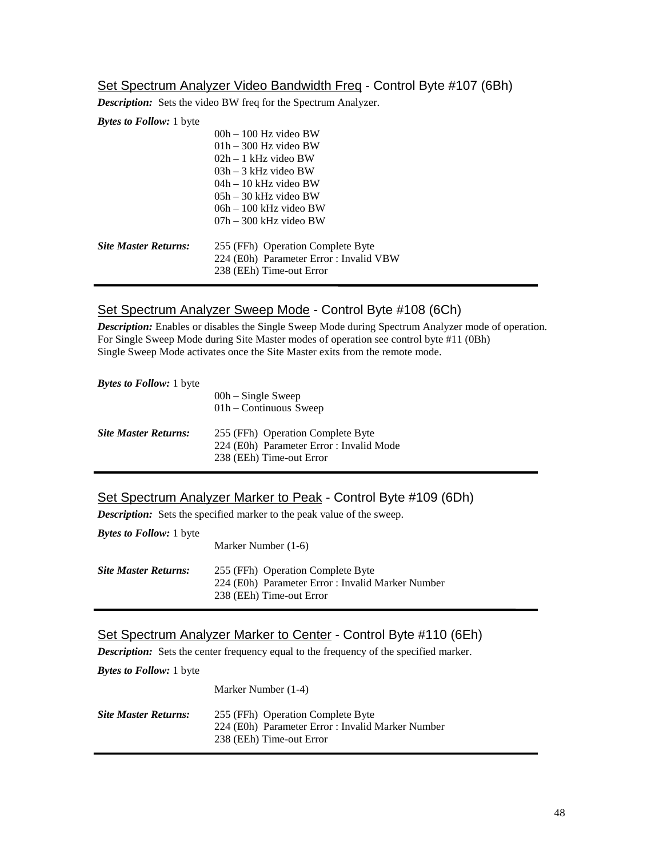# Set Spectrum Analyzer Video Bandwidth Freq - Control Byte #107 (6Bh)

*Description:* Sets the video BW freq for the Spectrum Analyzer.

*Bytes to Follow:* 1 byte

|                             | $00h - 100$ Hz video BW                 |
|-----------------------------|-----------------------------------------|
|                             | $01h - 300$ Hz video BW                 |
|                             | $02h - 1$ kHz video BW                  |
|                             | $03h - 3$ kHz video BW                  |
|                             | $04h - 10$ kHz video BW                 |
|                             | $0.5h - 30$ kHz video BW                |
|                             | $06h - 100$ kHz video BW                |
|                             | $07h - 300$ kHz video BW                |
| <b>Site Master Returns:</b> | 255 (FFh) Operation Complete Byte       |
|                             | 224 (E0h) Parameter Error : Invalid VBW |
|                             | 238 (EEh) Time-out Error                |
|                             |                                         |

# Set Spectrum Analyzer Sweep Mode - Control Byte #108 (6Ch)

*Description:* Enables or disables the Single Sweep Mode during Spectrum Analyzer mode of operation. For Single Sweep Mode during Site Master modes of operation see control byte #11 (0Bh) Single Sweep Mode activates once the Site Master exits from the remote mode.

| <b>Bytes to Follow:</b> 1 byte |                                                                                                           |  |
|--------------------------------|-----------------------------------------------------------------------------------------------------------|--|
|                                | $00h - Single$ Sweep<br>$01h -$ Continuous Sweep                                                          |  |
| <b>Site Master Returns:</b>    | 255 (FFh) Operation Complete Byte<br>224 (E0h) Parameter Error : Invalid Mode<br>238 (EEh) Time-out Error |  |

# Set Spectrum Analyzer Marker to Peak - Control Byte #109 (6Dh)

*Description:* Sets the specified marker to the peak value of the sweep.

| <b>Bytes to Follow:</b> 1 byte | Marker Number (1-6)                                                                                                |
|--------------------------------|--------------------------------------------------------------------------------------------------------------------|
| <b>Site Master Returns:</b>    | 255 (FFh) Operation Complete Byte<br>224 (E0h) Parameter Error : Invalid Marker Number<br>238 (EEh) Time-out Error |

# Set Spectrum Analyzer Marker to Center - Control Byte #110 (6Eh)

**Description:** Sets the center frequency equal to the frequency of the specified marker.

*Bytes to Follow:* 1 byte

Marker Number (1-4)

| <b>Site Master Returns:</b> | 255 (FFh) Operation Complete Byte                 |
|-----------------------------|---------------------------------------------------|
|                             | 224 (E0h) Parameter Error : Invalid Marker Number |
|                             | 238 (EEh) Time-out Error                          |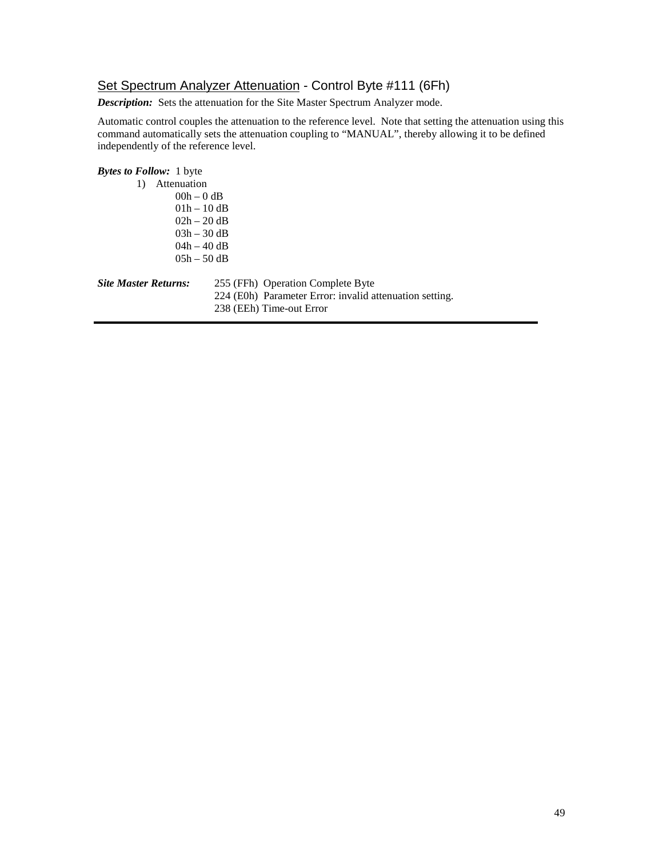# Set Spectrum Analyzer Attenuation - Control Byte #111 (6Fh)

*Description:* Sets the attenuation for the Site Master Spectrum Analyzer mode.

Automatic control couples the attenuation to the reference level. Note that setting the attenuation using this command automatically sets the attenuation coupling to "MANUAL", thereby allowing it to be defined independently of the reference level.

# *Bytes to Follow:* 1 byte 1) Attenuation  $00h - 0$  dB 01h – 10 dB 02h – 20 dB 03h – 30 dB 04h – 40 dB 05h – 50 dB *Site Master Returns:* 255 (FFh) Operation Complete Byte 224 (E0h) Parameter Error: invalid attenuation setting. 238 (EEh) Time-out Error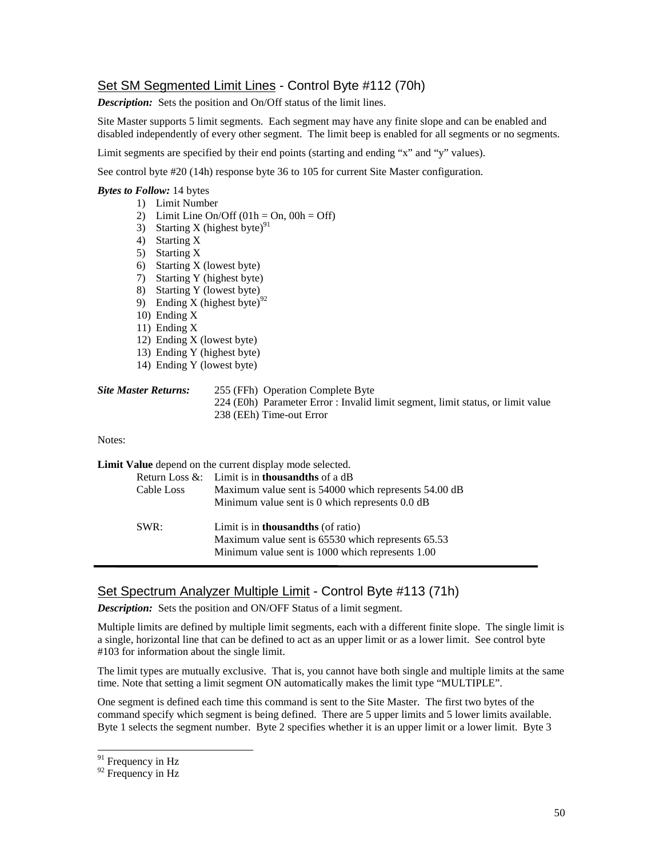# Set SM Segmented Limit Lines - Control Byte #112 (70h)

**Description:** Sets the position and On/Off status of the limit lines.

Site Master supports 5 limit segments. Each segment may have any finite slope and can be enabled and disabled independently of every other segment. The limit beep is enabled for all segments or no segments.

Limit segments are specified by their end points (starting and ending "x" and "y" values).

See control byte #20 (14h) response byte 36 to 105 for current Site Master configuration.

### *Bytes to Follow:* 14 bytes

- 1) Limit Number
- 2) Limit Line On/Off  $(01h = On, 00h = Off)$
- 3) Starting X (highest byte)<sup>91</sup>
- 4) Starting X
- 5) Starting X
- 6) Starting X (lowest byte)
- 7) Starting Y (highest byte)
- 8) Starting Y (lowest byte)
- 9) Ending X (highest byte)<sup>92</sup>
- 10) Ending X
- 11) Ending X
- 12) Ending X (lowest byte)
- 13) Ending Y (highest byte)
- 14) Ending Y (lowest byte)

| <b>Site Master Returns:</b> | 255 (FFh) Operation Complete Byte                                               |
|-----------------------------|---------------------------------------------------------------------------------|
|                             | 224 (E0h) Parameter Error : Invalid limit segment, limit status, or limit value |
|                             | 238 (EEh) Time-out Error                                                        |

#### Notes:

**Limit Value** depend on the current display mode selected. Return Loss &: Limit is in **thousandths** of a dB Cable Loss Maximum value sent is 54000 which represents 54.00 dB Minimum value sent is 0 which represents 0.0 dB SWR: Limit is in **thousandths** (of ratio) Maximum value sent is 65530 which represents 65.53 Minimum value sent is 1000 which represents 1.00

# Set Spectrum Analyzer Multiple Limit - Control Byte #113 (71h)

*Description:* Sets the position and ON/OFF Status of a limit segment.

Multiple limits are defined by multiple limit segments, each with a different finite slope. The single limit is a single, horizontal line that can be defined to act as an upper limit or as a lower limit. See control byte #103 for information about the single limit.

The limit types are mutually exclusive. That is, you cannot have both single and multiple limits at the same time. Note that setting a limit segment ON automatically makes the limit type "MULTIPLE".

One segment is defined each time this command is sent to the Site Master. The first two bytes of the command specify which segment is being defined. There are 5 upper limits and 5 lower limits available. Byte 1 selects the segment number. Byte 2 specifies whether it is an upper limit or a lower limit. Byte 3

<sup>&</sup>lt;sup>91</sup> Frequency in Hz

<sup>&</sup>lt;sup>92</sup> Frequency in Hz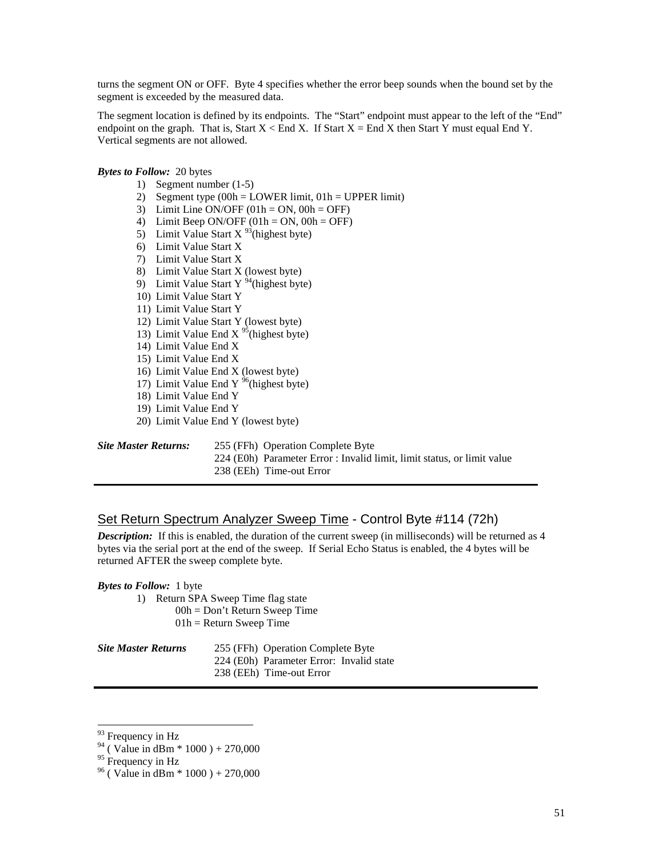turns the segment ON or OFF. Byte 4 specifies whether the error beep sounds when the bound set by the segment is exceeded by the measured data.

The segment location is defined by its endpoints. The "Start" endpoint must appear to the left of the "End" endpoint on the graph. That is, Start  $X \leq End X$ . If Start  $X = End X$  then Start Y must equal End Y. Vertical segments are not allowed.

*Bytes to Follow:* 20 bytes

- 1) Segment number (1-5)
- 2) Segment type  $(00h = LOWER limit, 01h = UPPER limit)$
- 3) Limit Line ON/OFF  $(01h = ON, 00h = OFF)$
- 4) Limit Beep ON/OFF  $(01h = ON, 00h = OFF)$
- 5) Limit Value Start  $X^{93}$ (highest byte)
- 6) Limit Value Start X
- 7) Limit Value Start X
- 8) Limit Value Start X (lowest byte)
- 9) Limit Value Start Y<sup>94</sup>(highest byte)
- 10) Limit Value Start Y
- 11) Limit Value Start Y
- 12) Limit Value Start Y (lowest byte)
- 13) Limit Value End X  $^{95}$ (highest byte)
- 14) Limit Value End X
- 15) Limit Value End X
- 16) Limit Value End X (lowest byte)
- 17) Limit Value End Y  $96$ (highest byte)
- 18) Limit Value End Y
- 19) Limit Value End Y
- 20) Limit Value End Y (lowest byte)

255 (FFh) Operation Complete Byte

224 (E0h) Parameter Error : Invalid limit, limit status, or limit value 238 (EEh) Time-out Error

## Set Return Spectrum Analyzer Sweep Time - Control Byte #114 (72h)

**Description:** If this is enabled, the duration of the current sweep (in milliseconds) will be returned as 4 bytes via the serial port at the end of the sweep. If Serial Echo Status is enabled, the 4 bytes will be returned AFTER the sweep complete byte.

*Bytes to Follow:* 1 byte

1) Return SPA Sweep Time flag state 00h = Don't Return Sweep Time  $01h$  = Return Sweep Time

*Site Master Returns* 255 (FFh) Operation Complete Byte

224 (E0h) Parameter Error: Invalid state

238 (EEh) Time-out Error

<sup>&</sup>lt;sup>93</sup> Frequency in Hz

 $^{94}$  (Value in dBm  $*$  1000) + 270,000

 $95$  Frequency in Hz

 $96$  ( Value in dBm  $*$  1000 ) + 270,000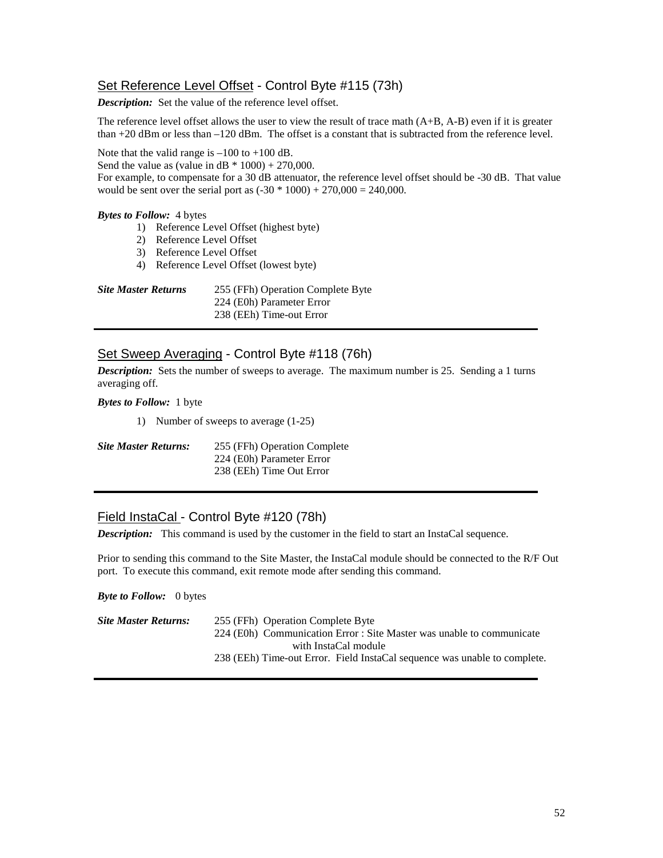# Set Reference Level Offset - Control Byte #115 (73h)

*Description:* Set the value of the reference level offset.

The reference level offset allows the user to view the result of trace math (A+B, A-B) even if it is greater than +20 dBm or less than –120 dBm. The offset is a constant that is subtracted from the reference level.

Note that the valid range is  $-100$  to  $+100$  dB.

Send the value as (value in  $dB * 1000$ ) + 270,000.

For example, to compensate for a 30 dB attenuator, the reference level offset should be -30 dB. That value would be sent over the serial port as  $(-30 * 1000) + 270,000 = 240,000$ .

## *Bytes to Follow:* 4 bytes

- 1) Reference Level Offset (highest byte)
- 2) Reference Level Offset
- 3) Reference Level Offset
- 4) Reference Level Offset (lowest byte)

| <b>Site Master Returns</b> | 255 (FFh) Operation Complete Byte |
|----------------------------|-----------------------------------|
|                            | 224 (E0h) Parameter Error         |
|                            | 238 (EEh) Time-out Error          |

# Set Sweep Averaging - Control Byte #118 (76h)

*Description:* Sets the number of sweeps to average. The maximum number is 25. Sending a 1 turns averaging off.

### *Bytes to Follow:* 1 byte

1) Number of sweeps to average (1-25)

| <b>Site Master Returns:</b> | 255 (FFh) Operation Complete |  |  |
|-----------------------------|------------------------------|--|--|
|                             | 224 (E0h) Parameter Error    |  |  |
|                             | 238 (EEh) Time Out Error     |  |  |

## Field InstaCal - Control Byte #120 (78h)

**Description:** This command is used by the customer in the field to start an InstaCal sequence.

Prior to sending this command to the Site Master, the InstaCal module should be connected to the R/F Out port. To execute this command, exit remote mode after sending this command.

*Byte to Follow:* 0 bytes

| Site Master Returns: | 255 (FFh) Operation Complete Byte                                         |  |  |  |  |
|----------------------|---------------------------------------------------------------------------|--|--|--|--|
|                      | 224 (E0h) Communication Error : Site Master was unable to communicate     |  |  |  |  |
| with InstaCal module |                                                                           |  |  |  |  |
|                      | 238 (EEh) Time-out Error. Field InstaCal sequence was unable to complete. |  |  |  |  |
|                      |                                                                           |  |  |  |  |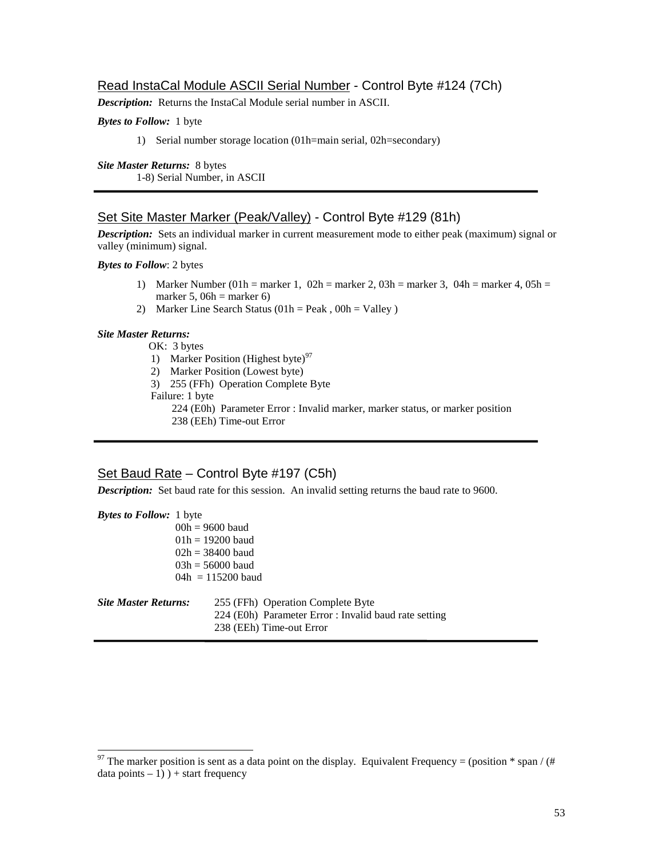## Read InstaCal Module ASCII Serial Number - Control Byte #124 (7Ch)

*Description:* Returns the InstaCal Module serial number in ASCII.

## *Bytes to Follow:* 1 byte

1) Serial number storage location (01h=main serial, 02h=secondary)

*Site Master Returns:* 8 bytes 1-8) Serial Number, in ASCII

## Set Site Master Marker (Peak/Valley) - Control Byte #129 (81h)

*Description:* Sets an individual marker in current measurement mode to either peak (maximum) signal or valley (minimum) signal.

*Bytes to Follow*: 2 bytes

- 1) Marker Number (01h = marker 1, 02h = marker 2, 03h = marker 3, 04h = marker 4, 05h = marker 5,  $06h =$  marker 6)
- 2) Marker Line Search Status  $(01h = Peak, 00h = Valley)$

#### *Site Master Returns:*

 $\overline{a}$ 

OK: 3 bytes

- 1) Marker Position (Highest byte) $97$
- 2) Marker Position (Lowest byte)
- 3) 255 (FFh) Operation Complete Byte
- Failure: 1 byte
	- 224 (E0h) Parameter Error : Invalid marker, marker status, or marker position

238 (EEh) Time-out Error

# Set Baud Rate – Control Byte #197 (C5h)

*Description:* Set baud rate for this session. An invalid setting returns the baud rate to 9600.

| <b>Bytes to Follow:</b> 1 byte |                                                                                                                        |  |  |
|--------------------------------|------------------------------------------------------------------------------------------------------------------------|--|--|
|                                | $00h = 9600$ baud                                                                                                      |  |  |
|                                | $01h = 19200$ baud                                                                                                     |  |  |
|                                | $02h = 38400$ baud                                                                                                     |  |  |
|                                | $03h = 56000$ baud                                                                                                     |  |  |
|                                | $04h = 115200$ baud                                                                                                    |  |  |
| <b>Site Master Returns:</b>    | 255 (FFh) Operation Complete Byte<br>224 (E0h) Parameter Error : Invalid baud rate setting<br>238 (EEh) Time-out Error |  |  |

<sup>&</sup>lt;sup>97</sup> The marker position is sent as a data point on the display. Equivalent Frequency = (position \* span / (#)  $data points - 1)$  ) + start frequency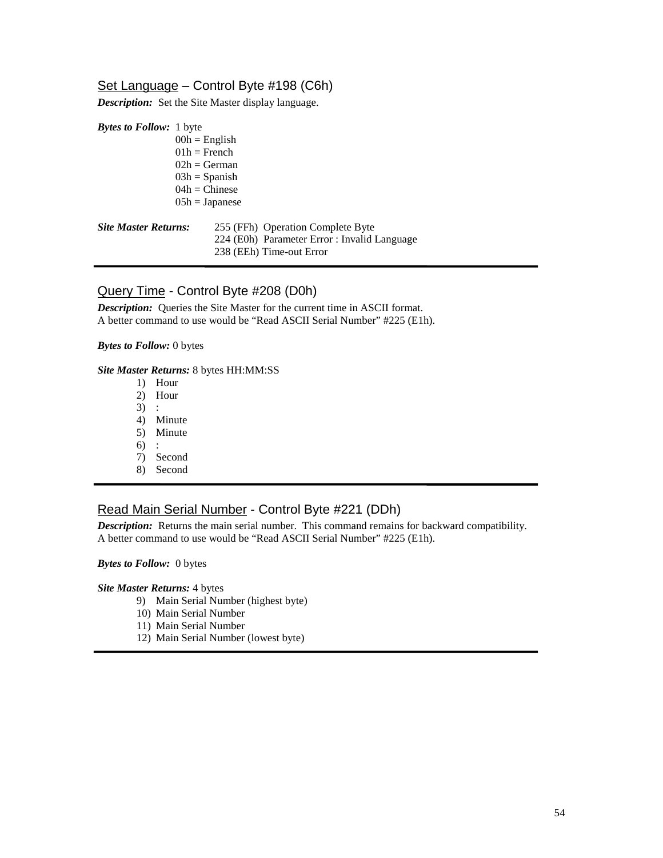# Set Language – Control Byte #198 (C6h)

*Description:* Set the Site Master display language.

| <b>Bytes to Follow:</b> 1 byte |                  |  |                                              |
|--------------------------------|------------------|--|----------------------------------------------|
|                                | $00h =$ English  |  |                                              |
|                                | $01h =$ French   |  |                                              |
|                                | $02h = German$   |  |                                              |
|                                | $03h =$ Spanish  |  |                                              |
|                                | $04h =$ Chinese  |  |                                              |
|                                | $05h = Japanese$ |  |                                              |
| <b>Site Master Returns:</b>    |                  |  | 255 (FFh) Operation Complete Byte            |
|                                |                  |  | 224 (E0h) Parameter Error : Invalid Language |
|                                |                  |  | 238 (EEh) Time-out Error                     |

# Query Time - Control Byte #208 (D0h)

**Description:** Queries the Site Master for the current time in ASCII format. A better command to use would be "Read ASCII Serial Number" #225 (E1h).

## *Bytes to Follow:* 0 bytes

## *Site Master Returns:* 8 bytes HH:MM:SS

- 1) Hour
- 2) Hour
- 3) :
- 4) Minute
- 5) Minute
- 6) :
- 7) Second
- 8) Second

# Read Main Serial Number - Control Byte #221 (DDh)

**Description:** Returns the main serial number. This command remains for backward compatibility. A better command to use would be "Read ASCII Serial Number" #225 (E1h).

*Bytes to Follow:* 0 bytes

*Site Master Returns:* 4 bytes

- 9) Main Serial Number (highest byte)
- 10) Main Serial Number
- 11) Main Serial Number
- 12) Main Serial Number (lowest byte)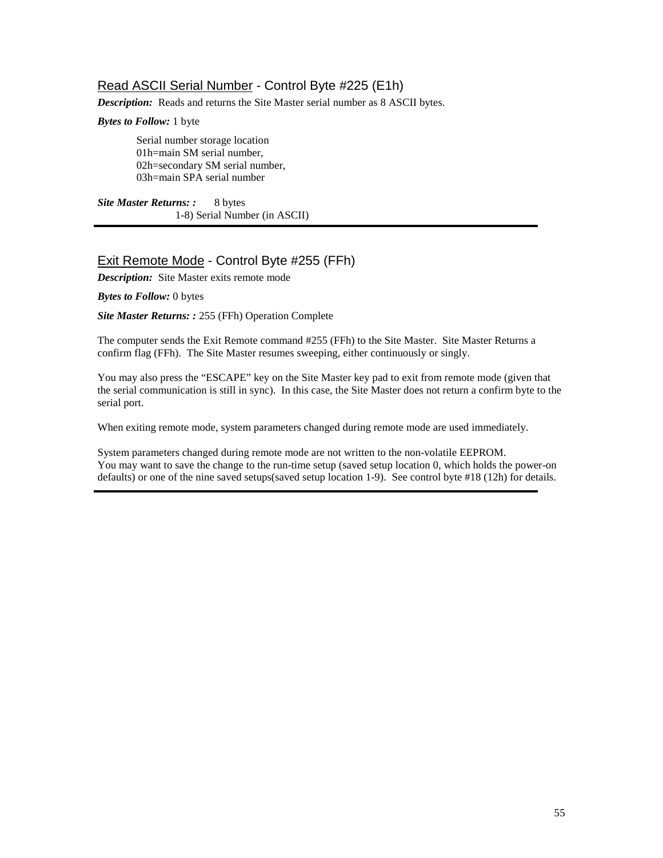# Read ASCII Serial Number - Control Byte #225 (E1h)

*Description:* Reads and returns the Site Master serial number as 8 ASCII bytes.

## *Bytes to Follow:* 1 byte

Serial number storage location 01h=main SM serial number, 02h=secondary SM serial number, 03h=main SPA serial number

*Site Master Returns: :* 8 bytes 1-8) Serial Number (in ASCII)

# Exit Remote Mode - Control Byte #255 (FFh)

*Description:* Site Master exits remote mode

*Bytes to Follow:* 0 bytes

*Site Master Returns: :* 255 (FFh) Operation Complete

The computer sends the Exit Remote command #255 (FFh) to the Site Master. Site Master Returns a confirm flag (FFh). The Site Master resumes sweeping, either continuously or singly.

You may also press the "ESCAPE" key on the Site Master key pad to exit from remote mode (given that the serial communication is still in sync). In this case, the Site Master does not return a confirm byte to the serial port.

When exiting remote mode, system parameters changed during remote mode are used immediately.

System parameters changed during remote mode are not written to the non-volatile EEPROM. You may want to save the change to the run-time setup (saved setup location 0, which holds the power-on defaults) or one of the nine saved setups(saved setup location 1-9). See control byte #18 (12h) for details.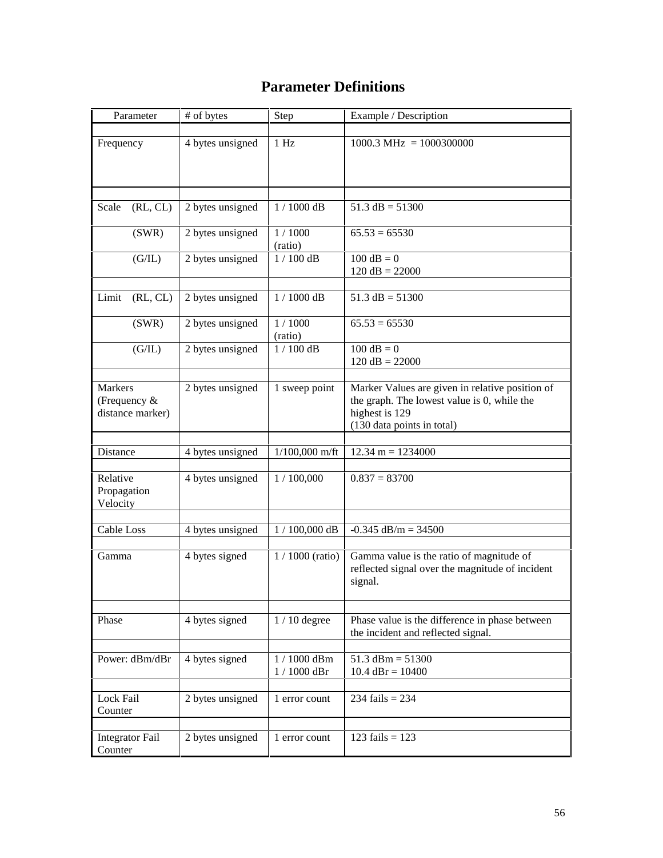# **Parameter Definitions**

| Parameter                                            | # of bytes       | Step                         | Example / Description                                                                                                                          |
|------------------------------------------------------|------------------|------------------------------|------------------------------------------------------------------------------------------------------------------------------------------------|
| Frequency                                            | 4 bytes unsigned | 1 Hz                         | $1000.3 \text{ MHz} = 1000300000$                                                                                                              |
| (RL, CL)<br>Scale                                    | 2 bytes unsigned | $1/1000$ dB                  | $51.3$ dB = $51300$                                                                                                                            |
| (SWR)                                                | 2 bytes unsigned | 1/1000<br>(ratio)            | $65.53 = 65530$                                                                                                                                |
| (G/IL)                                               | 2 bytes unsigned | $1/100$ dB                   | $100 dB = 0$<br>$120 dB = 22000$                                                                                                               |
| (RL, CL)<br>Limit                                    | 2 bytes unsigned | $1/1000$ dB                  | $51.3$ dB = $51300$                                                                                                                            |
| (SWR)                                                | 2 bytes unsigned | 1/1000                       | $65.53 = 65530$                                                                                                                                |
| (G/IL)                                               | 2 bytes unsigned | (ratio)<br>$1/100$ dB        | $100 dB = 0$<br>$120 dB = 22000$                                                                                                               |
| <b>Markers</b><br>(Frequency $&$<br>distance marker) | 2 bytes unsigned | 1 sweep point                | Marker Values are given in relative position of<br>the graph. The lowest value is 0, while the<br>highest is 129<br>(130 data points in total) |
| Distance                                             | 4 bytes unsigned | $1/100,000$ m/ft             | $12.34 \text{ m} = 1234000$                                                                                                                    |
| Relative<br>Propagation<br>Velocity                  | 4 bytes unsigned | 1/100,000                    | $0.837 = 83700$                                                                                                                                |
| Cable Loss                                           | 4 bytes unsigned | $1$ / $100,\!000$ dB         | $-0.345$ dB/m = 34500                                                                                                                          |
| Gamma                                                | 4 bytes signed   | $1/1000$ (ratio)             | Gamma value is the ratio of magnitude of<br>reflected signal over the magnitude of incident<br>signal.                                         |
| Phase                                                | 4 bytes signed   | $1/10$ degree                | Phase value is the difference in phase between<br>the incident and reflected signal.                                                           |
| Power: dBm/dBr                                       | 4 bytes signed   | 1 / 1000 dBm<br>$1/1000$ dBr | $51.3$ dBm = $51300$<br>$10.4$ dBr = $10400$                                                                                                   |
| Lock Fail<br>Counter                                 | 2 bytes unsigned | 1 error count                | 234 fails = $234$                                                                                                                              |
| <b>Integrator Fail</b><br>Counter                    | 2 bytes unsigned | 1 error count                | 123 fails = $123$                                                                                                                              |